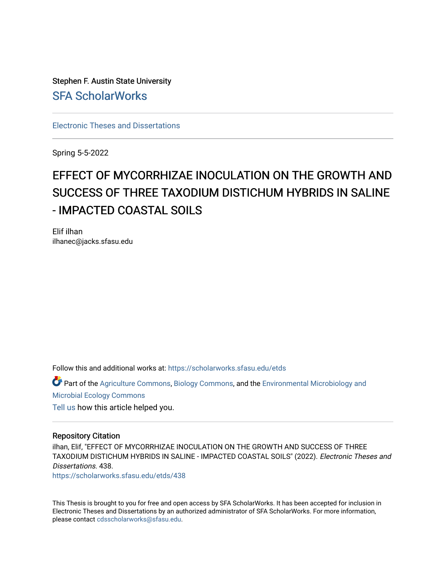Stephen F. Austin State University [SFA ScholarWorks](https://scholarworks.sfasu.edu/)

[Electronic Theses and Dissertations](https://scholarworks.sfasu.edu/etds)

Spring 5-5-2022

# EFFECT OF MYCORRHIZAE INOCULATION ON THE GROWTH AND SUCCESS OF THREE TAXODIUM DISTICHUM HYBRIDS IN SALINE - IMPACTED COASTAL SOILS

Elif ilhan ilhanec@jacks.sfasu.edu

Follow this and additional works at: [https://scholarworks.sfasu.edu/etds](https://scholarworks.sfasu.edu/etds?utm_source=scholarworks.sfasu.edu%2Fetds%2F438&utm_medium=PDF&utm_campaign=PDFCoverPages) 

Part of the [Agriculture Commons](https://network.bepress.com/hgg/discipline/1076?utm_source=scholarworks.sfasu.edu%2Fetds%2F438&utm_medium=PDF&utm_campaign=PDFCoverPages), [Biology Commons](https://network.bepress.com/hgg/discipline/41?utm_source=scholarworks.sfasu.edu%2Fetds%2F438&utm_medium=PDF&utm_campaign=PDFCoverPages), and the [Environmental Microbiology and](https://network.bepress.com/hgg/discipline/50?utm_source=scholarworks.sfasu.edu%2Fetds%2F438&utm_medium=PDF&utm_campaign=PDFCoverPages) [Microbial Ecology Commons](https://network.bepress.com/hgg/discipline/50?utm_source=scholarworks.sfasu.edu%2Fetds%2F438&utm_medium=PDF&utm_campaign=PDFCoverPages) [Tell us](http://sfasu.qualtrics.com/SE/?SID=SV_0qS6tdXftDLradv) how this article helped you.

#### Repository Citation

ilhan, Elif, "EFFECT OF MYCORRHIZAE INOCULATION ON THE GROWTH AND SUCCESS OF THREE TAXODIUM DISTICHUM HYBRIDS IN SALINE - IMPACTED COASTAL SOILS" (2022). Electronic Theses and Dissertations. 438.

[https://scholarworks.sfasu.edu/etds/438](https://scholarworks.sfasu.edu/etds/438?utm_source=scholarworks.sfasu.edu%2Fetds%2F438&utm_medium=PDF&utm_campaign=PDFCoverPages) 

This Thesis is brought to you for free and open access by SFA ScholarWorks. It has been accepted for inclusion in Electronic Theses and Dissertations by an authorized administrator of SFA ScholarWorks. For more information, please contact [cdsscholarworks@sfasu.edu.](mailto:cdsscholarworks@sfasu.edu)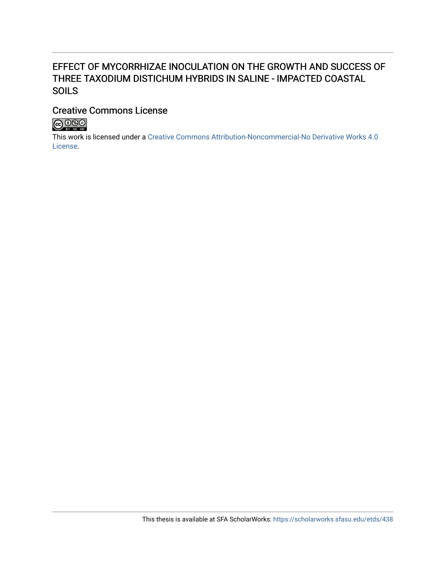# EFFECT OF MYCORRHIZAE INOCULATION ON THE GROWTH AND SUCCESS OF THREE TAXODIUM DISTICHUM HYBRIDS IN SALINE - IMPACTED COASTAL SOILS

# Creative Commons License



This work is licensed under a [Creative Commons Attribution-Noncommercial-No Derivative Works 4.0](https://creativecommons.org/licenses/by-nc-nd/4.0/) [License](https://creativecommons.org/licenses/by-nc-nd/4.0/).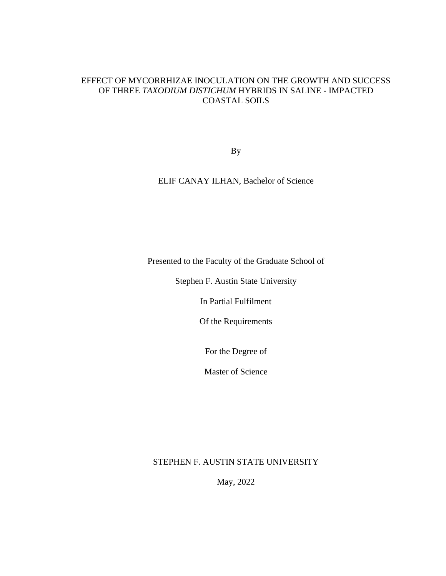# EFFECT OF MYCORRHIZAE INOCULATION ON THE GROWTH AND SUCCESS OF THREE *TAXODIUM DISTICHUM* HYBRIDS IN SALINE - IMPACTED COASTAL SOILS

By

ELIF CANAY ILHAN, Bachelor of Science

Presented to the Faculty of the Graduate School of

Stephen F. Austin State University

In Partial Fulfilment

Of the Requirements

For the Degree of

Master of Science

STEPHEN F. AUSTIN STATE UNIVERSITY

May, 2022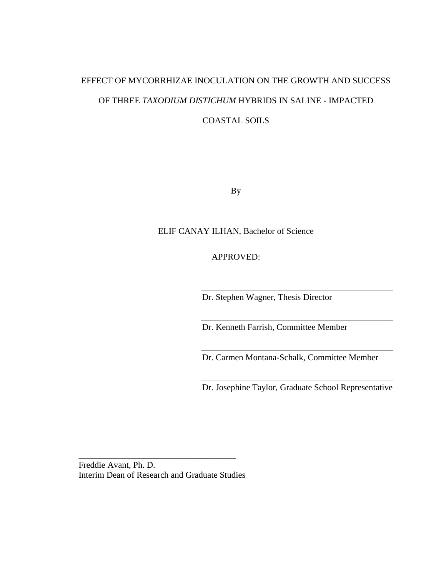# EFFECT OF MYCORRHIZAE INOCULATION ON THE GROWTH AND SUCCESS OF THREE *TAXODIUM DISTICHUM* HYBRIDS IN SALINE - IMPACTED COASTAL SOILS

By

## ELIF CANAY ILHAN, Bachelor of Science

APPROVED:

Dr. Stephen Wagner, Thesis Director

Dr. Kenneth Farrish, Committee Member

Dr. Carmen Montana-Schalk, Committee Member

\_\_\_\_\_\_\_\_\_\_\_\_\_\_\_\_\_\_\_\_\_\_\_\_\_\_\_\_\_\_\_\_\_\_\_\_\_\_\_\_\_\_\_\_

\_\_\_\_\_\_\_\_\_\_\_\_\_\_\_\_\_\_\_\_\_\_\_\_\_\_\_\_\_\_\_\_\_\_\_\_\_\_\_\_\_\_\_\_

\_\_\_\_\_\_\_\_\_\_\_\_\_\_\_\_\_\_\_\_\_\_\_\_\_\_\_\_\_\_\_\_\_\_\_\_\_\_\_\_\_\_\_\_

\_\_\_\_\_\_\_\_\_\_\_\_\_\_\_\_\_\_\_\_\_\_\_\_\_\_\_\_\_\_\_\_\_\_\_\_\_\_\_\_\_\_\_\_ Dr. Josephine Taylor, Graduate School Representative

Freddie Avant, Ph. D. Interim Dean of Research and Graduate Studies

\_\_\_\_\_\_\_\_\_\_\_\_\_\_\_\_\_\_\_\_\_\_\_\_\_\_\_\_\_\_\_\_\_\_\_\_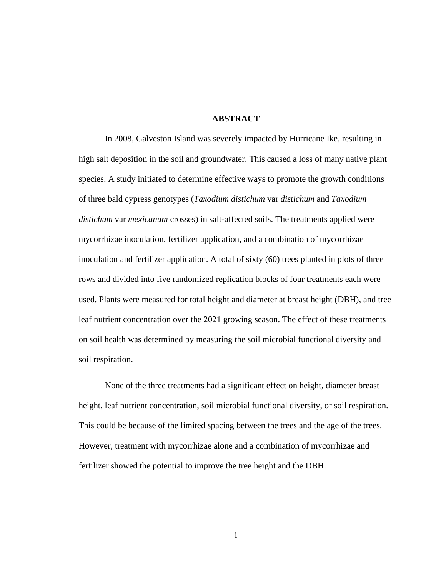#### **ABSTRACT**

<span id="page-4-0"></span>In 2008, Galveston Island was severely impacted by Hurricane Ike, resulting in high salt deposition in the soil and groundwater. This caused a loss of many native plant species. A study initiated to determine effective ways to promote the growth conditions of three bald cypress genotypes (*Taxodium distichum* var *distichum* and *Taxodium distichum* var *mexicanum* crosses) in salt-affected soils. The treatments applied were mycorrhizae inoculation, fertilizer application, and a combination of mycorrhizae inoculation and fertilizer application. A total of sixty (60) trees planted in plots of three rows and divided into five randomized replication blocks of four treatments each were used. Plants were measured for total height and diameter at breast height (DBH), and tree leaf nutrient concentration over the 2021 growing season. The effect of these treatments on soil health was determined by measuring the soil microbial functional diversity and soil respiration.

None of the three treatments had a significant effect on height, diameter breast height, leaf nutrient concentration, soil microbial functional diversity, or soil respiration. This could be because of the limited spacing between the trees and the age of the trees. However, treatment with mycorrhizae alone and a combination of mycorrhizae and fertilizer showed the potential to improve the tree height and the DBH.

i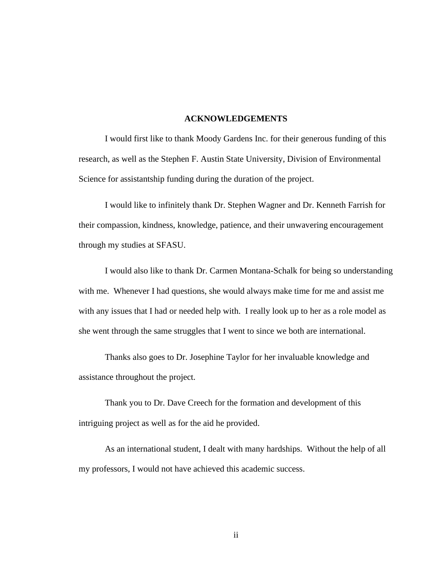#### **ACKNOWLEDGEMENTS**

<span id="page-5-0"></span>I would first like to thank Moody Gardens Inc. for their generous funding of this research, as well as the Stephen F. Austin State University, Division of Environmental Science for assistantship funding during the duration of the project.

I would like to infinitely thank Dr. Stephen Wagner and Dr. Kenneth Farrish for their compassion, kindness, knowledge, patience, and their unwavering encouragement through my studies at SFASU.

I would also like to thank Dr. Carmen Montana-Schalk for being so understanding with me. Whenever I had questions, she would always make time for me and assist me with any issues that I had or needed help with. I really look up to her as a role model as she went through the same struggles that I went to since we both are international.

Thanks also goes to Dr. Josephine Taylor for her invaluable knowledge and assistance throughout the project.

Thank you to Dr. Dave Creech for the formation and development of this intriguing project as well as for the aid he provided.

As an international student, I dealt with many hardships. Without the help of all my professors, I would not have achieved this academic success.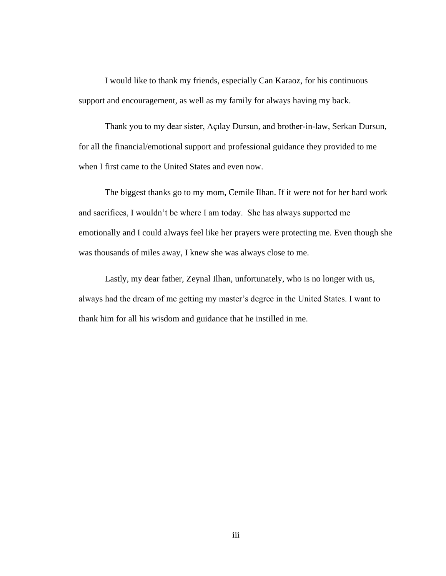I would like to thank my friends, especially Can Karaoz, for his continuous support and encouragement, as well as my family for always having my back.

Thank you to my dear sister, Açılay Dursun, and brother-in-law, Serkan Dursun, for all the financial/emotional support and professional guidance they provided to me when I first came to the United States and even now.

The biggest thanks go to my mom, Cemile Ilhan. If it were not for her hard work and sacrifices, I wouldn't be where I am today. She has always supported me emotionally and I could always feel like her prayers were protecting me. Even though she was thousands of miles away, I knew she was always close to me.

Lastly, my dear father, Zeynal Ilhan, unfortunately, who is no longer with us, always had the dream of me getting my master's degree in the United States. I want to thank him for all his wisdom and guidance that he instilled in me.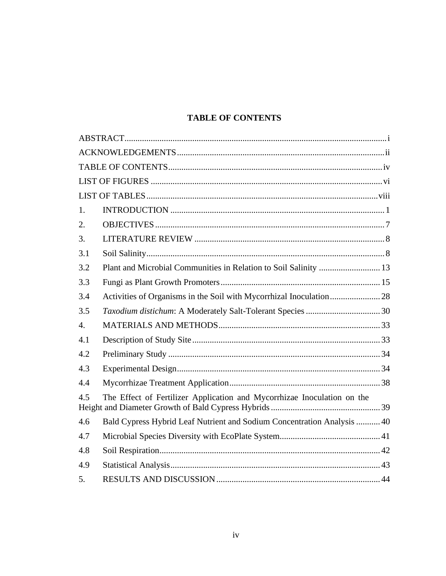# **TABLE OF CONTENTS**

<span id="page-7-0"></span>

| 1.  |                                                                         |  |
|-----|-------------------------------------------------------------------------|--|
| 2.  |                                                                         |  |
| 3.  |                                                                         |  |
| 3.1 |                                                                         |  |
| 3.2 | Plant and Microbial Communities in Relation to Soil Salinity  13        |  |
| 3.3 |                                                                         |  |
| 3.4 |                                                                         |  |
| 3.5 |                                                                         |  |
| 4.  |                                                                         |  |
| 4.1 |                                                                         |  |
| 4.2 |                                                                         |  |
| 4.3 |                                                                         |  |
| 4.4 |                                                                         |  |
| 4.5 | The Effect of Fertilizer Application and Mycorrhizae Inoculation on the |  |
| 4.6 | Bald Cypress Hybrid Leaf Nutrient and Sodium Concentration Analysis  40 |  |
| 4.7 |                                                                         |  |
| 4.8 |                                                                         |  |
| 4.9 |                                                                         |  |
| 5.  |                                                                         |  |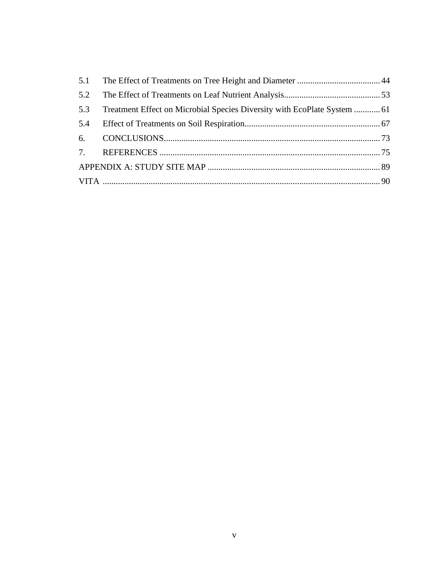| 5.2 |                                                                          |  |
|-----|--------------------------------------------------------------------------|--|
| 5.3 | Treatment Effect on Microbial Species Diversity with EcoPlate System  61 |  |
|     |                                                                          |  |
|     |                                                                          |  |
|     |                                                                          |  |
|     |                                                                          |  |
|     |                                                                          |  |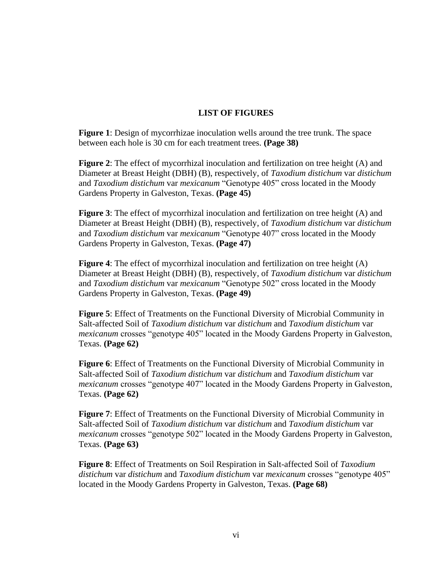# **LIST OF FIGURES**

<span id="page-9-0"></span>**Figure 1**: Design of mycorrhizae inoculation wells around the tree trunk. The space between each hole is 30 cm for each treatment trees. **(Page 38)**

**Figure 2**: The effect of mycorrhizal inoculation and fertilization on tree height (A) and Diameter at Breast Height (DBH) (B), respectively, of *Taxodium distichum* var *distichum* and *Taxodium distichum* var *mexicanum* "Genotype 405" cross located in the Moody Gardens Property in Galveston, Texas. **(Page 45)**

**Figure 3**: The effect of mycorrhizal inoculation and fertilization on tree height (A) and Diameter at Breast Height (DBH) (B), respectively, of *Taxodium distichum* var *distichum* and *Taxodium distichum* var *mexicanum* "Genotype 407" cross located in the Moody Gardens Property in Galveston, Texas. **(Page 47)**

**Figure 4**: The effect of mycorrhizal inoculation and fertilization on tree height (A) Diameter at Breast Height (DBH) (B), respectively, of *Taxodium distichum* var *distichum* and *Taxodium distichum* var *mexicanum* "Genotype 502" cross located in the Moody Gardens Property in Galveston, Texas. **(Page 49)**

**Figure 5**: Effect of Treatments on the Functional Diversity of Microbial Community in Salt-affected Soil of *Taxodium distichum* var *distichum* and *Taxodium distichum* var *mexicanum* crosses "genotype 405" located in the Moody Gardens Property in Galveston, Texas. **(Page 62)**

**Figure 6**: Effect of Treatments on the Functional Diversity of Microbial Community in Salt-affected Soil of *Taxodium distichum* var *distichum* and *Taxodium distichum* var *mexicanum* crosses "genotype 407" located in the Moody Gardens Property in Galveston, Texas. **(Page 62)**

**Figure 7**: Effect of Treatments on the Functional Diversity of Microbial Community in Salt-affected Soil of *Taxodium distichum* var *distichum* and *Taxodium distichum* var *mexicanum* crosses "genotype 502" located in the Moody Gardens Property in Galveston, Texas. **(Page 63)**

**Figure 8**: Effect of Treatments on Soil Respiration in Salt-affected Soil of *Taxodium distichum* var *distichum* and *Taxodium distichum* var *mexicanum* crosses "genotype 405" located in the Moody Gardens Property in Galveston, Texas. **(Page 68)**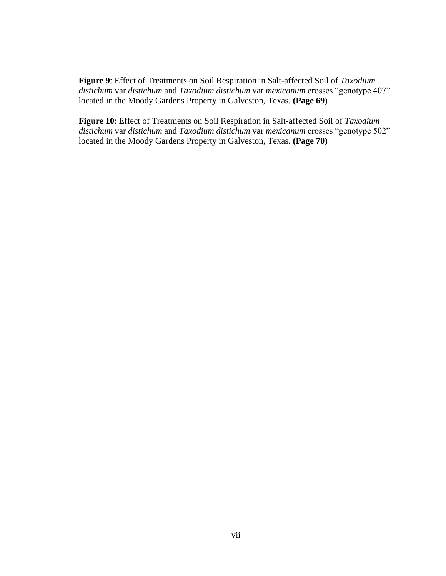**Figure 9**: Effect of Treatments on Soil Respiration in Salt-affected Soil of *Taxodium distichum* var *distichum* and *Taxodium distichum* var *mexicanum* crosses "genotype 407" located in the Moody Gardens Property in Galveston, Texas. **(Page 69)**

**Figure 10**: Effect of Treatments on Soil Respiration in Salt-affected Soil of *Taxodium distichum* var *distichum* and *Taxodium distichum* var *mexicanum* crosses "genotype 502" located in the Moody Gardens Property in Galveston, Texas. **(Page 70)**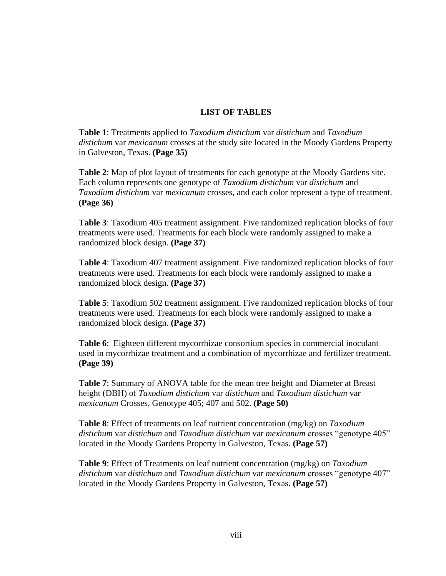# **LIST OF TABLES**

<span id="page-11-0"></span>**Table 1**: Treatments applied to *Taxodium distichum* var *distichum* and *Taxodium distichum* var *mexicanum* crosses at the study site located in the Moody Gardens Property in Galveston, Texas. **(Page 35)**

**Table 2**: Map of plot layout of treatments for each genotype at the Moody Gardens site. Each column represents one genotype of *Taxodium distichum* var *distichum* and *Taxodium distichum* var *mexicanum* crosses, and each color represent a type of treatment. **(Page 36)**

**Table 3**: Taxodium 405 treatment assignment. Five randomized replication blocks of four treatments were used. Treatments for each block were randomly assigned to make a randomized block design. **(Page 37)**

**Table 4**: Taxodium 407 treatment assignment. Five randomized replication blocks of four treatments were used. Treatments for each block were randomly assigned to make a randomized block design. **(Page 37)**

**Table 5**: Taxodium 502 treatment assignment. Five randomized replication blocks of four treatments were used. Treatments for each block were randomly assigned to make a randomized block design. **(Page 37)**

**Table 6**: Eighteen different mycorrhizae consortium species in commercial inoculant used in mycorrhizae treatment and a combination of mycorrhizae and fertilizer treatment. **(Page 39)**

**Table 7**: Summary of ANOVA table for the mean tree height and Diameter at Breast height (DBH) of *Taxodium distichum* var *distichum* and *Taxodium distichum* var *mexicanum* Crosses, Genotype 405; 407 and 502. **(Page 50)**

**Table 8**: Effect of treatments on leaf nutrient concentration (mg/kg) on *Taxodium distichum* var *distichum* and *Taxodium distichum* var *mexicanum* crosses "genotype 405" located in the Moody Gardens Property in Galveston, Texas. **(Page 57)**

**Table 9**: Effect of Treatments on leaf nutrient concentration (mg/kg) on *Taxodium distichum* var *distichum* and *Taxodium distichum* var *mexicanum* crosses "genotype 407" located in the Moody Gardens Property in Galveston, Texas. **(Page 57)**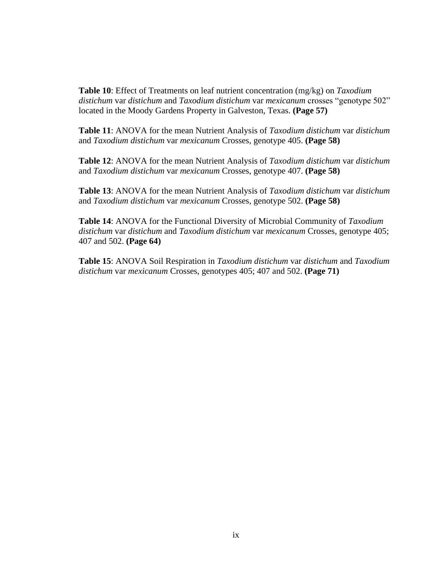**Table 10**: Effect of Treatments on leaf nutrient concentration (mg/kg) on *Taxodium distichum* var *distichum* and *Taxodium distichum* var *mexicanum* crosses "genotype 502" located in the Moody Gardens Property in Galveston, Texas. **(Page 57)**

**Table 11**: ANOVA for the mean Nutrient Analysis of *Taxodium distichum* var *distichum* and *Taxodium distichum* var *mexicanum* Crosses, genotype 405. **(Page 58)**

**Table 12**: ANOVA for the mean Nutrient Analysis of *Taxodium distichum* var *distichum* and *Taxodium distichum* var *mexicanum* Crosses, genotype 407. **(Page 58)**

**Table 13**: ANOVA for the mean Nutrient Analysis of *Taxodium distichum* var *distichum* and *Taxodium distichum* var *mexicanum* Crosses, genotype 502. **(Page 58)**

**Table 14**: ANOVA for the Functional Diversity of Microbial Community of *Taxodium distichum* var *distichum* and *Taxodium distichum* var *mexicanum* Crosses, genotype 405; 407 and 502. **(Page 64)**

**Table 15**: ANOVA Soil Respiration in *Taxodium distichum* var *distichum* and *Taxodium distichum* var *mexicanum* Crosses, genotypes 405; 407 and 502. **(Page 71)**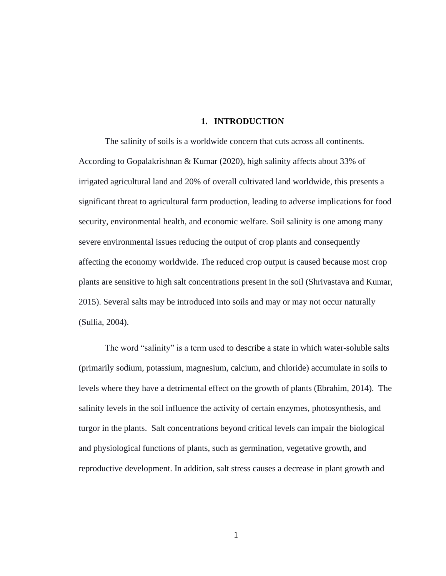#### **1. INTRODUCTION**

<span id="page-13-0"></span>The salinity of soils is a worldwide concern that cuts across all continents. According to Gopalakrishnan & Kumar (2020), high salinity affects about 33% of irrigated agricultural land and 20% of overall cultivated land worldwide, this presents a significant threat to agricultural farm production, leading to adverse implications for food security, environmental health, and economic welfare. Soil salinity is one among many severe environmental issues reducing the output of crop plants and consequently affecting the economy worldwide. The reduced crop output is caused because most crop plants are sensitive to high salt concentrations present in the soil (Shrivastava and Kumar, 2015). Several salts may be introduced into soils and may or may not occur naturally (Sullia, 2004).

The word "salinity" is a term used to describe a state in which water-soluble salts (primarily sodium, potassium, magnesium, calcium, and chloride) accumulate in soils to levels where they have a detrimental effect on the growth of plants (Ebrahim, 2014). The salinity levels in the soil influence the activity of certain enzymes, photosynthesis, and turgor in the plants. Salt concentrations beyond critical levels can impair the biological and physiological functions of plants, such as germination, vegetative growth, and reproductive development. In addition, salt stress causes a decrease in plant growth and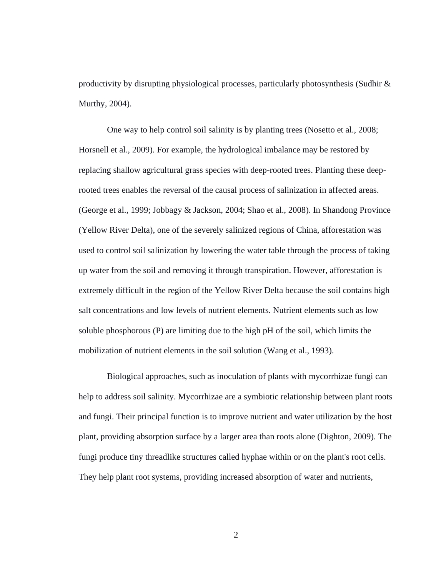productivity by disrupting physiological processes, particularly photosynthesis (Sudhir & Murthy, 2004).

One way to help control soil salinity is by planting trees (Nosetto et al., 2008; Horsnell et al., 2009). For example, the hydrological imbalance may be restored by replacing shallow agricultural grass species with deep-rooted trees. Planting these deeprooted trees enables the reversal of the causal process of salinization in affected areas. (George et al., 1999; Jobbagy & Jackson, 2004; Shao et al., 2008). In Shandong Province (Yellow River Delta), one of the severely salinized regions of China, afforestation was used to control soil salinization by lowering the water table through the process of taking up water from the soil and removing it through transpiration. However, afforestation is extremely difficult in the region of the Yellow River Delta because the soil contains high salt concentrations and low levels of nutrient elements. Nutrient elements such as low soluble phosphorous (P) are limiting due to the high pH of the soil, which limits the mobilization of nutrient elements in the soil solution (Wang et al., 1993).

Biological approaches, such as inoculation of plants with mycorrhizae fungi can help to address soil salinity. Mycorrhizae are a symbiotic relationship between plant roots and fungi. Their principal function is to improve nutrient and water utilization by the host plant, providing absorption surface by a larger area than roots alone (Dighton, 2009). The fungi produce tiny threadlike structures called hyphae within or on the plant's root cells. They help plant root systems, providing increased absorption of water and nutrients,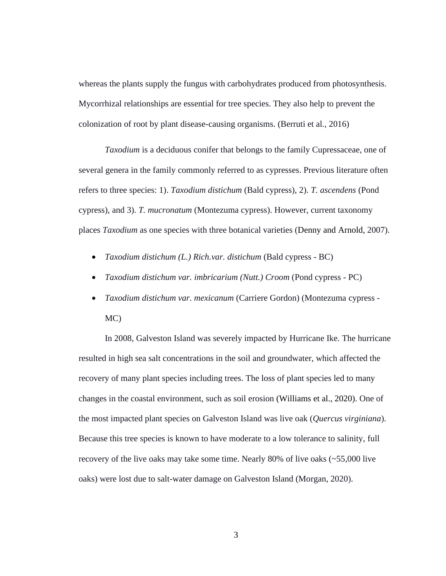whereas the plants supply the fungus with carbohydrates produced from photosynthesis. Mycorrhizal relationships are essential for tree species. They also help to prevent the colonization of root by plant disease-causing organisms. (Berruti et al*.,* 2016)

*Taxodium* is a deciduous conifer that belongs to the family Cupressaceae, one of several genera in the family commonly referred to as cypresses. Previous literature often refers to three species: 1). *Taxodium distichum* (Bald cypress), 2). *T. ascendens* (Pond cypress), and 3). *T. mucronatum* (Montezuma cypress). However, current taxonomy places *Taxodium* as one species with three botanical varieties (Denny and Arnold, 2007).

- *Taxodium distichum (L.) Rich.var. distichum* (Bald cypress BC)
- *Taxodium distichum var. imbricarium (Nutt.) Croom* (Pond cypress PC)
- *Taxodium distichum var. mexicanum* (Carriere Gordon) (Montezuma cypress MC)

In 2008, Galveston Island was severely impacted by Hurricane Ike. The hurricane resulted in high sea salt concentrations in the soil and groundwater, which affected the recovery of many plant species including trees. The loss of plant species led to many changes in the coastal environment, such as soil erosion (Williams et al., 2020). One of the most impacted plant species on Galveston Island was live oak (*Quercus virginiana*). Because this tree species is known to have moderate to a low tolerance to salinity, full recovery of the live oaks may take some time. Nearly 80% of live oaks (~55,000 live oaks) were lost due to salt-water damage on Galveston Island (Morgan, 2020).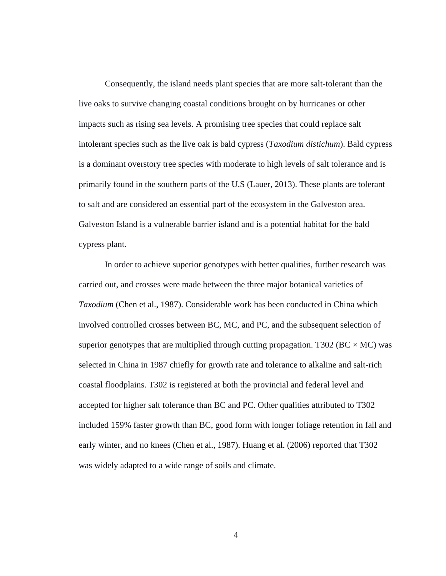Consequently, the island needs plant species that are more salt-tolerant than the live oaks to survive changing coastal conditions brought on by hurricanes or other impacts such as rising sea levels. A promising tree species that could replace salt intolerant species such as the live oak is bald cypress (*Taxodium distichum*). Bald cypress is a dominant overstory tree species with moderate to high levels of salt tolerance and is primarily found in the southern parts of the U.S (Lauer, 2013). These plants are tolerant to salt and are considered an essential part of the ecosystem in the Galveston area. Galveston Island is a vulnerable barrier island and is a potential habitat for the bald cypress plant.

In order to achieve superior genotypes with better qualities, further research was carried out, and crosses were made between the three major botanical varieties of *Taxodium* [\(Chen et al., 1987\)](https://journals.ashs.org/hortsci/view/journals/hortsci/45/12/article-p1773.xml#B8). Considerable work has been conducted in China which involved controlled crosses between BC, MC, and PC, and the subsequent selection of superior genotypes that are multiplied through cutting propagation. T302 ( $BC \times MC$ ) was selected in China in 1987 chiefly for growth rate and tolerance to alkaline and salt-rich coastal floodplains. T302 is registered at both the provincial and federal level and accepted for higher salt tolerance than BC and PC. Other qualities attributed to T302 included 159% faster growth than BC, good form with longer foliage retention in fall and early winter, and no knees [\(Chen et al., 1987\)](https://journals.ashs.org/hortsci/view/journals/hortsci/45/12/article-p1773.xml#B8). [Huang et al. \(2006\)](https://journals.ashs.org/hortsci/view/journals/hortsci/45/12/article-p1773.xml#B19) reported that T302 was widely adapted to a wide range of soils and climate.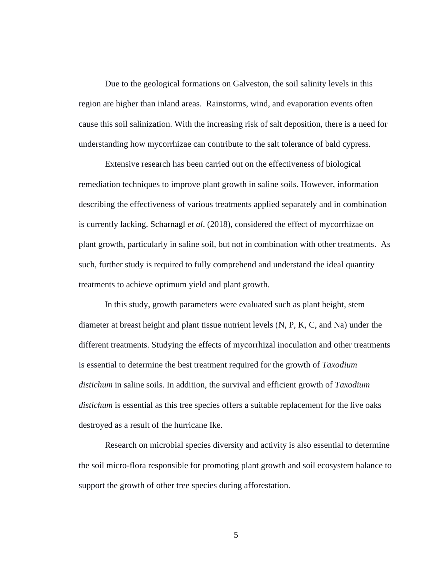Due to the geological formations on Galveston, the soil salinity levels in this region are higher than inland areas. Rainstorms, wind, and evaporation events often cause this soil salinization. With the increasing risk of salt deposition, there is a need for understanding how mycorrhizae can contribute to the salt tolerance of bald cypress.

Extensive research has been carried out on the effectiveness of biological remediation techniques to improve plant growth in saline soils. However, information describing the effectiveness of various treatments applied separately and in combination is currently lacking. Scharnagl *et al*. (2018), considered the effect of mycorrhizae on plant growth, particularly in saline soil, but not in combination with other treatments. As such, further study is required to fully comprehend and understand the ideal quantity treatments to achieve optimum yield and plant growth.

In this study, growth parameters were evaluated such as plant height, stem diameter at breast height and plant tissue nutrient levels (N, P, K, C, and Na) under the different treatments. Studying the effects of mycorrhizal inoculation and other treatments is essential to determine the best treatment required for the growth of *Taxodium distichum* in saline soils. In addition, the survival and efficient growth of *Taxodium distichum* is essential as this tree species offers a suitable replacement for the live oaks destroyed as a result of the hurricane Ike.

Research on microbial species diversity and activity is also essential to determine the soil micro-flora responsible for promoting plant growth and soil ecosystem balance to support the growth of other tree species during afforestation.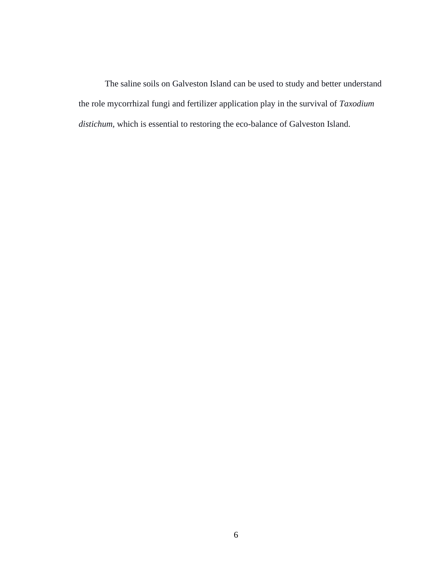<span id="page-18-0"></span>The saline soils on Galveston Island can be used to study and better understand the role mycorrhizal fungi and fertilizer application play in the survival of *Taxodium distichum,* which is essential to restoring the eco-balance of Galveston Island.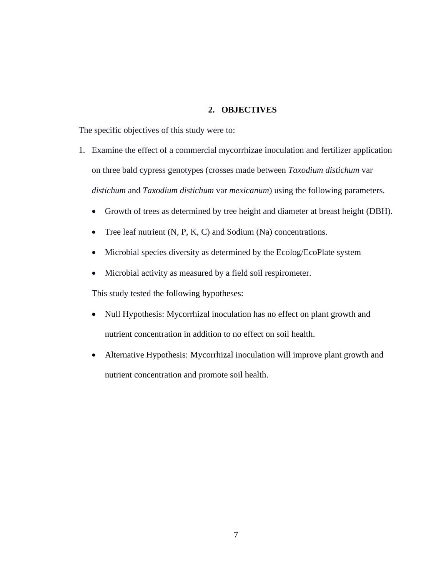### **2. OBJECTIVES**

The specific objectives of this study were to:

- 1. Examine the effect of a commercial mycorrhizae inoculation and fertilizer application on three bald cypress genotypes (crosses made between *Taxodium distichum* var *distichum* and *Taxodium distichum* var *mexicanum*) using the following parameters.
	- Growth of trees as determined by tree height and diameter at breast height (DBH).
	- Tree leaf nutrient  $(N, P, K, C)$  and Sodium  $(Na)$  concentrations.
	- Microbial species diversity as determined by the Ecolog/EcoPlate system
	- Microbial activity as measured by a field soil respirometer.

This study tested the following hypotheses:

- Null Hypothesis: Mycorrhizal inoculation has no effect on plant growth and nutrient concentration in addition to no effect on soil health.
- Alternative Hypothesis: Mycorrhizal inoculation will improve plant growth and nutrient concentration and promote soil health.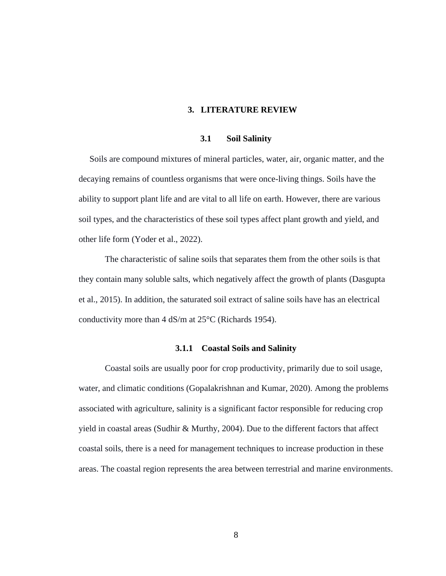#### **3. LITERATURE REVIEW**

#### **3.1 Soil Salinity**

<span id="page-20-1"></span><span id="page-20-0"></span> Soils are compound mixtures of mineral particles, water, air, organic matter, and the decaying remains of countless organisms that were once-living things. Soils have the ability to support plant life and are vital to all life on earth. However, there are various soil types, and the characteristics of these soil types affect plant growth and yield, and other life form (Yoder et al., 2022).

The characteristic of saline soils that separates them from the other soils is that they contain many soluble salts, which negatively affect the growth of plants (Dasgupta et al., 2015). In addition, the saturated soil extract of saline soils have has an electrical conductivity more than 4 dS/m at 25°C (Richards 1954).

#### **3.1.1 Coastal Soils and Salinity**

Coastal soils are usually poor for crop productivity, primarily due to soil usage, water, and climatic conditions (Gopalakrishnan and Kumar, 2020). Among the problems associated with agriculture, salinity is a significant factor responsible for reducing crop yield in coastal areas (Sudhir & Murthy, 2004). Due to the different factors that affect coastal soils, there is a need for management techniques to increase production in these areas. The coastal region represents the area between terrestrial and marine environments.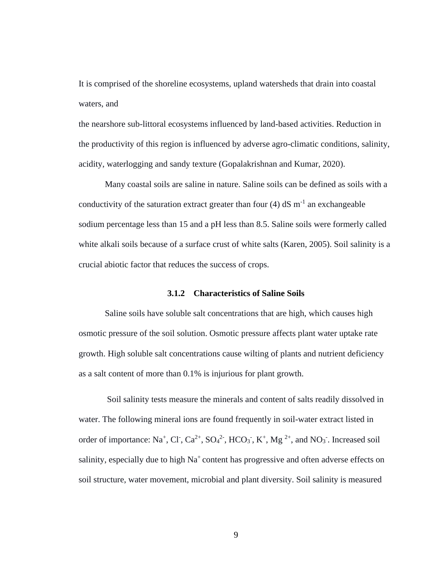It is comprised of the shoreline ecosystems, upland watersheds that drain into coastal waters, and

the nearshore sub-littoral ecosystems influenced by land-based activities. Reduction in the productivity of this region is influenced by adverse agro-climatic conditions, salinity, acidity, waterlogging and sandy texture (Gopalakrishnan and Kumar, 2020).

Many coastal soils are saline in nature. Saline soils can be defined as soils with a conductivity of the saturation extract greater than four  $(4)$  dS m<sup>-1</sup> an exchangeable sodium percentage less than 15 and a pH less than 8.5. Saline soils were formerly called white alkali soils because of a surface crust of white salts (Karen, 2005). Soil salinity is a crucial abiotic factor that reduces the success of crops.

#### **3.1.2 Characteristics of Saline Soils**

Saline soils have soluble salt concentrations that are high, which causes high osmotic pressure of the soil solution. Osmotic pressure affects plant water uptake rate growth. High soluble salt concentrations cause wilting of plants and nutrient deficiency as a salt content of more than 0.1% is injurious for plant growth.

Soil salinity tests measure the minerals and content of salts readily dissolved in water. The following mineral ions are found frequently in soil-water extract listed in order of importance: Na<sup>+</sup>, Cl<sup>-</sup>, Ca<sup>2+</sup>, SO<sub>4</sub><sup>2-</sup>, HCO<sub>3</sub><sup>-</sup>, K<sup>+</sup>, Mg<sup>2+</sup>, and NO<sub>3</sub><sup>-</sup>. Increased soil salinity, especially due to high Na<sup>+</sup> content has progressive and often adverse effects on soil structure, water movement, microbial and plant diversity. Soil salinity is measured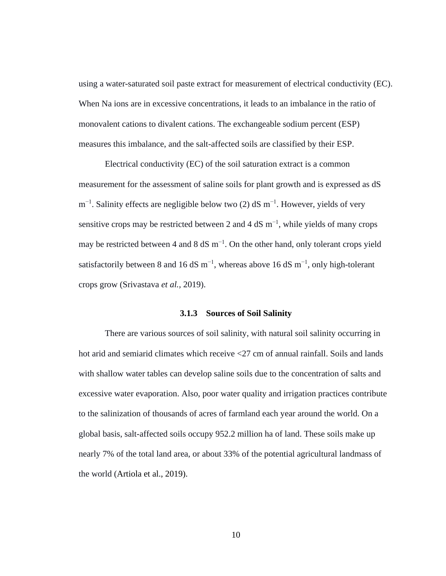using a water-saturated soil paste extract for measurement of electrical conductivity (EC). When Na ions are in excessive concentrations, it leads to an imbalance in the ratio of monovalent cations to divalent cations. The exchangeable sodium percent (ESP) measures this imbalance, and the salt-affected soils are classified by their ESP.

Electrical conductivity (EC) of the soil saturation extract is a common measurement for the assessment of saline soils for plant growth and is expressed as dS  $m^{-1}$ . Salinity effects are negligible below two (2) dS m<sup>-1</sup>. However, yields of very sensitive crops may be restricted between 2 and 4 dS  $m^{-1}$ , while yields of many crops may be restricted between 4 and 8 dS  $m^{-1}$ . On the other hand, only tolerant crops yield satisfactorily between 8 and 16 dS m<sup>-1</sup>, whereas above 16 dS m<sup>-1</sup>, only high-tolerant crops grow (Srivastava *et al.,* 2019).

#### **3.1.3 Sources of Soil Salinity**

There are various sources of soil salinity, with natural soil salinity occurring in hot arid and semiarid climates which receive  $\langle 27 \rangle$  cm of annual rainfall. Soils and lands with shallow water tables can develop saline soils due to the concentration of salts and excessive water evaporation. Also, poor water quality and irrigation practices contribute to the salinization of thousands of acres of farmland each year around the world. On a global basis, salt-affected soils occupy 952.2 million ha of land. These soils make up nearly 7% of the total land area, or about 33% of the potential agricultural landmass of the world (Artiola et al., 2019).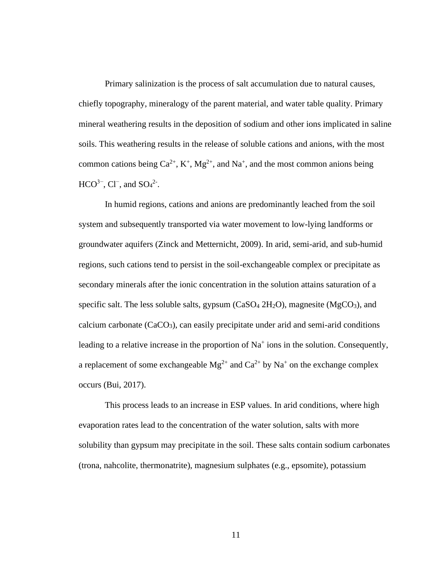Primary salinization is the process of salt accumulation due to natural causes, chiefly topography, mineralogy of the parent material, and water table quality. Primary mineral weathering results in the deposition of sodium and other ions implicated in saline soils. This weathering results in the release of soluble cations and anions, with the most common cations being  $Ca^{2+}$ ,  $K^+$ ,  $Mg^{2+}$ , and Na<sup>+</sup>, and the most common anions being  $HCO^{3-}$ , Cl<sup>-</sup>, and SO<sub>4</sub><sup>2-</sup>.

In humid regions, cations and anions are predominantly leached from the soil system and subsequently transported via water movement to low-lying landforms or groundwater aquifers [\(Zinck and Metternicht, 2009\)](https://www.frontiersin.org/articles/10.3389/fenvs.2021.712831/full#B134). In arid, semi-arid, and sub-humid regions, such cations tend to persist in the soil-exchangeable complex or precipitate as secondary minerals after the ionic concentration in the solution attains saturation of a specific salt. The less soluble salts, gypsum  $(CaSO<sub>4</sub> 2H<sub>2</sub>O)$ , magnesite  $(MgCO<sub>3</sub>)$ , and calcium carbonate  $(CaCO<sub>3</sub>)$ , can easily precipitate under arid and semi-arid conditions leading to a relative increase in the proportion of  $Na<sup>+</sup>$  ions in the solution. Consequently, a replacement of some exchangeable  $Mg^{2+}$  and  $Ca^{2+}$  by Na<sup>+</sup> on the exchange complex occurs [\(Bui, 2017\)](https://www.frontiersin.org/articles/10.3389/fenvs.2021.712831/full#B19).

This process leads to an increase in ESP values. In arid conditions, where high evaporation rates lead to the concentration of the water solution, salts with more solubility than gypsum may precipitate in the soil. These salts contain sodium carbonates (trona, nahcolite, thermonatrite), magnesium sulphates (e.g., epsomite), potassium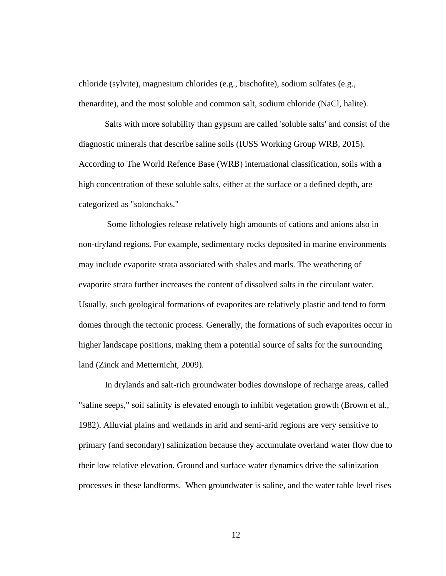chloride (sylvite), magnesium chlorides (e.g., bischofite), sodium sulfates (e.g., thenardite), and the most soluble and common salt, sodium chloride (NaCl, halite).

Salts with more solubility than gypsum are called 'soluble salts' and consist of the diagnostic minerals that describe saline soils [\(IUSS Working Group WRB, 2015\)](https://www.frontiersin.org/articles/10.3389/fenvs.2021.712831/full#B60). According to The World Refence Base (WRB) international classification, soils with a high concentration of these soluble salts, either at the surface or a defined depth, are categorized as "solonchaks."

Some lithologies release relatively high amounts of cations and anions also in non-dryland regions. For example, sedimentary rocks deposited in marine environments may include evaporite strata associated with shales and marls. The weathering of evaporite strata further increases the content of dissolved salts in the circulant water. Usually, such geological formations of evaporites are relatively plastic and tend to form domes through the tectonic process. Generally, the formations of such evaporites occur in higher landscape positions, making them a potential source of salts for the surrounding land [\(Zinck and Metternicht, 2009\)](https://www.frontiersin.org/articles/10.3389/fenvs.2021.712831/full#B134).

In drylands and salt-rich groundwater bodies downslope of recharge areas, called "saline seeps," soil salinity is elevated enough to inhibit vegetation growth [\(Brown et al.,](https://www.frontiersin.org/articles/10.3389/fenvs.2021.712831/full#B18)  [1982\)](https://www.frontiersin.org/articles/10.3389/fenvs.2021.712831/full#B18). Alluvial plains and wetlands in arid and semi-arid regions are very sensitive to primary (and secondary) salinization because they accumulate overland water flow due to their low relative elevation. Ground and surface water dynamics drive the salinization processes in these landforms. When groundwater is saline, and the water table level rises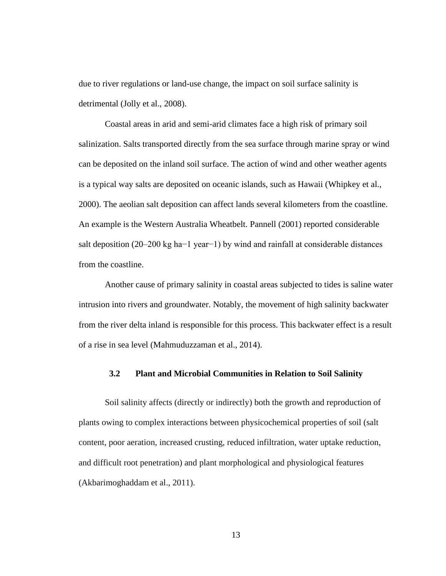due to river regulations or land-use change, the impact on soil surface salinity is detrimental [\(Jolly et al., 2008\)](https://www.frontiersin.org/articles/10.3389/fenvs.2021.712831/full#B64).

Coastal areas in arid and semi-arid climates face a high risk of primary soil salinization. Salts transported directly from the sea surface through marine spray or wind can be deposited on the inland soil surface. The action of wind and other weather agents is a typical way salts are deposited on oceanic islands, such as Hawaii [\(Whipkey et al.,](https://www.frontiersin.org/articles/10.3389/fenvs.2021.712831/full#B129)  [2000\)](https://www.frontiersin.org/articles/10.3389/fenvs.2021.712831/full#B129). The aeolian salt deposition can affect lands several kilometers from the coastline. An example is the Western Australia Wheatbelt. [Pannell \(2001\)](https://www.frontiersin.org/articles/10.3389/fenvs.2021.712831/full#B88) reported considerable salt deposition (20–200 kg ha−1 year−1) by wind and rainfall at considerable distances from the coastline.

Another cause of primary salinity in coastal areas subjected to tides is saline water intrusion into rivers and groundwater. Notably, the movement of high salinity backwater from the river delta inland is responsible for this process. This backwater effect is a result of a rise in sea level [\(Mahmuduzzaman et al., 2014\)](https://www.frontiersin.org/articles/10.3389/fenvs.2021.712831/full#B74).

## <span id="page-25-0"></span>**3.2 Plant and Microbial Communities in Relation to Soil Salinity**

Soil salinity affects (directly or indirectly) both the growth and reproduction of plants owing to complex interactions between physicochemical properties of soil (salt content, poor aeration, increased crusting, reduced infiltration, water uptake reduction, and difficult root penetration) and plant morphological and physiological features (Akbarimoghaddam et al., 2011).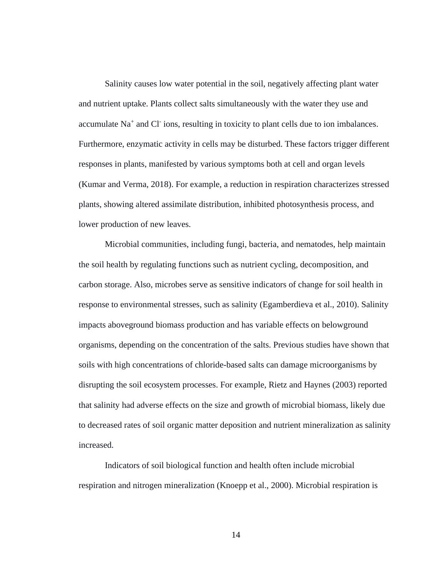Salinity causes low water potential in the soil, negatively affecting plant water and nutrient uptake. Plants collect salts simultaneously with the water they use and accumulate Na<sup>+</sup> and Cl<sup>-</sup> ions, resulting in toxicity to plant cells due to ion imbalances. Furthermore, enzymatic activity in cells may be disturbed. These factors trigger different responses in plants, manifested by various symptoms both at cell and organ levels (Kumar and Verma, 2018). For example, a reduction in respiration characterizes stressed plants, showing altered assimilate distribution, inhibited photosynthesis process, and lower production of new leaves.

Microbial communities, including fungi, bacteria, and nematodes, help maintain the soil health by regulating functions such as nutrient cycling, decomposition, and carbon storage. Also, microbes serve as sensitive indicators of change for soil health in response to environmental stresses, such as salinity (Egamberdieva et al., 2010). Salinity impacts aboveground biomass production and has variable effects on belowground organisms, depending on the concentration of the salts. Previous studies have shown that soils with high concentrations of chloride-based salts can damage microorganisms by disrupting the soil ecosystem processes. For example, Rietz and Haynes (2003) reported that salinity had adverse effects on the size and growth of microbial biomass, likely due to decreased rates of soil organic matter deposition and nutrient mineralization as salinity increased.

Indicators of soil biological function and health often include microbial respiration and nitrogen mineralization (Knoepp et al., 2000). Microbial respiration is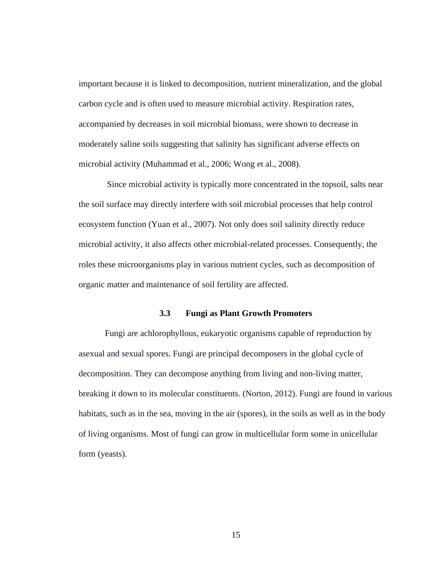important because it is linked to decomposition, nutrient mineralization, and the global carbon cycle and is often used to measure microbial activity. Respiration rates, accompanied by decreases in soil microbial biomass, were shown to decrease in moderately saline soils suggesting that salinity has significant adverse effects on microbial activity (Muhammad et al., 2006; Wong et al., 2008).

Since microbial activity is typically more concentrated in the topsoil, salts near the soil surface may directly interfere with soil microbial processes that help control ecosystem function (Yuan et al., 2007). Not only does soil salinity directly reduce microbial activity, it also affects other microbial-related processes. Consequently, the roles these microorganisms play in various nutrient cycles, such as decomposition of organic matter and maintenance of soil fertility are affected.

#### **3.3 Fungi as Plant Growth Promoters**

<span id="page-27-0"></span>Fungi are achlorophyllous, eukaryotic organisms capable of reproduction by asexual and sexual spores. Fungi are principal decomposers in the global cycle of decomposition. They can decompose anything from living and non-living matter, breaking it down to its molecular constituents. (Norton, 2012). Fungi are found in various habitats, such as in the sea, moving in the air (spores), in the soils as well as in the body of living organisms. Most of fungi can grow in multicellular form some in unicellular form (yeasts).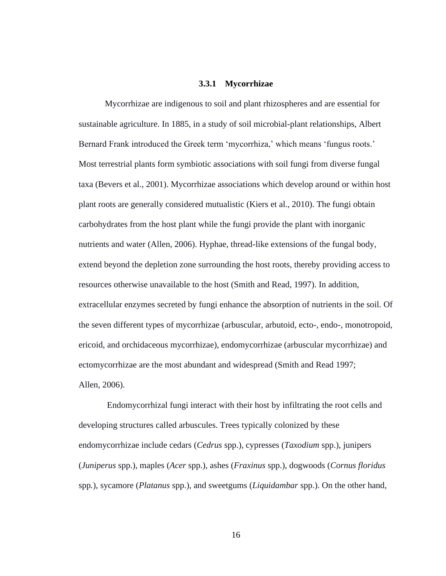#### **3.3.1 Mycorrhizae**

Mycorrhizae are indigenous to soil and plant rhizospheres and are essential for sustainable agriculture. In 1885, in a study of soil microbial-plant relationships, Albert Bernard Frank introduced the Greek term 'mycorrhiza,' which means 'fungus roots.' Most terrestrial plants form symbiotic associations with soil fungi from diverse fungal taxa (Bevers et al., 2001). Mycorrhizae associations which develop around or within host plant roots are generally considered mutualistic (Kiers et al., 2010). The fungi obtain carbohydrates from the host plant while the fungi provide the plant with inorganic nutrients and water (Allen, 2006). Hyphae, thread-like extensions of the fungal body, extend beyond the depletion zone surrounding the host roots, thereby providing access to resources otherwise unavailable to the host (Smith and Read, 1997). In addition, extracellular enzymes secreted by fungi enhance the absorption of nutrients in the soil. Of the seven different types of mycorrhizae (arbuscular, arbutoid, ecto-, endo-, monotropoid, ericoid, and orchidaceous mycorrhizae), endomycorrhizae (arbuscular mycorrhizae) and ectomycorrhizae are the most abundant and widespread (Smith and Read 1997; Allen*,* 2006).

Endomycorrhizal fungi interact with their host by infiltrating the root cells and developing structures called arbuscules. Trees typically colonized by these endomycorrhizae include cedars (*Cedrus* spp.), cypresses (*Taxodium* spp.), junipers (*Juniperus* spp.), maples (*Acer* spp.), ashes (*Fraxinus* spp.), dogwoods (*Cornus floridus* spp*.*), sycamore (*Platanus* spp.), and sweetgums (*Liquidambar* spp.). On the other hand,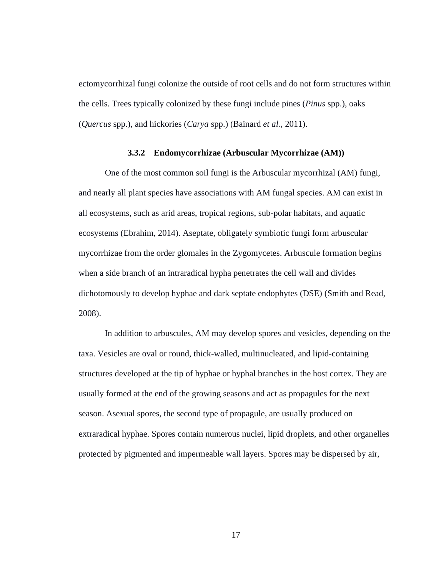ectomycorrhizal fungi colonize the outside of root cells and do not form structures within the cells. Trees typically colonized by these fungi include pines (*Pinus* spp.), oaks (*Quercus* spp.), and hickories (*Carya* spp.) (Bainard *et al.,* 2011).

#### **3.3.2 Endomycorrhizae (Arbuscular Mycorrhizae (AM))**

One of the most common soil fungi is the Arbuscular mycorrhizal (AM) fungi, and nearly all plant species have associations with AM fungal species. AM can exist in all ecosystems, such as arid areas, tropical regions, sub-polar habitats, and aquatic ecosystems (Ebrahim, 2014). Aseptate, obligately symbiotic fungi form arbuscular mycorrhizae from the order glomales in the Zygomycetes. Arbuscule formation begins when a side branch of an intraradical hypha penetrates the cell wall and divides dichotomously to develop hyphae and dark septate endophytes (DSE) (Smith and Read, 2008).

In addition to arbuscules, AM may develop spores and vesicles, depending on the taxa. Vesicles are oval or round, thick-walled, multinucleated, and lipid-containing structures developed at the tip of hyphae or hyphal branches in the host cortex. They are usually formed at the end of the growing seasons and act as propagules for the next season. Asexual spores, the second type of propagule, are usually produced on extraradical hyphae. Spores contain numerous nuclei, lipid droplets, and other organelles protected by pigmented and impermeable wall layers. Spores may be dispersed by air,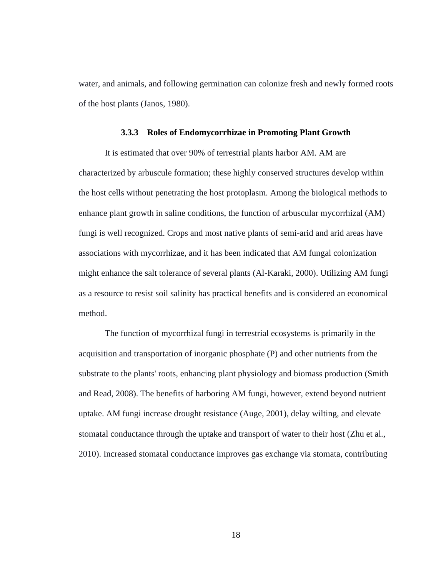water, and animals, and following germination can colonize fresh and newly formed roots of the host plants (Janos, 1980).

#### **3.3.3 Roles of Endomycorrhizae in Promoting Plant Growth**

It is estimated that over 90% of terrestrial plants harbor AM. AM are characterized by arbuscule formation; these highly conserved structures develop within the host cells without penetrating the host protoplasm. Among the biological methods to enhance plant growth in saline conditions, the function of arbuscular mycorrhizal (AM) fungi is well recognized. Crops and most native plants of semi-arid and arid areas have associations with mycorrhizae, and it has been indicated that AM fungal colonization might enhance the salt tolerance of several plants (Al-Karaki, 2000). Utilizing AM fungi as a resource to resist soil salinity has practical benefits and is considered an economical method.

The function of mycorrhizal fungi in terrestrial ecosystems is primarily in the acquisition and transportation of inorganic phosphate (P) and other nutrients from the substrate to the plants' roots, enhancing plant physiology and biomass production (Smith and Read, 2008). The benefits of harboring AM fungi, however, extend beyond nutrient uptake. AM fungi increase drought resistance (Auge, 2001), delay wilting, and elevate stomatal conductance through the uptake and transport of water to their host (Zhu et al., 2010). Increased stomatal conductance improves gas exchange via stomata, contributing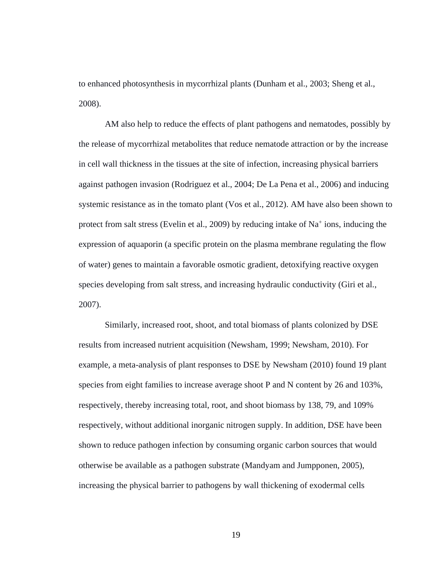to enhanced photosynthesis in mycorrhizal plants (Dunham et al., 2003; Sheng et al., 2008).

AM also help to reduce the effects of plant pathogens and nematodes, possibly by the release of mycorrhizal metabolites that reduce nematode attraction or by the increase in cell wall thickness in the tissues at the site of infection, increasing physical barriers against pathogen invasion (Rodriguez et al., 2004; De La Pena et al., 2006) and inducing systemic resistance as in the tomato plant (Vos et al., 2012). AM have also been shown to protect from salt stress (Evelin et al., 2009) by reducing intake of  $Na<sup>+</sup>$  ions, inducing the expression of aquaporin (a specific protein on the plasma membrane regulating the flow of water) genes to maintain a favorable osmotic gradient, detoxifying reactive oxygen species developing from salt stress, and increasing hydraulic conductivity (Giri et al., 2007).

Similarly, increased root, shoot, and total biomass of plants colonized by DSE results from increased nutrient acquisition (Newsham, 1999; Newsham, 2010). For example, a meta-analysis of plant responses to DSE by Newsham (2010) found 19 plant species from eight families to increase average shoot P and N content by 26 and 103%, respectively, thereby increasing total, root, and shoot biomass by 138, 79, and 109% respectively, without additional inorganic nitrogen supply. In addition, DSE have been shown to reduce pathogen infection by consuming organic carbon sources that would otherwise be available as a pathogen substrate (Mandyam and Jumpponen, 2005), increasing the physical barrier to pathogens by wall thickening of exodermal cells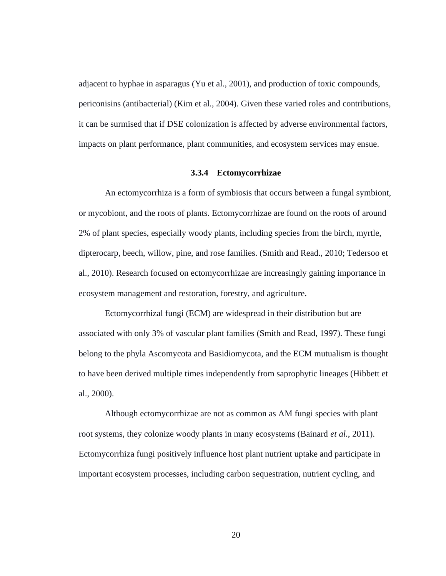adjacent to hyphae in asparagus (Yu et al., 2001), and production of toxic compounds, periconisins (antibacterial) (Kim et al., 2004). Given these varied roles and contributions, it can be surmised that if DSE colonization is affected by adverse environmental factors, impacts on plant performance, plant communities, and ecosystem services may ensue.

#### **3.3.4 Ectomycorrhizae**

An ectomycorrhiza is a form of symbiosis that occurs between a fungal symbiont, or mycobiont, and the roots of plants. Ectomycorrhizae are found on the roots of around 2% of plant species, especially woody plants, including species from the birch, myrtle, dipterocarp, beech, willow, pine, and rose families. (Smith and Read., 2010; Tedersoo et al., 2010). Research focused on ectomycorrhizae are increasingly gaining importance in ecosystem management and restoration, forestry, and agriculture.

Ectomycorrhizal fungi (ECM) are widespread in their distribution but are associated with only 3% of vascular plant families (Smith and Read, 1997). These fungi belong to the phyla Ascomycota and Basidiomycota, and the ECM mutualism is thought to have been derived multiple times independently from saprophytic lineages (Hibbett et al., 2000).

Although ectomycorrhizae are not as common as AM fungi species with plant root systems, they colonize woody plants in many ecosystems (Bainard *et al.*, 2011). Ectomycorrhiza fungi positively influence host plant nutrient uptake and participate in important ecosystem processes, including carbon sequestration, nutrient cycling, and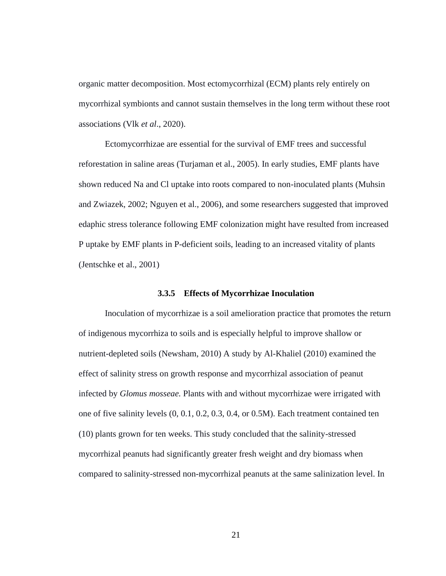organic matter decomposition. Most ectomycorrhizal (ECM) plants rely entirely on mycorrhizal symbionts and cannot sustain themselves in the long term without these root associations (Vlk *et al*., 2020).

Ectomycorrhizae are essential for the survival of EMF trees and successful reforestation in saline areas (Turjaman et al., 2005). In early studies, EMF plants have shown reduced Na and Cl uptake into roots compared to non-inoculated plants (Muhsin and Zwiazek, 2002; Nguyen et al., 2006), and some researchers suggested that improved edaphic stress tolerance following EMF colonization might have resulted from increased P uptake by EMF plants in P-deficient soils, leading to an increased vitality of plants (Jentschke et al., 2001)

#### **3.3.5 Effects of Mycorrhizae Inoculation**

Inoculation of mycorrhizae is a soil amelioration practice that promotes the return of indigenous mycorrhiza to soils and is especially helpful to improve shallow or nutrient-depleted soils (Newsham, 2010) A study by Al-Khaliel (2010) examined the effect of salinity stress on growth response and mycorrhizal association of peanut infected by *Glomus mosseae.* Plants with and without mycorrhizae were irrigated with one of five salinity levels (0, 0.1, 0.2, 0.3, 0.4, or 0.5M). Each treatment contained ten (10) plants grown for ten weeks. This study concluded that the salinity-stressed mycorrhizal peanuts had significantly greater fresh weight and dry biomass when compared to salinity-stressed non-mycorrhizal peanuts at the same salinization level. In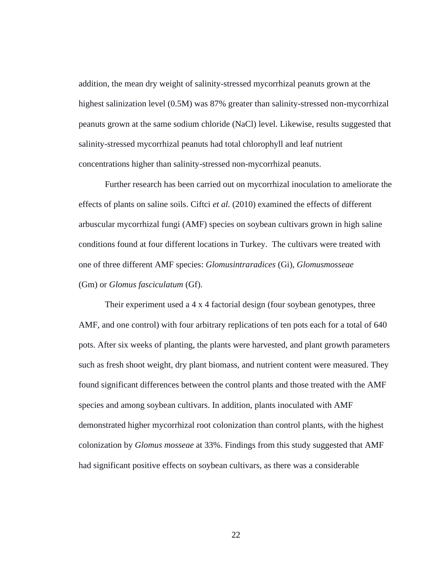addition, the mean dry weight of salinity-stressed mycorrhizal peanuts grown at the highest salinization level (0.5M) was 87% greater than salinity-stressed non-mycorrhizal peanuts grown at the same sodium chloride (NaCl) level. Likewise, results suggested that salinity-stressed mycorrhizal peanuts had total chlorophyll and leaf nutrient concentrations higher than salinity-stressed non-mycorrhizal peanuts.

Further research has been carried out on mycorrhizal inoculation to ameliorate the effects of plants on saline soils. Ciftci *et al.* (2010) examined the effects of different arbuscular mycorrhizal fungi (AMF) species on soybean cultivars grown in high saline conditions found at four different locations in Turkey. The cultivars were treated with one of three different AMF species: *Glomusintraradices* (Gi), *Glomusmosseae* (Gm) or *Glomus fasciculatum* (Gf).

Their experiment used a 4 x 4 factorial design (four soybean genotypes, three AMF, and one control) with four arbitrary replications of ten pots each for a total of 640 pots. After six weeks of planting, the plants were harvested, and plant growth parameters such as fresh shoot weight, dry plant biomass, and nutrient content were measured. They found significant differences between the control plants and those treated with the AMF species and among soybean cultivars. In addition, plants inoculated with AMF demonstrated higher mycorrhizal root colonization than control plants, with the highest colonization by *Glomus mosseae* at 33%. Findings from this study suggested that AMF had significant positive effects on soybean cultivars, as there was a considerable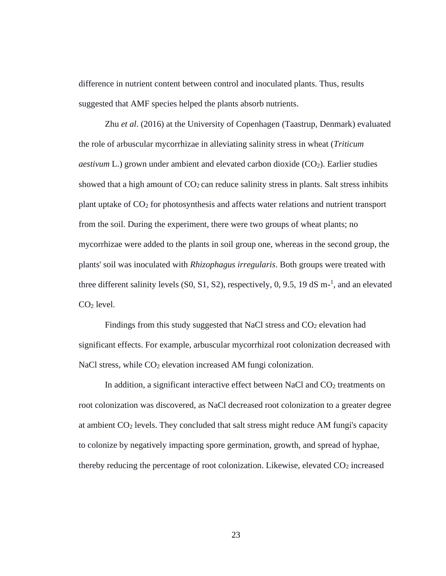difference in nutrient content between control and inoculated plants. Thus, results suggested that AMF species helped the plants absorb nutrients.

Zhu *et al*. (2016) at the University of Copenhagen (Taastrup, Denmark) evaluated the role of arbuscular mycorrhizae in alleviating salinity stress in wheat (*Triticum aestivum* L.) grown under ambient and elevated carbon dioxide (CO<sub>2</sub>). Earlier studies showed that a high amount of  $CO<sub>2</sub>$  can reduce salinity stress in plants. Salt stress inhibits plant uptake of  $CO<sub>2</sub>$  for photosynthesis and affects water relations and nutrient transport from the soil. During the experiment, there were two groups of wheat plants; no mycorrhizae were added to the plants in soil group one, whereas in the second group, the plants' soil was inoculated with *Rhizophagus irregularis*. Both groups were treated with three different salinity levels  $(S0, S1, S2)$ , respectively, 0, 9.5, 19 dS m<sup>-1</sup>, and an elevated  $CO<sub>2</sub>$  level.

Findings from this study suggested that NaCl stress and  $CO<sub>2</sub>$  elevation had significant effects. For example, arbuscular mycorrhizal root colonization decreased with NaCl stress, while CO<sub>2</sub> elevation increased AM fungi colonization.

In addition, a significant interactive effect between NaCl and  $CO<sub>2</sub>$  treatments on root colonization was discovered, as NaCl decreased root colonization to a greater degree at ambient CO<sup>2</sup> levels. They concluded that salt stress might reduce AM fungi's capacity to colonize by negatively impacting spore germination, growth, and spread of hyphae, thereby reducing the percentage of root colonization. Likewise, elevated  $CO<sub>2</sub>$  increased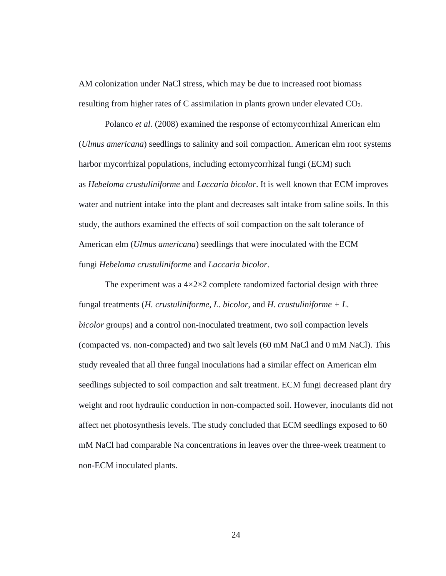AM colonization under NaCl stress, which may be due to increased root biomass resulting from higher rates of C assimilation in plants grown under elevated  $CO<sub>2</sub>$ .

Polanco *et al.* (2008) examined the response of ectomycorrhizal American elm (*Ulmus americana*) seedlings to salinity and soil compaction. American elm root systems harbor mycorrhizal populations, including ectomycorrhizal fungi (ECM) such as *Hebeloma crustuliniforme* and *Laccaria bicolor*. It is well known that ECM improves water and nutrient intake into the plant and decreases salt intake from saline soils. In this study, the authors examined the effects of soil compaction on the salt tolerance of American elm (*Ulmus americana*) seedlings that were inoculated with the ECM fungi *Hebeloma crustuliniforme* and *Laccaria bicolor*.

The experiment was a  $4 \times 2 \times 2$  complete randomized factorial design with three fungal treatments (*H. crustuliniforme, L. bicolor,* and *H. crustuliniforme + L. bicolor* groups) and a control non-inoculated treatment, two soil compaction levels (compacted vs. non-compacted) and two salt levels (60 mM NaCl and 0 mM NaCl). This study revealed that all three fungal inoculations had a similar effect on American elm seedlings subjected to soil compaction and salt treatment. ECM fungi decreased plant dry weight and root hydraulic conduction in non-compacted soil. However, inoculants did not affect net photosynthesis levels. The study concluded that ECM seedlings exposed to 60 mM NaCl had comparable Na concentrations in leaves over the three-week treatment to non-ECM inoculated plants.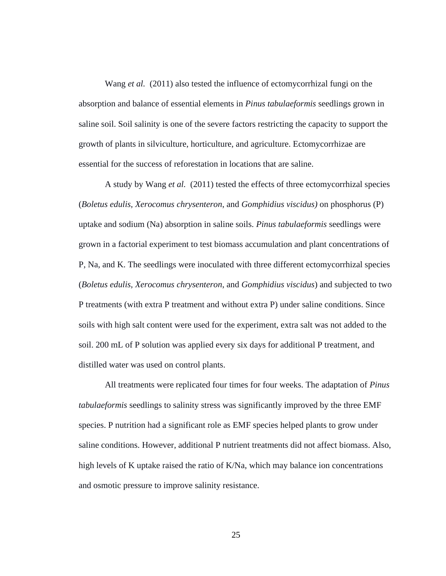Wang *et al.* (2011) also tested the influence of ectomycorrhizal fungi on the absorption and balance of essential elements in *Pinus tabulaeformis* seedlings grown in saline soil. Soil salinity is one of the severe factors restricting the capacity to support the growth of plants in silviculture, horticulture, and agriculture. Ectomycorrhizae are essential for the success of reforestation in locations that are saline.

A study by Wang *et al.* (2011) tested the effects of three ectomycorrhizal species (*Boletus edulis, Xerocomus chrysenteron*, and *Gomphidius viscidus)* on phosphorus (P) uptake and sodium (Na) absorption in saline soils. *Pinus tabulaeformis* seedlings were grown in a factorial experiment to test biomass accumulation and plant concentrations of P, Na, and K. The seedlings were inoculated with three different ectomycorrhizal species (*Boletus edulis, Xerocomus chrysenteron*, and *Gomphidius viscidus*) and subjected to two P treatments (with extra P treatment and without extra P) under saline conditions. Since soils with high salt content were used for the experiment, extra salt was not added to the soil. 200 mL of P solution was applied every six days for additional P treatment, and distilled water was used on control plants.

All treatments were replicated four times for four weeks. The adaptation of *Pinus tabulaeformis* seedlings to salinity stress was significantly improved by the three EMF species. P nutrition had a significant role as EMF species helped plants to grow under saline conditions. However, additional P nutrient treatments did not affect biomass. Also, high levels of K uptake raised the ratio of K/Na, which may balance ion concentrations and osmotic pressure to improve salinity resistance.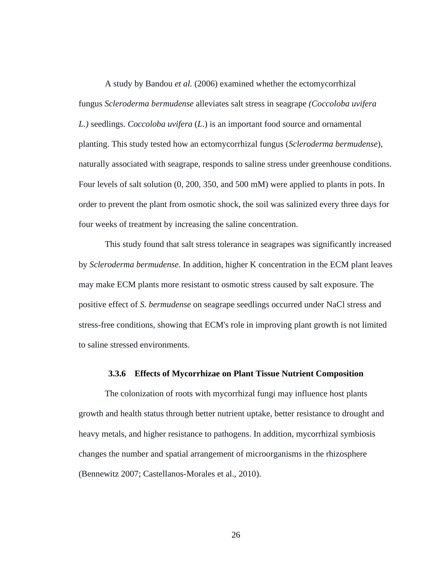A study by Bandou *et al.* (2006) examined whether the ectomycorrhizal fungus *Scleroderma bermudense* alleviates salt stress in seagrape *(Coccoloba uvifera L.)* seedlings. *Coccoloba uvifera* (*L*.) is an important food source and ornamental planting. This study tested how an ectomycorrhizal fungus (*Scleroderma bermudense*), naturally associated with seagrape, responds to saline stress under greenhouse conditions. Four levels of salt solution (0, 200, 350, and 500 mM) were applied to plants in pots. In order to prevent the plant from osmotic shock, the soil was salinized every three days for four weeks of treatment by increasing the saline concentration.

This study found that salt stress tolerance in seagrapes was significantly increased by *Scleroderma bermudense*. In addition, higher K concentration in the ECM plant leaves may make ECM plants more resistant to osmotic stress caused by salt exposure. The positive effect of *S. bermudense* on seagrape seedlings occurred under NaCl stress and stress-free conditions, showing that ECM's role in improving plant growth is not limited to saline stressed environments.

### **3.3.6 Effects of Mycorrhizae on Plant Tissue Nutrient Composition**

The colonization of roots with mycorrhizal fungi may influence host plants growth and health status through better nutrient uptake, better resistance to drought and heavy metals, and higher resistance to pathogens. In addition, mycorrhizal symbiosis changes the number and spatial arrangement of microorganisms in the rhizosphere (Bennewitz 2007; Castellanos-Morales et al.*,* 2010).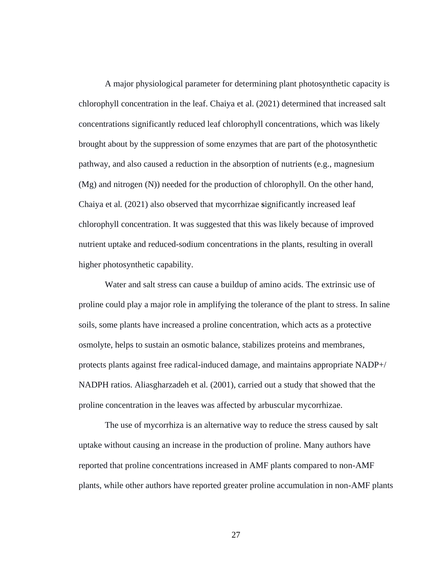A major physiological parameter for determining plant photosynthetic capacity is chlorophyll concentration in the leaf. Chaiya et al. (2021) determined that increased salt concentrations significantly reduced leaf chlorophyll concentrations, which was likely brought about by the suppression of some enzymes that are part of the photosynthetic pathway, and also caused a reduction in the absorption of nutrients (e.g., magnesium (Mg) and nitrogen (N)) needed for the production of chlorophyll. On the other hand, Chaiya et al*.* (2021) also observed that mycorrhizae **s**ignificantly increased leaf chlorophyll concentration. It was suggested that this was likely because of improved nutrient uptake and reduced-sodium concentrations in the plants, resulting in overall higher photosynthetic capability.

Water and salt stress can cause a buildup of amino acids. The extrinsic use of proline could play a major role in amplifying the tolerance of the plant to stress. In saline soils, some plants have increased a proline concentration, which acts as a protective osmolyte, helps to sustain an osmotic balance, stabilizes proteins and membranes, protects plants against free radical-induced damage, and maintains appropriate NADP+/ NADPH ratios. Aliasgharzadeh et al*.* (2001)*,* carried out a study that showed that the proline concentration in the leaves was affected by arbuscular mycorrhizae.

The use of mycorrhiza is an alternative way to reduce the stress caused by salt uptake without causing an increase in the production of proline. Many authors have reported that proline concentrations increased in AMF plants compared to non-AMF plants, while other authors have reported greater proline accumulation in non-AMF plants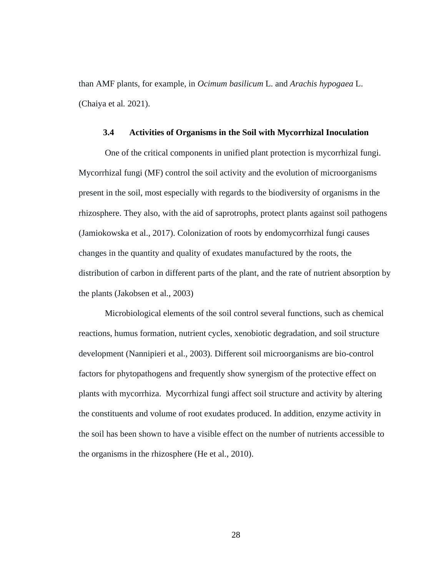than AMF plants, for example, in *Ocimum basilicum* L. and *Arachis hypogaea* L. (Chaiya et al*.* 2021).

#### **3.4 Activities of Organisms in the Soil with Mycorrhizal Inoculation**

One of the critical components in unified plant protection is mycorrhizal fungi. Mycorrhizal fungi (MF) control the soil activity and the evolution of microorganisms present in the soil, most especially with regards to the biodiversity of organisms in the rhizosphere. They also, with the aid of saprotrophs, protect plants against soil pathogens (Jamiokowska et al.*,* 2017). Colonization of roots by endomycorrhizal fungi causes changes in the quantity and quality of exudates manufactured by the roots, the distribution of carbon in different parts of the plant, and the rate of nutrient absorption by the plants (Jakobsen et al*.,* 2003)

Microbiological elements of the soil control several functions, such as chemical reactions, humus formation, nutrient cycles, xenobiotic degradation, and soil structure development (Nannipieri et al., 2003). Different soil microorganisms are bio-control factors for phytopathogens and frequently show synergism of the protective effect on plants with mycorrhiza. Mycorrhizal fungi affect soil structure and activity by altering the constituents and volume of root exudates produced. In addition, enzyme activity in the soil has been shown to have a visible effect on the number of nutrients accessible to the organisms in the rhizosphere (He et al., 2010).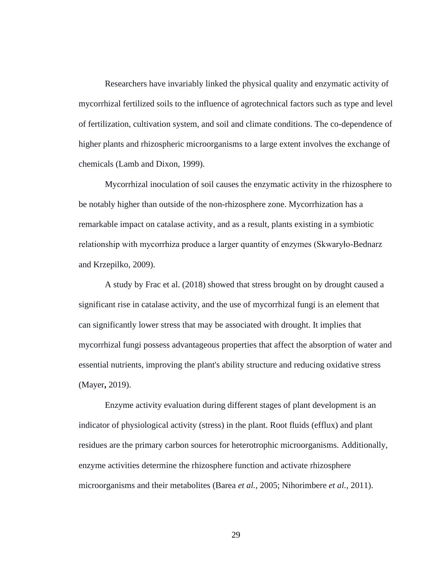Researchers have invariably linked the physical quality and enzymatic activity of mycorrhizal fertilized soils to the influence of agrotechnical factors such as type and level of fertilization, cultivation system, and soil and climate conditions. The co-dependence of higher plants and rhizospheric microorganisms to a large extent involves the exchange of chemicals (Lamb and Dixon, 1999).

Mycorrhizal inoculation of soil causes the enzymatic activity in the rhizosphere to be notably higher than outside of the non-rhizosphere zone. Mycorrhization has a remarkable impact on catalase activity, and as a result, plants existing in a symbiotic relationship with mycorrhiza produce a larger quantity of enzymes (Skwaryło-Bednarz and Krzepilko, 2009).

A study by Frac et al. (2018) showed that stress brought on by drought caused a significant rise in catalase activity, and the use of mycorrhizal fungi is an element that can significantly lower stress that may be associated with drought. It implies that mycorrhizal fungi possess advantageous properties that affect the absorption of water and essential nutrients, improving the plant's ability structure and reducing oxidative stress (Mayer**,** 2019).

Enzyme activity evaluation during different stages of plant development is an indicator of physiological activity (stress) in the plant. Root fluids (efflux) and plant residues are the primary carbon sources for heterotrophic microorganisms. Additionally, enzyme activities determine the rhizosphere function and activate rhizosphere microorganisms and their metabolites (Barea *et al.,* 2005; Nihorimbere *et al.,* 2011).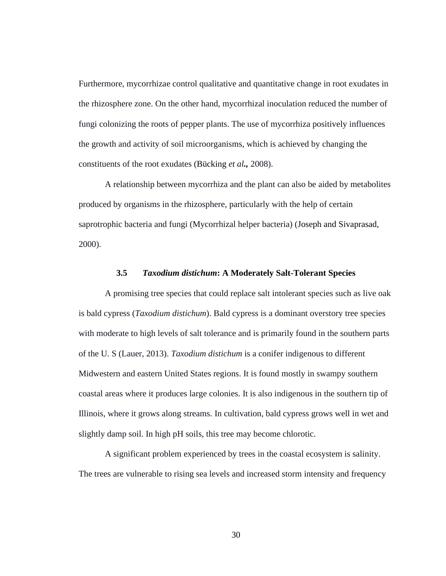Furthermore, mycorrhizae control qualitative and quantitative change in root exudates in the rhizosphere zone. On the other hand, mycorrhizal inoculation reduced the number of fungi colonizing the roots of pepper plants. The use of mycorrhiza positively influences the growth and activity of soil microorganisms, which is achieved by changing the constituents of the root exudates (Bücking *et al.,* 2008).

A relationship between mycorrhiza and the plant can also be aided by metabolites produced by organisms in the rhizosphere, particularly with the help of certain saprotrophic bacteria and fungi (Mycorrhizal helper bacteria) (Joseph and Sivaprasad, 2000).

#### **3.5** *Taxodium distichum***: A Moderately Salt-Tolerant Species**

A promising tree species that could replace salt intolerant species such as live oak is bald cypress (*Taxodium distichum*). Bald cypress is a dominant overstory tree species with moderate to high levels of salt tolerance and is primarily found in the southern parts of the U. S (Lauer, 2013). *Taxodium distichum* is a conifer indigenous to different Midwestern and eastern United States regions. It is found mostly in swampy southern coastal areas where it produces large colonies. It is also indigenous in the southern tip of Illinois, where it grows along streams. In cultivation, bald cypress grows well in wet and slightly damp soil. In high pH soils, this tree may become chlorotic.

A significant problem experienced by trees in the coastal ecosystem is salinity. The trees are vulnerable to rising sea levels and increased storm intensity and frequency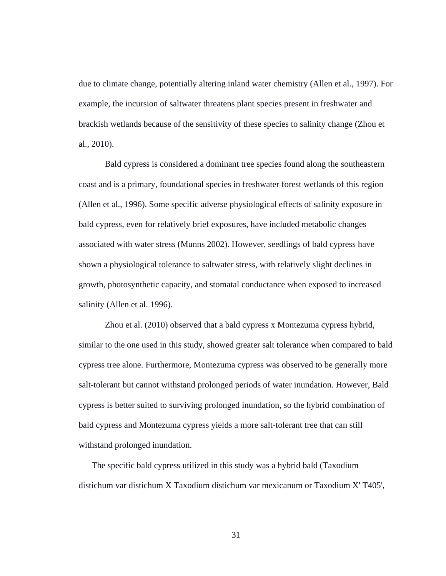due to climate change, potentially altering inland water chemistry (Allen et al., 1997). For example, the incursion of saltwater threatens plant species present in freshwater and brackish wetlands because of the sensitivity of these species to salinity change (Zhou et al., 2010).

Bald cypress is considered a dominant tree species found along the southeastern coast and is a primary, foundational species in freshwater forest wetlands of this region (Allen et al., 1996). Some specific adverse physiological effects of salinity exposure in bald cypress, even for relatively brief exposures, have included metabolic changes associated with water stress (Munns 2002). However, seedlings of bald cypress have shown a physiological tolerance to saltwater stress, with relatively slight declines in growth, photosynthetic capacity, and stomatal conductance when exposed to increased salinity (Allen et al. 1996).

Zhou et al. (2010) observed that a bald cypress x Montezuma cypress hybrid, similar to the one used in this study, showed greater salt tolerance when compared to bald cypress tree alone. Furthermore, Montezuma cypress was observed to be generally more salt-tolerant but cannot withstand prolonged periods of water inundation. However, Bald cypress is better suited to surviving prolonged inundation, so the hybrid combination of bald cypress and Montezuma cypress yields a more salt-tolerant tree that can still withstand prolonged inundation.

The specific bald cypress utilized in this study was a hybrid bald (Taxodium distichum var distichum X Taxodium distichum var mexicanum or Taxodium X' T405',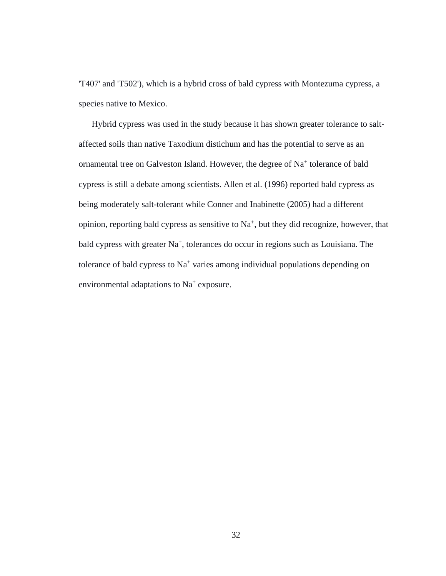'T407' and 'T502'), which is a hybrid cross of bald cypress with Montezuma cypress, a species native to Mexico.

Hybrid cypress was used in the study because it has shown greater tolerance to saltaffected soils than native Taxodium distichum and has the potential to serve as an ornamental tree on Galveston Island. However, the degree of Na<sup>+</sup> tolerance of bald cypress is still a debate among scientists. Allen et al. (1996) reported bald cypress as being moderately salt-tolerant while Conner and Inabinette (2005) had a different opinion, reporting bald cypress as sensitive to  $Na<sup>+</sup>$ , but they did recognize, however, that bald cypress with greater Na<sup>+</sup>, tolerances do occur in regions such as Louisiana. The tolerance of bald cypress to Na<sup>+</sup> varies among individual populations depending on environmental adaptations to  $Na<sup>+</sup>$  exposure.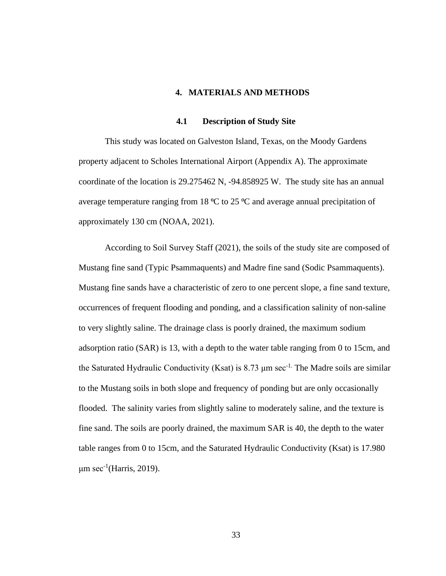#### **4. MATERIALS AND METHODS**

# **4.1 Description of Study Site**

This study was located on Galveston Island, Texas, on the Moody Gardens property adjacent to Scholes International Airport (Appendix A). The approximate coordinate of the location is 29.275462 N, -94.858925 W. The study site has an annual average temperature ranging from 18  $\rm{^{\circ}C}$  to 25  $\rm{^{\circ}C}$  and average annual precipitation of approximately 130 cm (NOAA, 2021).

According to Soil Survey Staff (2021), the soils of the study site are composed of Mustang fine sand (Typic Psammaquents) and Madre fine sand (Sodic Psammaquents). Mustang fine sands have a characteristic of zero to one percent slope, a fine sand texture, occurrences of frequent flooding and ponding, and a classification salinity of non-saline to very slightly saline. The drainage class is poorly drained, the maximum sodium adsorption ratio (SAR) is 13, with a depth to the water table ranging from 0 to 15cm, and the Saturated Hydraulic Conductivity (Ksat) is 8.73  $\mu$ m sec<sup>-1.</sup> The Madre soils are similar to the Mustang soils in both slope and frequency of ponding but are only occasionally flooded. The salinity varies from slightly saline to moderately saline, and the texture is fine sand. The soils are poorly drained, the maximum SAR is 40, the depth to the water table ranges from 0 to 15cm, and the Saturated Hydraulic Conductivity (Ksat) is 17.980  $\mu$ m sec<sup>-1</sup>(Harris, 2019).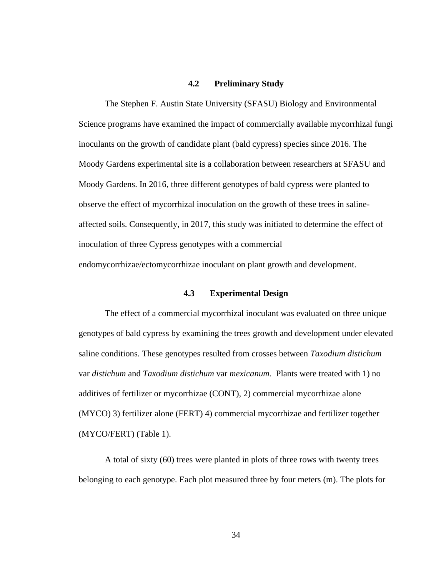### **4.2 Preliminary Study**

The Stephen F. Austin State University (SFASU) Biology and Environmental Science programs have examined the impact of commercially available mycorrhizal fungi inoculants on the growth of candidate plant (bald cypress) species since 2016. The Moody Gardens experimental site is a collaboration between researchers at SFASU and Moody Gardens. In 2016, three different genotypes of bald cypress were planted to observe the effect of mycorrhizal inoculation on the growth of these trees in salineaffected soils. Consequently, in 2017, this study was initiated to determine the effect of inoculation of three Cypress genotypes with a commercial endomycorrhizae/ectomycorrhizae inoculant on plant growth and development.

#### **4.3 Experimental Design**

The effect of a commercial mycorrhizal inoculant was evaluated on three unique genotypes of bald cypress by examining the trees growth and development under elevated saline conditions. These genotypes resulted from crosses between *Taxodium distichum* var *distichum* and *Taxodium distichum* var *mexicanum.* Plants were treated with 1) no additives of fertilizer or mycorrhizae (CONT), 2) commercial mycorrhizae alone (MYCO) 3) fertilizer alone (FERT) 4) commercial mycorrhizae and fertilizer together (MYCO/FERT) (Table 1).

A total of sixty (60) trees were planted in plots of three rows with twenty trees belonging to each genotype. Each plot measured three by four meters (m). The plots for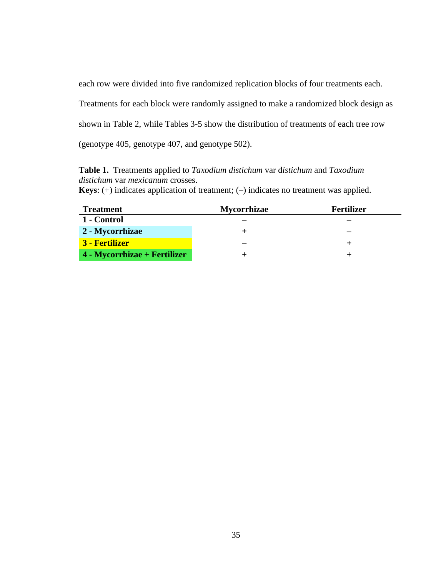each row were divided into five randomized replication blocks of four treatments each.

Treatments for each block were randomly assigned to make a randomized block design as

shown in Table 2, while Tables 3-5 show the distribution of treatments of each tree row

(genotype 405, genotype 407, and genotype 502).

**Table 1.**Treatments applied to *Taxodium distichum* var d*istichum* and *Taxodium distichum* var *mexicanum* crosses.

|  |  |  |  | <b>Keys:</b> (+) indicates application of treatment; (-) indicates no treatment was applied. |  |  |  |  |  |
|--|--|--|--|----------------------------------------------------------------------------------------------|--|--|--|--|--|
|--|--|--|--|----------------------------------------------------------------------------------------------|--|--|--|--|--|

| <b>Treatment</b>             | <b>Mycorrhizae</b> | <b>Fertilizer</b> |
|------------------------------|--------------------|-------------------|
| 1 - Control                  |                    |                   |
| 2 - Mycorrhizae              |                    |                   |
| 3 - Fertilizer               |                    |                   |
| 4 - Mycorrhizae + Fertilizer |                    |                   |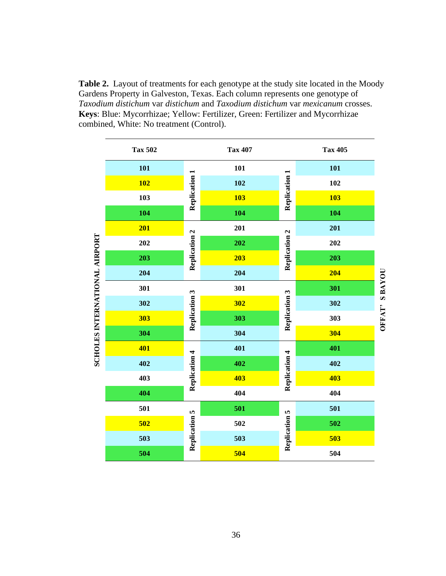**Table 2.**Layout of treatments for each genotype at the study site located in the Moody Gardens Property in Galveston, Texas. Each column represents one genotype of *Taxodium distichum* var *distichum* and *Taxodium distichum* var *mexicanum* crosses. **Keys**: Blue: Mycorrhizae; Yellow: Fertilizer, Green: Fertilizer and Mycorrhizae combined, White: No treatment (Control).

|                               | <b>Tax 502</b> |               | <b>Tax 407</b> |                      | <b>Tax 405</b> |        |
|-------------------------------|----------------|---------------|----------------|----------------------|----------------|--------|
|                               | 101            |               | 101            |                      | 101            |        |
|                               | <b>102</b>     | Replication 1 | 102            | Replication 1        | 102            |        |
|                               | 103            |               | <b>103</b>     |                      | <b>103</b>     |        |
|                               | 104            |               | 104            |                      | 104            |        |
|                               | 201            | $\mathbf{z}$  | 201            |                      | 201            |        |
|                               | 202            | Replication   | 202            | Replication 2        | 202            |        |
|                               | 203            |               | 203            |                      | 203            |        |
| SCHOLES INTERNATIONAL AIRPORT | 204            |               | 204            |                      | 204            |        |
|                               | 301            |               | 301            |                      | 301            | SBAYOU |
|                               | 302            | Replication 3 | 302            | <b>Replication 3</b> | 302            |        |
|                               | 303            |               | 303            |                      | 303            | OFFAT' |
|                               | 304            |               | 304            |                      | 304            |        |
|                               | 401            | 4             | 401            | 4                    | 401            |        |
|                               | 402            | Replication   | 402            | Replication          | 402            |        |
|                               | 403            |               | 403            |                      | 403            |        |
|                               | 404            |               | 404            |                      | 404            |        |
|                               | 501            | n,            | 501            | S                    | 501            |        |
|                               | 502            | Replication   | 502            | Replication          | 502            |        |
|                               | 503            |               | 503            |                      | 503            |        |
|                               | 504            |               | 504            |                      | 504            |        |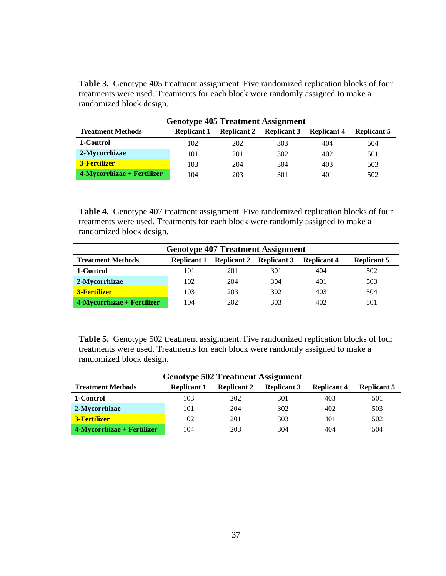Table 3. Genotype 405 treatment assignment. Five randomized replication blocks of four treatments were used. Treatments for each block were randomly assigned to make a randomized block design.

| <b>Genotype 405 Treatment Assignment</b> |                    |                    |                    |                    |                    |  |  |  |  |  |
|------------------------------------------|--------------------|--------------------|--------------------|--------------------|--------------------|--|--|--|--|--|
| <b>Treatment Methods</b>                 | <b>Replicant 1</b> | <b>Replicant 2</b> | <b>Replicant 3</b> | <b>Replicant 4</b> | <b>Replicant 5</b> |  |  |  |  |  |
| 1-Control                                | 102                | 202                | 303                | 404                | 504                |  |  |  |  |  |
| 2-Mycorrhizae                            | 101                | 201                | 302                | 402                | 501                |  |  |  |  |  |
| <b>3-Fertilizer</b>                      | 103                | 204                | 304                | 403                | 503                |  |  |  |  |  |
| 4-Mycorrhizae + Fertilizer               | 104                | 203                | 301                | 401                | 502                |  |  |  |  |  |

**Table 4.** Genotype 407 treatment assignment. Five randomized replication blocks of four treatments were used. Treatments for each block were randomly assigned to make a randomized block design.

| <b>Genotype 407 Treatment Assignment</b>                                                                                               |     |     |     |     |     |  |  |  |  |  |
|----------------------------------------------------------------------------------------------------------------------------------------|-----|-----|-----|-----|-----|--|--|--|--|--|
| <b>Treatment Methods</b><br><b>Replicant 5</b><br><b>Replicant 2</b><br><b>Replicant 3</b><br><b>Replicant 4</b><br><b>Replicant 1</b> |     |     |     |     |     |  |  |  |  |  |
| 1-Control                                                                                                                              | 101 | 201 | 301 | 404 | 502 |  |  |  |  |  |
| 2-Mycorrhizae                                                                                                                          | 102 | 204 | 304 | 401 | 503 |  |  |  |  |  |
| <b>3-Fertilizer</b>                                                                                                                    | 103 | 203 | 302 | 403 | 504 |  |  |  |  |  |
| $4$ -Mycorrhizae + Fertilizer                                                                                                          | 104 | 202 | 303 | 402 | 501 |  |  |  |  |  |

**Table 5***.* Genotype 502 treatment assignment. Five randomized replication blocks of four treatments were used. Treatments for each block were randomly assigned to make a randomized block design.

| <b>Genotype 502 Treatment Assignment</b> |                    |                    |                    |                    |                    |  |  |  |  |  |
|------------------------------------------|--------------------|--------------------|--------------------|--------------------|--------------------|--|--|--|--|--|
| <b>Treatment Methods</b>                 | <b>Replicant 1</b> | <b>Replicant 2</b> | <b>Replicant 3</b> | <b>Replicant 4</b> | <b>Replicant 5</b> |  |  |  |  |  |
| 1-Control                                | 103                | 202                | 301                | 403                | 501                |  |  |  |  |  |
| 2-Mycorrhizae                            | 101                | 204                | 302                | 402                | 503                |  |  |  |  |  |
| <b>3-Fertilizer</b>                      | 102                | 201                | 303                | 401                | 502                |  |  |  |  |  |
| 4-Mycorrhizae + Fertilizer               | 104                | 203                | 304                | 404                | 504                |  |  |  |  |  |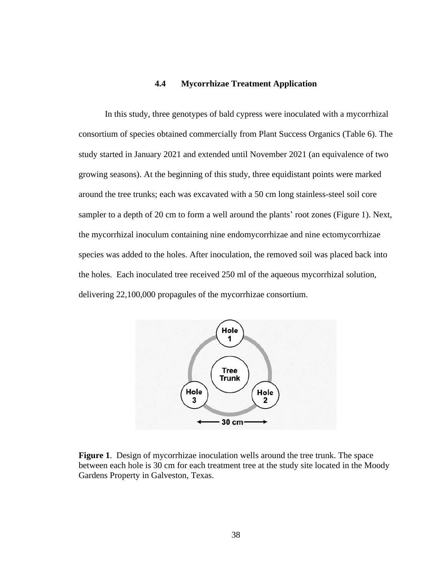# **4.4 Mycorrhizae Treatment Application**

In this study, three genotypes of bald cypress were inoculated with a mycorrhizal consortium of species obtained commercially from Plant Success Organics (Table 6). The study started in January 2021 and extended until November 2021 (an equivalence of two growing seasons). At the beginning of this study, three equidistant points were marked around the tree trunks; each was excavated with a 50 cm long stainless-steel soil core sampler to a depth of 20 cm to form a well around the plants' root zones (Figure 1). Next, the mycorrhizal inoculum containing nine endomycorrhizae and nine ectomycorrhizae species was added to the holes. After inoculation, the removed soil was placed back into the holes. Each inoculated tree received 250 ml of the aqueous mycorrhizal solution, delivering 22,100,000 propagules of the mycorrhizae consortium.



**Figure 1**. Design of mycorrhizae inoculation wells around the tree trunk. The space between each hole is 30 cm for each treatment tree at the study site located in the Moody Gardens Property in Galveston, Texas.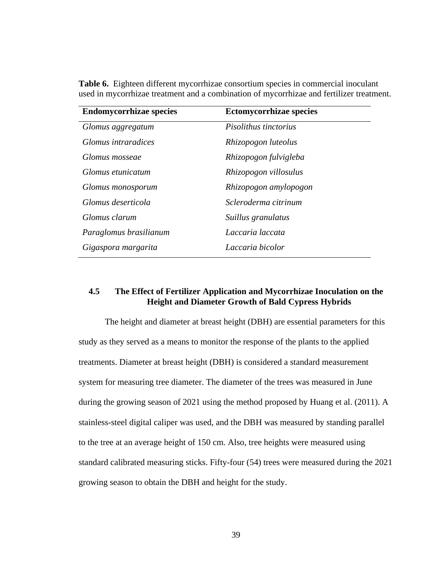| <b>Endomycorrhizae species</b> | <b>Ectomycorrhizae species</b> |
|--------------------------------|--------------------------------|
| Glomus aggregatum              | Pisolithus tinctorius          |
| Glomus intraradices            | Rhizopogon luteolus            |
| Glomus mosseae                 | Rhizopogon fulvigleba          |
| Glomus etunicatum              | Rhizopogon villosulus          |
| Glomus monosporum              | Rhizopogon amylopogon          |
| Glomus deserticola             | Scleroderma citrinum           |
| Glomus clarum                  | Suillus granulatus             |
| Paraglomus brasilianum         | Laccaria laccata               |
| Gigaspora margarita            | Laccaria bicolor               |

**Table 6.** Eighteen different mycorrhizae consortium species in commercial inoculant used in mycorrhizae treatment and a combination of mycorrhizae and fertilizer treatment.

# **4.5 The Effect of Fertilizer Application and Mycorrhizae Inoculation on the Height and Diameter Growth of Bald Cypress Hybrids**

The height and diameter at breast height (DBH) are essential parameters for this study as they served as a means to monitor the response of the plants to the applied treatments. Diameter at breast height (DBH) is considered a standard measurement system for measuring tree diameter. The diameter of the trees was measured in June during the growing season of 2021 using the method proposed by Huang et al. (2011). A stainless-steel digital caliper was used, and the DBH was measured by standing parallel to the tree at an average height of 150 cm. Also, tree heights were measured using standard calibrated measuring sticks. Fifty-four (54) trees were measured during the 2021 growing season to obtain the DBH and height for the study.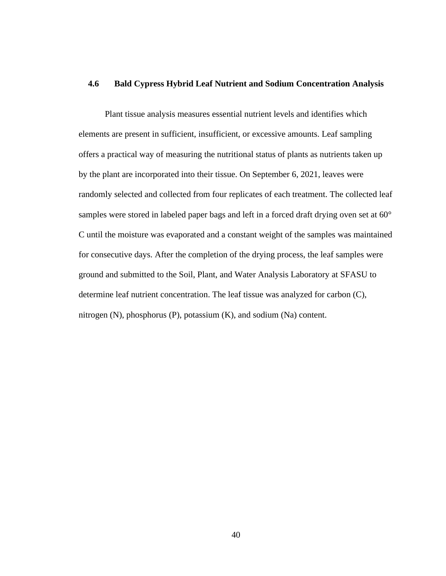# **4.6 Bald Cypress Hybrid Leaf Nutrient and Sodium Concentration Analysis**

Plant tissue analysis measures essential nutrient levels and identifies which elements are present in sufficient, insufficient, or excessive amounts. Leaf sampling offers a practical way of measuring the nutritional status of plants as nutrients taken up by the plant are incorporated into their tissue. On September 6, 2021, leaves were randomly selected and collected from four replicates of each treatment. The collected leaf samples were stored in labeled paper bags and left in a forced draft drying oven set at 60° C until the moisture was evaporated and a constant weight of the samples was maintained for consecutive days. After the completion of the drying process, the leaf samples were ground and submitted to the Soil, Plant, and Water Analysis Laboratory at SFASU to determine leaf nutrient concentration. The leaf tissue was analyzed for carbon (C), nitrogen (N), phosphorus (P), potassium (K), and sodium (Na) content.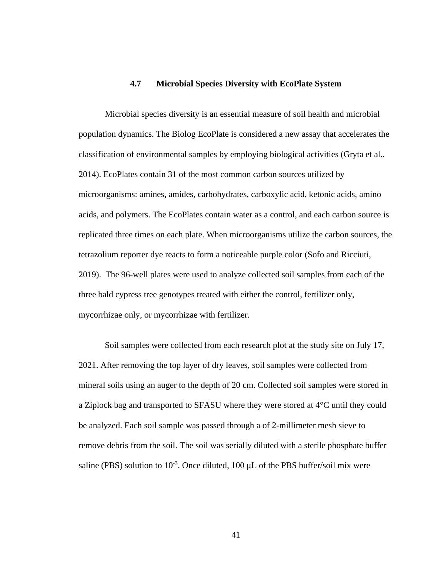# **4.7 Microbial Species Diversity with EcoPlate System**

Microbial species diversity is an essential measure of soil health and microbial population dynamics. The Biolog EcoPlate is considered a new assay that accelerates the classification of environmental samples by employing biological activities (Gryta et al., 2014). EcoPlates contain 31 of the most common carbon sources utilized by microorganisms: amines, amides, carbohydrates, carboxylic acid, ketonic acids, amino acids, and polymers. The EcoPlates contain water as a control, and each carbon source is replicated three times on each plate. When microorganisms utilize the carbon sources, the tetrazolium reporter dye reacts to form a noticeable purple color (Sofo and Ricciuti, 2019). The 96-well plates were used to analyze collected soil samples from each of the three bald cypress tree genotypes treated with either the control, fertilizer only, mycorrhizae only, or mycorrhizae with fertilizer.

Soil samples were collected from each research plot at the study site on July 17, 2021. After removing the top layer of dry leaves, soil samples were collected from mineral soils using an auger to the depth of 20 cm. Collected soil samples were stored in a Ziplock bag and transported to SFASU where they were stored at 4°C until they could be analyzed. Each soil sample was passed through a of 2-millimeter mesh sieve to remove debris from the soil. The soil was serially diluted with a sterile phosphate buffer saline (PBS) solution to  $10^{-3}$ . Once diluted, 100  $\mu$ L of the PBS buffer/soil mix were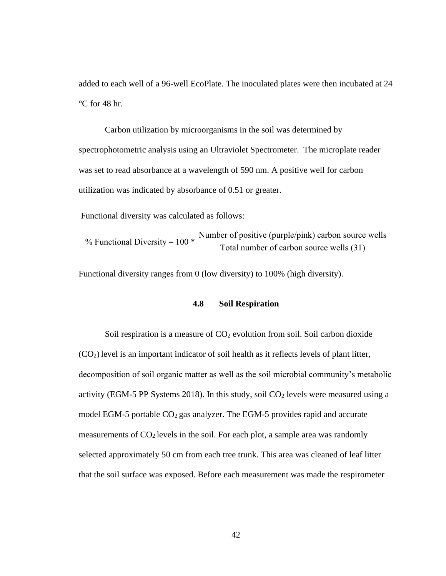added to each well of a 96-well EcoPlate. The inoculated plates were then incubated at 24 °C for 48 hr.

Carbon utilization by microorganisms in the soil was determined by spectrophotometric analysis using an Ultraviolet Spectrometer. The microplate reader was set to read absorbance at a wavelength of 590 nm. A positive well for carbon utilization was indicated by absorbance of 0.51 or greater.

Functional diversity was calculated as follows:

% Functional Diversity =  $100$   $*$ Number of positive (purple/pink) carbon source wells Total number of carbon source wells (31)

Functional diversity ranges from 0 (low diversity) to 100% (high diversity).

#### **4.8 Soil Respiration**

Soil respiration is a measure of  $CO<sub>2</sub>$  evolution from soil. Soil carbon dioxide  $(CO<sub>2</sub>)$  level is an important indicator of soil health as it reflects levels of plant litter, decomposition of soil organic matter as well as the soil microbial community's metabolic activity (EGM-5 PP Systems 2018). In this study, soil  $CO<sub>2</sub>$  levels were measured using a model EGM-5 portable  $CO<sub>2</sub>$  gas analyzer. The EGM-5 provides rapid and accurate measurements of  $CO<sub>2</sub>$  levels in the soil. For each plot, a sample area was randomly selected approximately 50 cm from each tree trunk. This area was cleaned of leaf litter that the soil surface was exposed. Before each measurement was made the respirometer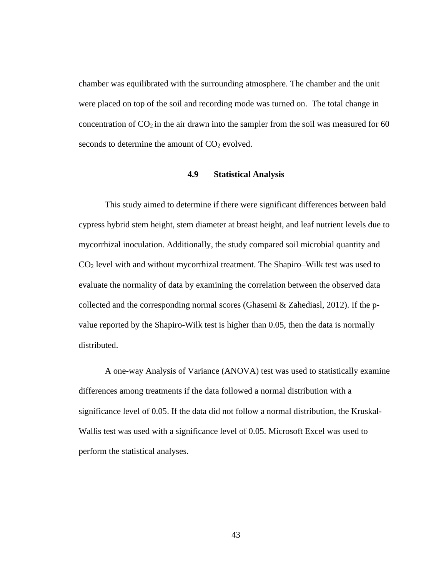chamber was equilibrated with the surrounding atmosphere. The chamber and the unit were placed on top of the soil and recording mode was turned on. The total change in concentration of  $CO<sub>2</sub>$  in the air drawn into the sampler from the soil was measured for 60 seconds to determine the amount of  $CO<sub>2</sub>$  evolved.

# **4.9 Statistical Analysis**

This study aimed to determine if there were significant differences between bald cypress hybrid stem height, stem diameter at breast height, and leaf nutrient levels due to mycorrhizal inoculation. Additionally, the study compared soil microbial quantity and  $CO<sub>2</sub>$  level with and without mycorrhizal treatment. The Shapiro–Wilk test was used to evaluate the normality of data by examining the correlation between the observed data collected and the corresponding normal scores (Ghasemi & Zahediasl, 2012). If the pvalue reported by the Shapiro-Wilk test is higher than 0.05, then the data is normally distributed.

A one-way Analysis of Variance (ANOVA) test was used to statistically examine differences among treatments if the data followed a normal distribution with a significance level of 0.05. If the data did not follow a normal distribution, the Kruskal-Wallis test was used with a significance level of 0.05. Microsoft Excel was used to perform the statistical analyses.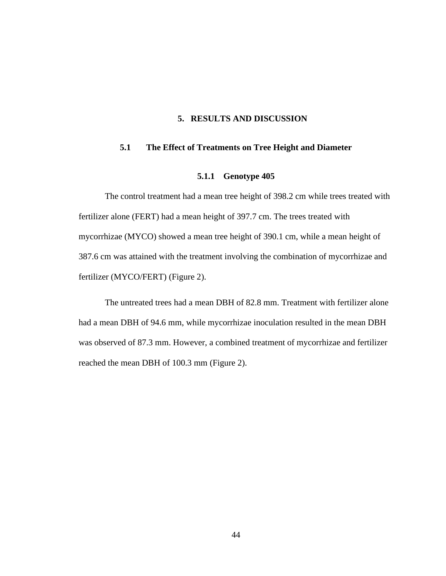# **5. RESULTS AND DISCUSSION**

# **5.1 The Effect of Treatments on Tree Height and Diameter**

#### **5.1.1 Genotype 405**

The control treatment had a mean tree height of 398.2 cm while trees treated with fertilizer alone (FERT) had a mean height of 397.7 cm. The trees treated with mycorrhizae (MYCO) showed a mean tree height of 390.1 cm, while a mean height of 387.6 cm was attained with the treatment involving the combination of mycorrhizae and fertilizer (MYCO/FERT) (Figure 2).

The untreated trees had a mean DBH of 82.8 mm. Treatment with fertilizer alone had a mean DBH of 94.6 mm, while mycorrhizae inoculation resulted in the mean DBH was observed of 87.3 mm. However, a combined treatment of mycorrhizae and fertilizer reached the mean DBH of 100.3 mm (Figure 2).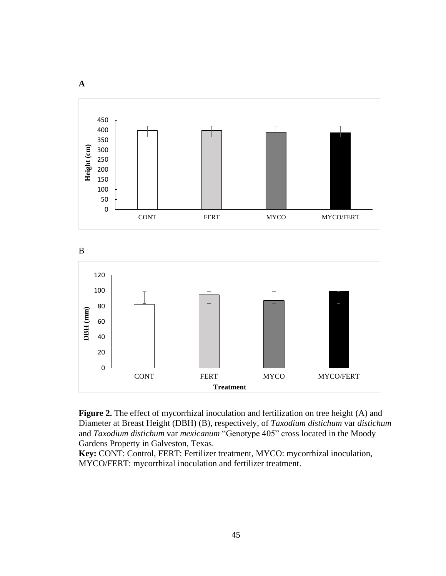

**Figure 2.** The effect of mycorrhizal inoculation and fertilization on tree height (A) and Diameter at Breast Height (DBH) (B), respectively, of *Taxodium distichum* var *distichum* and *Taxodium distichum* var *mexicanum* "Genotype 405" cross located in the Moody Gardens Property in Galveston, Texas.

**Key:** CONT: Control, FERT: Fertilizer treatment, MYCO: mycorrhizal inoculation, MYCO/FERT: mycorrhizal inoculation and fertilizer treatment.

**A**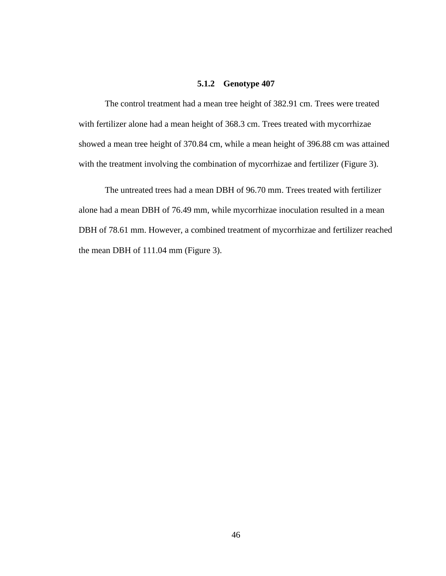### **5.1.2 Genotype 407**

The control treatment had a mean tree height of 382.91 cm. Trees were treated with fertilizer alone had a mean height of 368.3 cm. Trees treated with mycorrhizae showed a mean tree height of 370.84 cm, while a mean height of 396.88 cm was attained with the treatment involving the combination of mycorrhizae and fertilizer (Figure 3).

The untreated trees had a mean DBH of 96.70 mm. Trees treated with fertilizer alone had a mean DBH of 76.49 mm, while mycorrhizae inoculation resulted in a mean DBH of 78.61 mm. However, a combined treatment of mycorrhizae and fertilizer reached the mean DBH of 111.04 mm (Figure 3).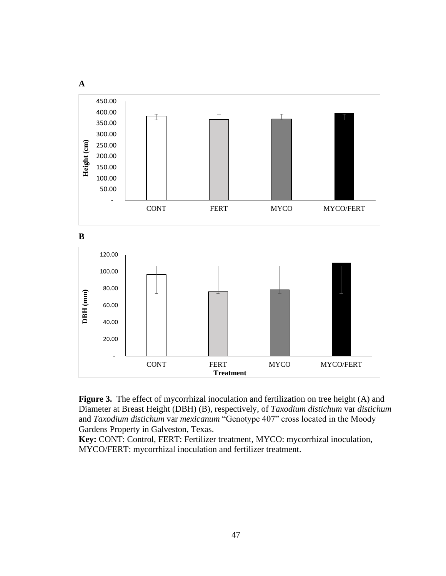



**Key:** CONT: Control, FERT: Fertilizer treatment, MYCO: mycorrhizal inoculation, MYCO/FERT: mycorrhizal inoculation and fertilizer treatment.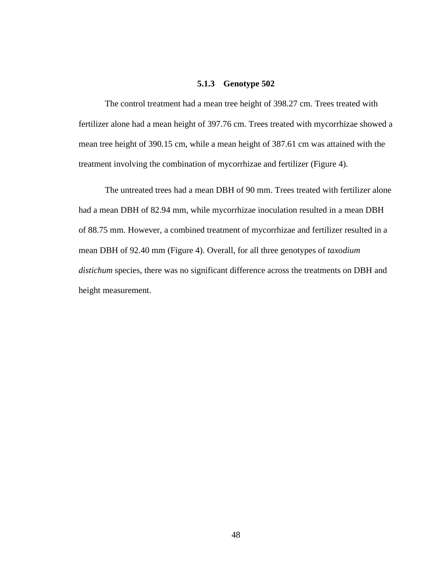### **5.1.3 Genotype 502**

The control treatment had a mean tree height of 398.27 cm. Trees treated with fertilizer alone had a mean height of 397.76 cm. Trees treated with mycorrhizae showed a mean tree height of 390.15 cm, while a mean height of 387.61 cm was attained with the treatment involving the combination of mycorrhizae and fertilizer (Figure 4).

The untreated trees had a mean DBH of 90 mm. Trees treated with fertilizer alone had a mean DBH of 82.94 mm, while mycorrhizae inoculation resulted in a mean DBH of 88.75 mm. However, a combined treatment of mycorrhizae and fertilizer resulted in a mean DBH of 92.40 mm (Figure 4). Overall, for all three genotypes of *taxodium distichum* species, there was no significant difference across the treatments on DBH and height measurement.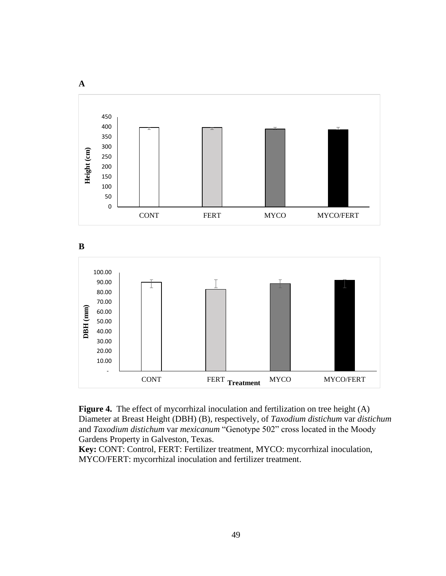



**Key:** CONT: Control, FERT: Fertilizer treatment, MYCO: mycorrhizal inoculation, MYCO/FERT: mycorrhizal inoculation and fertilizer treatment.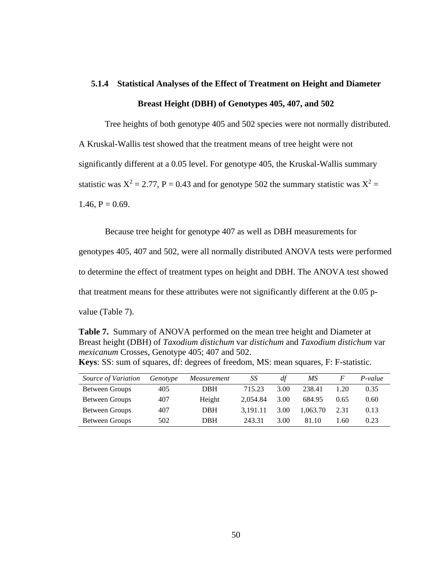# **5.1.4 Statistical Analyses of the Effect of Treatment on Height and Diameter Breast Height (DBH) of Genotypes 405, 407, and 502**

Tree heights of both genotype 405 and 502 species were not normally distributed. A Kruskal-Wallis test showed that the treatment means of tree height were not significantly different at a 0.05 level. For genotype 405, the Kruskal-Wallis summary statistic was  $X^2 = 2.77$ ,  $P = 0.43$  and for genotype 502 the summary statistic was  $X^2 =$  $1.46, P = 0.69.$ 

Because tree height for genotype 407 as well as DBH measurements for

genotypes 405, 407 and 502, were all normally distributed ANOVA tests were performed to determine the effect of treatment types on height and DBH. The ANOVA test showed that treatment means for these attributes were not significantly different at the 0.05 pvalue (Table 7).

**Table 7.** Summary of ANOVA performed on the mean tree height and Diameter at Breast height (DBH) of *Taxodium distichum* var *distichum* and *Taxodium distichum* var *mexicanum* Crosses, Genotype 405; 407 and 502. **Keys**: SS: sum of squares, df: degrees of freedom, MS: mean squares, F: F-statistic.

| Source of Variation   | Genotype | Measurement | SS       | df   | МS       |      | P-value |
|-----------------------|----------|-------------|----------|------|----------|------|---------|
| Between Groups        | 405      | DBH         | 715.23   | 3.00 | 238.41   | 1.20 | 0.35    |
| <b>Between Groups</b> | 407      | Height      | 2.054.84 | 3.00 | 684.95   | 0.65 | 0.60    |
| <b>Between Groups</b> | 407      | <b>DBH</b>  | 3.191.11 | 3.00 | 1.063.70 | 2.31 | 0.13    |
| <b>Between Groups</b> | 502      | <b>DBH</b>  | 243.31   | 3.00 | 81.10    | 1.60 | 0.23    |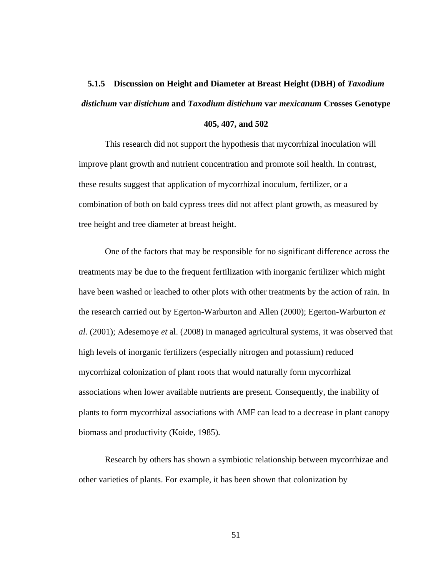# **5.1.5 Discussion on Height and Diameter at Breast Height (DBH) of** *Taxodium distichum* **var** *distichum* **and** *Taxodium distichum* **var** *mexicanum* **Crosses Genotype 405, 407, and 502**

This research did not support the hypothesis that mycorrhizal inoculation will improve plant growth and nutrient concentration and promote soil health. In contrast, these results suggest that application of mycorrhizal inoculum, fertilizer, or a combination of both on bald cypress trees did not affect plant growth, as measured by tree height and tree diameter at breast height.

One of the factors that may be responsible for no significant difference across the treatments may be due to the frequent fertilization with inorganic fertilizer which might have been washed or leached to other plots with other treatments by the action of rain. In the research carried out by Egerton-Warburton and Allen (2000); Egerton-Warburton *et al*. (2001); Adesemoye *et* al. (2008) in managed agricultural systems, it was observed that high levels of inorganic fertilizers (especially nitrogen and potassium) reduced mycorrhizal colonization of plant roots that would naturally form mycorrhizal associations when lower available nutrients are present. Consequently, the inability of plants to form mycorrhizal associations with AMF can lead to a decrease in plant canopy biomass and productivity (Koide, 1985).

Research by others has shown a symbiotic relationship between mycorrhizae and other varieties of plants. For example, it has been shown that colonization by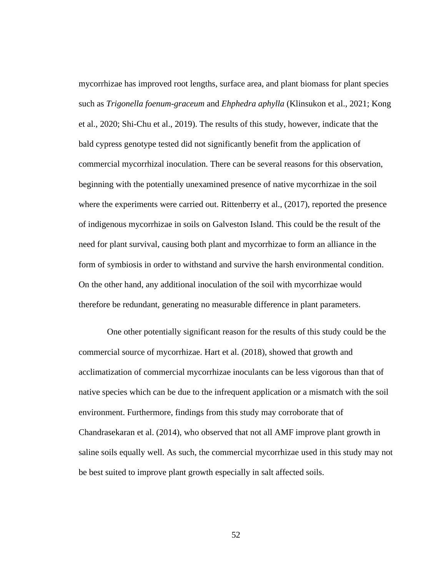mycorrhizae has improved root lengths, surface area, and plant biomass for plant species such as *Trigonella foenum-graceum* and *Ehphedra aphylla* (Klinsukon et al., 2021; Kong et al., 2020; Shi-Chu et al., 2019). The results of this study, however, indicate that the bald cypress genotype tested did not significantly benefit from the application of commercial mycorrhizal inoculation. There can be several reasons for this observation, beginning with the potentially unexamined presence of native mycorrhizae in the soil where the experiments were carried out. Rittenberry et al., (2017), reported the presence of indigenous mycorrhizae in soils on Galveston Island. This could be the result of the need for plant survival, causing both plant and mycorrhizae to form an alliance in the form of symbiosis in order to withstand and survive the harsh environmental condition. On the other hand, any additional inoculation of the soil with mycorrhizae would therefore be redundant, generating no measurable difference in plant parameters.

One other potentially significant reason for the results of this study could be the commercial source of mycorrhizae. Hart et al. (2018), showed that growth and acclimatization of commercial mycorrhizae inoculants can be less vigorous than that of native species which can be due to the infrequent application or a mismatch with the soil environment. Furthermore, findings from this study may corroborate that of Chandrasekaran et al. (2014), who observed that not all AMF improve plant growth in saline soils equally well. As such, the commercial mycorrhizae used in this study may not be best suited to improve plant growth especially in salt affected soils.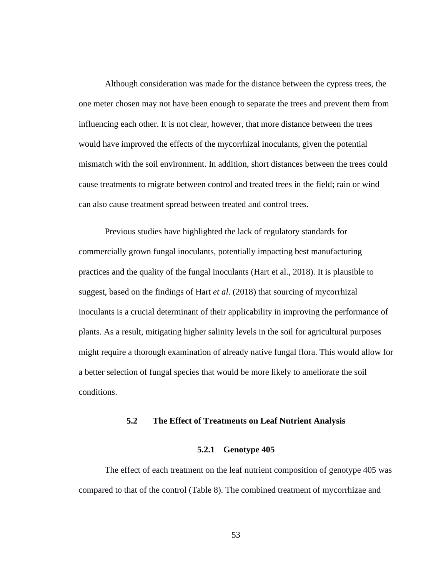Although consideration was made for the distance between the cypress trees, the one meter chosen may not have been enough to separate the trees and prevent them from influencing each other. It is not clear, however, that more distance between the trees would have improved the effects of the mycorrhizal inoculants, given the potential mismatch with the soil environment. In addition, short distances between the trees could cause treatments to migrate between control and treated trees in the field; rain or wind can also cause treatment spread between treated and control trees.

Previous studies have highlighted the lack of regulatory standards for commercially grown fungal inoculants, potentially impacting best manufacturing practices and the quality of the fungal inoculants (Hart et al., 2018). It is plausible to suggest, based on the findings of Hart *et al*. (2018) that sourcing of mycorrhizal inoculants is a crucial determinant of their applicability in improving the performance of plants. As a result, mitigating higher salinity levels in the soil for agricultural purposes might require a thorough examination of already native fungal flora. This would allow for a better selection of fungal species that would be more likely to ameliorate the soil conditions.

#### **5.2 The Effect of Treatments on Leaf Nutrient Analysis**

#### **5.2.1 Genotype 405**

The effect of each treatment on the leaf nutrient composition of genotype 405 was compared to that of the control (Table 8). The combined treatment of mycorrhizae and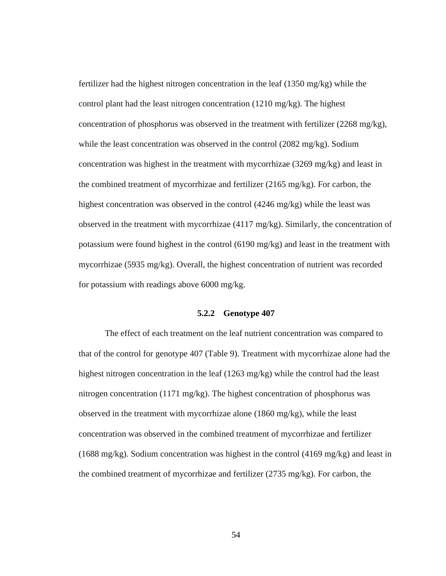fertilizer had the highest nitrogen concentration in the leaf (1350 mg/kg) while the control plant had the least nitrogen concentration (1210 mg/kg). The highest concentration of phosphorus was observed in the treatment with fertilizer (2268 mg/kg), while the least concentration was observed in the control (2082 mg/kg). Sodium concentration was highest in the treatment with mycorrhizae (3269 mg/kg) and least in the combined treatment of mycorrhizae and fertilizer (2165 mg/kg). For carbon, the highest concentration was observed in the control (4246 mg/kg) while the least was observed in the treatment with mycorrhizae (4117 mg/kg). Similarly, the concentration of potassium were found highest in the control (6190 mg/kg) and least in the treatment with mycorrhizae (5935 mg/kg). Overall, the highest concentration of nutrient was recorded for potassium with readings above 6000 mg/kg.

#### **5.2.2 Genotype 407**

The effect of each treatment on the leaf nutrient concentration was compared to that of the control for genotype 407 (Table 9). Treatment with mycorrhizae alone had the highest nitrogen concentration in the leaf (1263 mg/kg) while the control had the least nitrogen concentration (1171 mg/kg). The highest concentration of phosphorus was observed in the treatment with mycorrhizae alone (1860 mg/kg), while the least concentration was observed in the combined treatment of mycorrhizae and fertilizer (1688 mg/kg). Sodium concentration was highest in the control (4169 mg/kg) and least in the combined treatment of mycorrhizae and fertilizer (2735 mg/kg). For carbon, the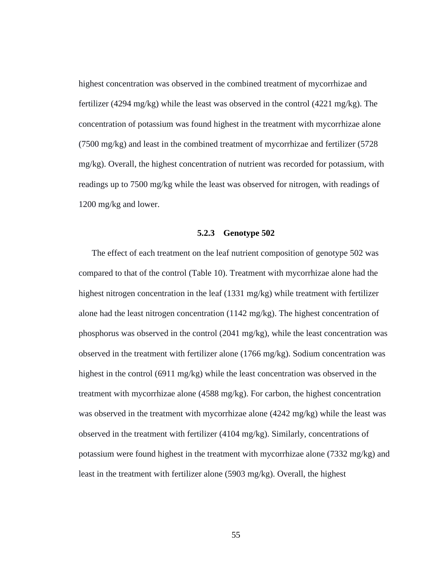highest concentration was observed in the combined treatment of mycorrhizae and fertilizer (4294 mg/kg) while the least was observed in the control (4221 mg/kg). The concentration of potassium was found highest in the treatment with mycorrhizae alone (7500 mg/kg) and least in the combined treatment of mycorrhizae and fertilizer (5728 mg/kg). Overall, the highest concentration of nutrient was recorded for potassium, with readings up to 7500 mg/kg while the least was observed for nitrogen, with readings of 1200 mg/kg and lower.

#### **5.2.3 Genotype 502**

The effect of each treatment on the leaf nutrient composition of genotype 502 was compared to that of the control (Table 10). Treatment with mycorrhizae alone had the highest nitrogen concentration in the leaf (1331 mg/kg) while treatment with fertilizer alone had the least nitrogen concentration (1142 mg/kg). The highest concentration of phosphorus was observed in the control (2041 mg/kg), while the least concentration was observed in the treatment with fertilizer alone (1766 mg/kg). Sodium concentration was highest in the control (6911 mg/kg) while the least concentration was observed in the treatment with mycorrhizae alone (4588 mg/kg). For carbon, the highest concentration was observed in the treatment with mycorrhizae alone  $(4242 \text{ mg/kg})$  while the least was observed in the treatment with fertilizer (4104 mg/kg). Similarly, concentrations of potassium were found highest in the treatment with mycorrhizae alone (7332 mg/kg) and least in the treatment with fertilizer alone (5903 mg/kg). Overall, the highest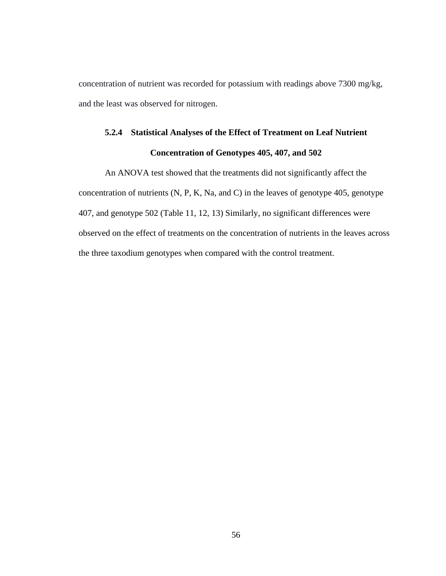concentration of nutrient was recorded for potassium with readings above 7300 mg/kg, and the least was observed for nitrogen.

# **5.2.4 Statistical Analyses of the Effect of Treatment on Leaf Nutrient Concentration of Genotypes 405, 407, and 502**

An ANOVA test showed that the treatments did not significantly affect the concentration of nutrients (N, P, K, Na, and C) in the leaves of genotype 405, genotype 407, and genotype 502 (Table 11, 12, 13) Similarly, no significant differences were observed on the effect of treatments on the concentration of nutrients in the leaves across the three taxodium genotypes when compared with the control treatment.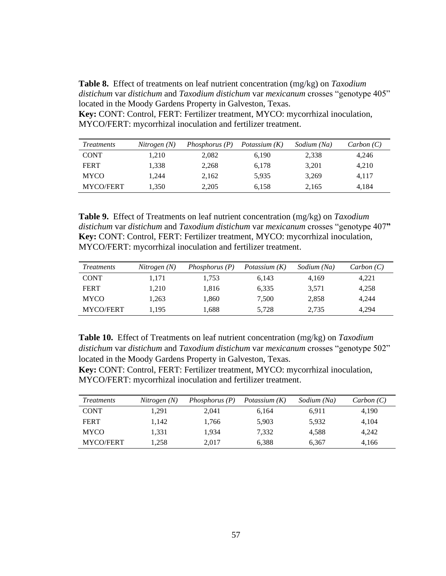**Table 8.** Effect of treatments on leaf nutrient concentration (mg/kg) on *Taxodium distichum* var *distichum* and *Taxodium distichum* var *mexicanum* crosses "genotype 405" located in the Moody Gardens Property in Galveston, Texas.

**Key:** CONT: Control, FERT: Fertilizer treatment, MYCO: mycorrhizal inoculation, MYCO/FERT: mycorrhizal inoculation and fertilizer treatment.

| <i>Treatments</i> | Nitrogen(N) | Phosphorus $(P)$ | Potassium (K) | Sodium (Na) | Carbon(C) |
|-------------------|-------------|------------------|---------------|-------------|-----------|
| <b>CONT</b>       | 1,210       | 2.082            | 6.190         | 2,338       | 4,246     |
| <b>FERT</b>       | 1.338       | 2,268            | 6,178         | 3,201       | 4,210     |
| <b>MYCO</b>       | 1.244       | 2,162            | 5,935         | 3,269       | 4,117     |
| MYCO/FERT         | 1.350       | 2,205            | 6,158         | 2,165       | 4.184     |

**Table 9.** Effect of Treatments on leaf nutrient concentration (mg/kg) on *Taxodium distichum* var *distichum* and *Taxodium distichum* var *mexicanum* crosses "genotype 407**" Key:** CONT: Control, FERT: Fertilizer treatment, MYCO: mycorrhizal inoculation, MYCO/FERT: mycorrhizal inoculation and fertilizer treatment.

| <i>Treatments</i> | Nitrogen(N) | Phosphorus $(P)$ | Potassium $(K)$ | Sodium (Na) | Carbon(C) |
|-------------------|-------------|------------------|-----------------|-------------|-----------|
| <b>CONT</b>       | 1.171       | 1.753            | 6.143           | 4.169       | 4,221     |
| <b>FERT</b>       | 1.210       | 1.816            | 6,335           | 3,571       | 4,258     |
| <b>MYCO</b>       | 1.263       | 1.860            | 7.500           | 2,858       | 4.244     |
| MYCO/FERT         | 1.195       | 1,688            | 5,728           | 2,735       | 4.294     |

**Table 10.** Effect of Treatments on leaf nutrient concentration (mg/kg) on *Taxodium distichum* var *distichum* and *Taxodium distichum* var *mexicanum* crosses "genotype 502" located in the Moody Gardens Property in Galveston, Texas.

**Key:** CONT: Control, FERT: Fertilizer treatment, MYCO: mycorrhizal inoculation, MYCO/FERT: mycorrhizal inoculation and fertilizer treatment.

| <i>Treatments</i> | Nitrogen(N) | Phosphorus (P) | Potassium $(K)$ | Sodium (Na) | Carbon(C) |
|-------------------|-------------|----------------|-----------------|-------------|-----------|
| <b>CONT</b>       | 1.291       | 2.041          | 6,164           | 6,911       | 4,190     |
| <b>FERT</b>       | 1.142       | 1.766          | 5.903           | 5,932       | 4.104     |
| <b>MYCO</b>       | 1.331       | 1.934          | 7.332           | 4.588       | 4.242     |
| <b>MYCO/FERT</b>  | 1.258       | 2.017          | 6,388           | 6,367       | 4.166     |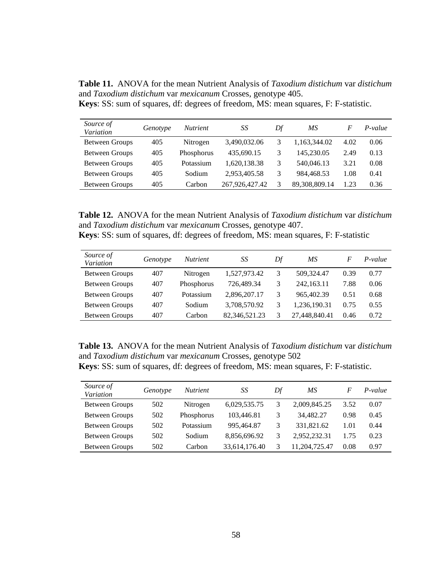**Table 11.** ANOVA for the mean Nutrient Analysis of *Taxodium distichum* var *distichum* and *Taxodium distichum* var *mexicanum* Crosses, genotype 405. **Keys**: SS: sum of squares, df: degrees of freedom, MS: mean squares, F: F-statistic.

| Source of<br>Variation | Genotype | <i>Nutrient</i> | SS             | Df | MS            | F    | P-value |
|------------------------|----------|-----------------|----------------|----|---------------|------|---------|
| Between Groups         | 405      | Nitrogen        | 3,490,032.06   | 3  | 1,163,344.02  | 4.02 | 0.06    |
| <b>Between Groups</b>  | 405      | Phosphorus      | 435,690.15     | 3  | 145.230.05    | 2.49 | 0.13    |
| Between Groups         | 405      | Potassium       | 1.620.138.38   | 3  | 540,046.13    | 3.21 | 0.08    |
| <b>Between Groups</b>  | 405      | Sodium          | 2,953,405.58   | 3  | 984.468.53    | 1.08 | 0.41    |
| <b>Between Groups</b>  | 405      | Carbon          | 267,926,427.42 | 3  | 89,308,809.14 | 1.23 | 0.36    |

**Table 12.** ANOVA for the mean Nutrient Analysis of *Taxodium distichum* var *distichum* and *Taxodium distichum* var *mexicanum* Crosses, genotype 407.

| Source of<br>Variation | Genotype | <i>Nutrient</i> | SS            | Df | MS            | F    | P-value |
|------------------------|----------|-----------------|---------------|----|---------------|------|---------|
| <b>Between Groups</b>  | 407      | Nitrogen        | 1,527,973.42  | 3  | 509,324.47    | 0.39 | 0.77    |
| <b>Between Groups</b>  | 407      | Phosphorus      | 726,489.34    | 3  | 242.163.11    | 7.88 | 0.06    |
| <b>Between Groups</b>  | 407      | Potassium       | 2,896,207.17  | 3  | 965,402.39    | 0.51 | 0.68    |
| <b>Between Groups</b>  | 407      | Sodium          | 3,708,570.92  | 3  | 1.236.190.31  | 0.75 | 0.55    |
| <b>Between Groups</b>  | 407      | Carbon          | 82,346,521.23 | 3  | 27.448.840.41 | 0.46 | 0.72    |

**Table 13.** ANOVA for the mean Nutrient Analysis of *Taxodium distichum* var *distichum* and *Taxodium distichum* var *mexicanum* Crosses, genotype 502

**Keys**: SS: sum of squares, df: degrees of freedom, MS: mean squares, F: F-statistic.

| Source of<br>Variation | Genotype | <i>Nutrient</i> | SS            | Df | МS           | F    | $P-value$ |
|------------------------|----------|-----------------|---------------|----|--------------|------|-----------|
| Between Groups         | 502      | Nitrogen        | 6,029,535.75  | 3  | 2,009,845.25 | 3.52 | 0.07      |
| Between Groups         | 502      | Phosphorus      | 103.446.81    | 3  | 34.482.27    | 0.98 | 0.45      |
| <b>Between Groups</b>  | 502      | Potassium       | 995.464.87    | 3  | 331,821.62   | 1.01 | 0.44      |
| Between Groups         | 502      | Sodium          | 8,856,696.92  | 3  | 2.952.232.31 | 1.75 | 0.23      |
| <b>Between Groups</b>  | 502      | Carbon          | 33,614,176.40 | 3  | .204.725.47  | 0.08 | 0.97      |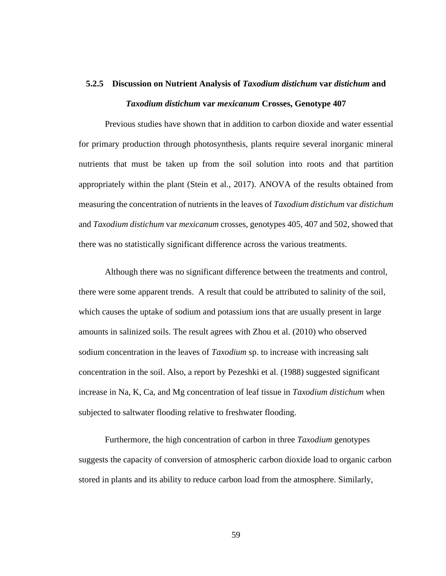# **5.2.5 Discussion on Nutrient Analysis of** *Taxodium distichum* **var** *distichum* **and**  *Taxodium distichum* **var** *mexicanum* **Crosses, Genotype 407**

Previous studies have shown that in addition to carbon dioxide and water essential for primary production through photosynthesis, plants require several inorganic mineral nutrients that must be taken up from the soil solution into roots and that partition appropriately within the plant (Stein et al., 2017). ANOVA of the results obtained from measuring the concentration of nutrients in the leaves of *Taxodium distichum* var *distichum* and *Taxodium distichum* var *mexicanum* crosses, genotypes 405, 407 and 502, showed that there was no statistically significant difference across the various treatments.

Although there was no significant difference between the treatments and control, there were some apparent trends. A result that could be attributed to salinity of the soil, which causes the uptake of sodium and potassium ions that are usually present in large amounts in salinized soils. The result agrees with Zhou et al. (2010) who observed sodium concentration in the leaves of *Taxodium* sp. to increase with increasing salt concentration in the soil. Also, a report by Pezeshki et al. (1988) suggested significant increase in Na, K, Ca, and Mg concentration of leaf tissue in *Taxodium distichum* when subjected to saltwater flooding relative to freshwater flooding.

Furthermore, the high concentration of carbon in three *Taxodium* genotypes suggests the capacity of conversion of atmospheric carbon dioxide load to organic carbon stored in plants and its ability to reduce carbon load from the atmosphere. Similarly,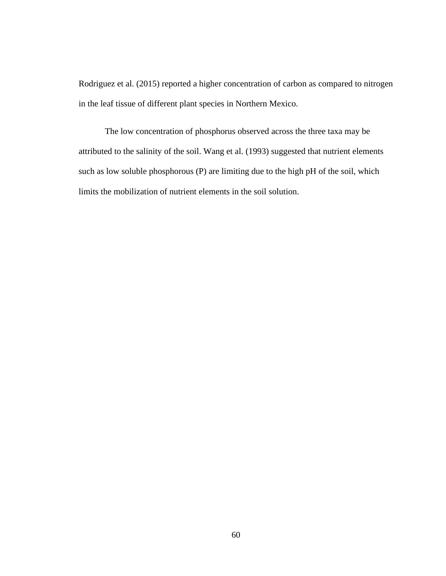Rodriguez et al. (2015) reported a higher concentration of carbon as compared to nitrogen in the leaf tissue of different plant species in Northern Mexico.

The low concentration of phosphorus observed across the three taxa may be attributed to the salinity of the soil. Wang et al. (1993) suggested that nutrient elements such as low soluble phosphorous (P) are limiting due to the high pH of the soil, which limits the mobilization of nutrient elements in the soil solution.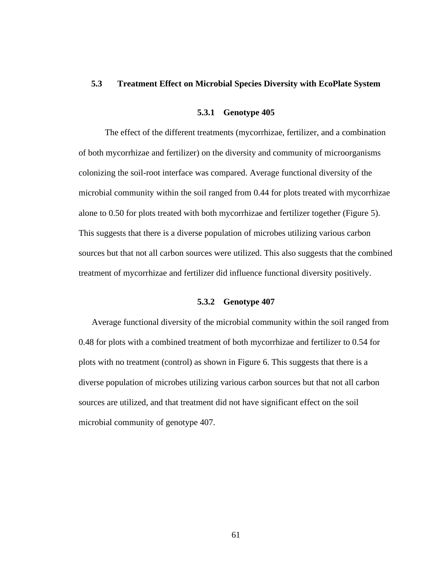## **5.3 Treatment Effect on Microbial Species Diversity with EcoPlate System**

#### **5.3.1 Genotype 405**

The effect of the different treatments (mycorrhizae, fertilizer, and a combination of both mycorrhizae and fertilizer) on the diversity and community of microorganisms colonizing the soil-root interface was compared. Average functional diversity of the microbial community within the soil ranged from 0.44 for plots treated with mycorrhizae alone to 0.50 for plots treated with both mycorrhizae and fertilizer together (Figure 5). This suggests that there is a diverse population of microbes utilizing various carbon sources but that not all carbon sources were utilized. This also suggests that the combined treatment of mycorrhizae and fertilizer did influence functional diversity positively.

#### **5.3.2 Genotype 407**

Average functional diversity of the microbial community within the soil ranged from 0.48 for plots with a combined treatment of both mycorrhizae and fertilizer to 0.54 for plots with no treatment (control) as shown in Figure 6. This suggests that there is a diverse population of microbes utilizing various carbon sources but that not all carbon sources are utilized, and that treatment did not have significant effect on the soil microbial community of genotype 407.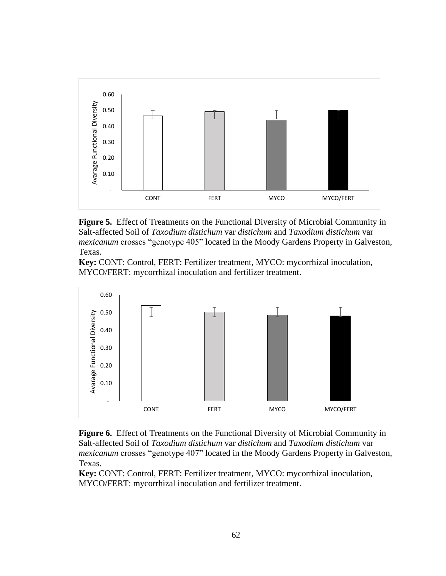

**Figure 5.** Effect of Treatments on the Functional Diversity of Microbial Community in Salt-affected Soil of *Taxodium distichum* var *distichum* and *Taxodium distichum* var *mexicanum* crosses "genotype 405" located in the Moody Gardens Property in Galveston, Texas.







**Key:** CONT: Control, FERT: Fertilizer treatment, MYCO: mycorrhizal inoculation, MYCO/FERT: mycorrhizal inoculation and fertilizer treatment.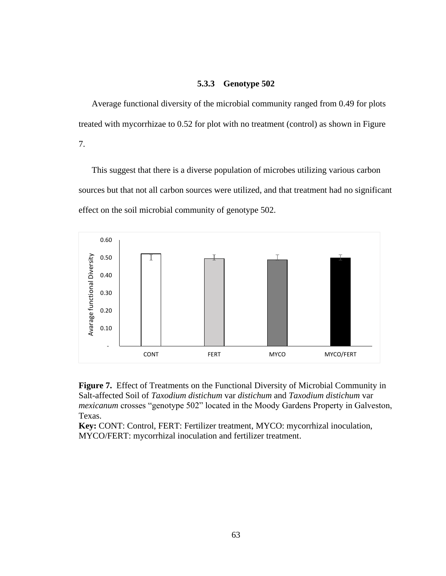## **5.3.3 Genotype 502**

Average functional diversity of the microbial community ranged from 0.49 for plots treated with mycorrhizae to 0.52 for plot with no treatment (control) as shown in Figure 7.

This suggest that there is a diverse population of microbes utilizing various carbon sources but that not all carbon sources were utilized, and that treatment had no significant effect on the soil microbial community of genotype 502.



**Figure 7.** Effect of Treatments on the Functional Diversity of Microbial Community in Salt-affected Soil of *Taxodium distichum* var *distichum* and *Taxodium distichum* var *mexicanum* crosses "genotype 502" located in the Moody Gardens Property in Galveston, Texas.

**Key:** CONT: Control, FERT: Fertilizer treatment, MYCO: mycorrhizal inoculation, MYCO/FERT: mycorrhizal inoculation and fertilizer treatment.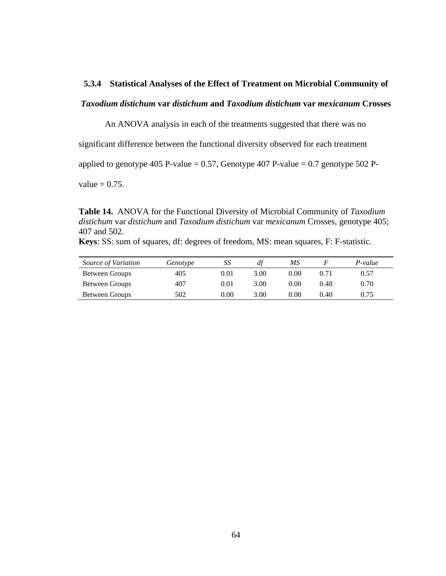## **5.3.4 Statistical Analyses of the Effect of Treatment on Microbial Community of**

## *Taxodium distichum* **var** *distichum* **and** *Taxodium distichum* **var** *mexicanum* **Crosses**

An ANOVA analysis in each of the treatments suggested that there was no

significant difference between the functional diversity observed for each treatment

applied to genotype 405 P-value =  $0.57$ , Genotype 407 P-value =  $0.7$  genotype 502 P-

value  $= 0.75$ .

**Table 14.** ANOVA for the Functional Diversity of Microbial Community of *Taxodium distichum* var *distichum* and *Taxodium distichum* var *mexicanum* Crosses, genotype 405; 407 and 502.

**Keys**: SS: sum of squares, df: degrees of freedom, MS: mean squares, F: F-statistic.

| Source of Variation | Genotype | SS   | df   | ΜS   |      | P-value |
|---------------------|----------|------|------|------|------|---------|
| Between Groups      | 405      | 0.01 | 3.00 | 0.00 | 0.71 | 0.57    |
| Between Groups      | 407      | 0.01 | 3.00 | 0.00 | 0.48 | 0.70    |
| Between Groups      | 502      | 0.00 | 3.00 | 0.00 | 0.40 | 0.75    |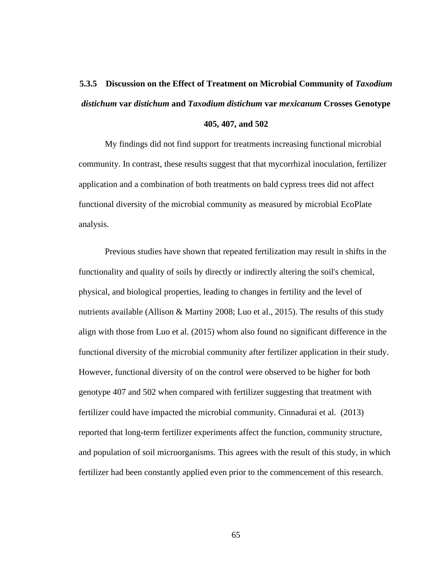# **5.3.5 Discussion on the Effect of Treatment on Microbial Community of** *Taxodium distichum* **var** *distichum* **and** *Taxodium distichum* **var** *mexicanum* **Crosses Genotype**

**405, 407, and 502**

My findings did not find support for treatments increasing functional microbial community. In contrast, these results suggest that that mycorrhizal inoculation, fertilizer application and a combination of both treatments on bald cypress trees did not affect functional diversity of the microbial community as measured by microbial EcoPlate analysis.

Previous studies have shown that repeated fertilization may result in shifts in the functionality and quality of soils by directly or indirectly altering the soil's chemical, physical, and biological properties, leading to changes in fertility and the level of nutrients available (Allison & Martiny 2008; Luo et al., 2015). The results of this study align with those from Luo et al. (2015) whom also found no significant difference in the functional diversity of the microbial community after fertilizer application in their study. However, functional diversity of on the control were observed to be higher for both genotype 407 and 502 when compared with fertilizer suggesting that treatment with fertilizer could have impacted the microbial community. Cinnadurai et al. (2013) reported that long-term fertilizer experiments affect the function, community structure, and population of soil microorganisms. This agrees with the result of this study, in which fertilizer had been constantly applied even prior to the commencement of this research.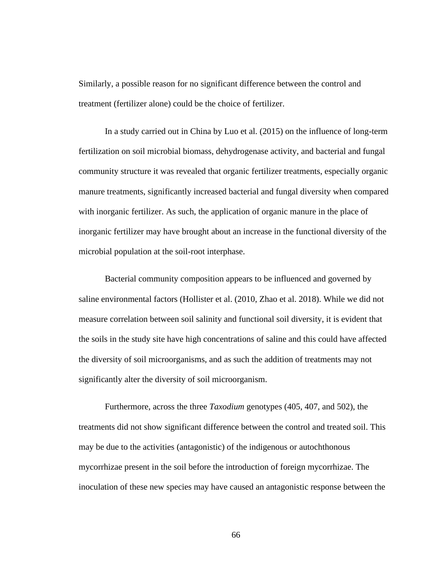Similarly, a possible reason for no significant difference between the control and treatment (fertilizer alone) could be the choice of fertilizer.

In a study carried out in China by Luo et al. (2015) on the influence of long-term fertilization on soil microbial biomass, dehydrogenase activity, and bacterial and fungal community structure it was revealed that organic fertilizer treatments, especially organic manure treatments, significantly increased bacterial and fungal diversity when compared with inorganic fertilizer. As such, the application of organic manure in the place of inorganic fertilizer may have brought about an increase in the functional diversity of the microbial population at the soil-root interphase.

Bacterial community composition appears to be influenced and governed by saline environmental factors (Hollister et al. (2010, Zhao et al. 2018). While we did not measure correlation between soil salinity and functional soil diversity, it is evident that the soils in the study site have high concentrations of saline and this could have affected the diversity of soil microorganisms, and as such the addition of treatments may not significantly alter the diversity of soil microorganism.

Furthermore, across the three *Taxodium* genotypes (405, 407, and 502), the treatments did not show significant difference between the control and treated soil. This may be due to the activities (antagonistic) of the indigenous or autochthonous mycorrhizae present in the soil before the introduction of foreign mycorrhizae. The inoculation of these new species may have caused an antagonistic response between the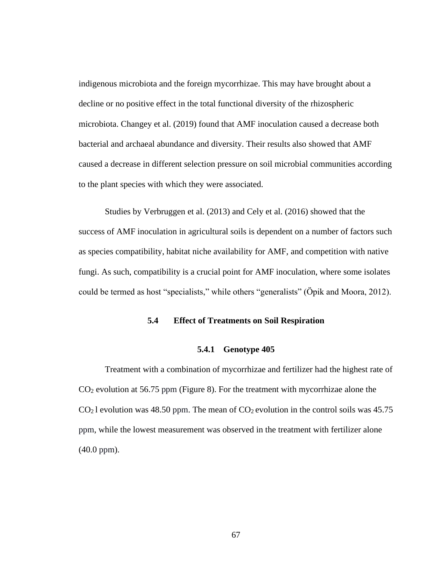indigenous microbiota and the foreign mycorrhizae. This may have brought about a decline or no positive effect in the total functional diversity of the rhizospheric microbiota. Changey et al. (2019) found that AMF inoculation caused a decrease both bacterial and archaeal abundance and diversity. Their results also showed that AMF caused a decrease in different selection pressure on soil microbial communities according to the plant species with which they were associated.

Studies by Verbruggen et al. (2013) and Cely et al. (2016) showed that the success of AMF inoculation in agricultural soils is dependent on a number of factors such as species compatibility, habitat niche availability for AMF, and competition with native fungi. As such, compatibility is a crucial point for AMF inoculation, where some isolates could be termed as host "specialists," while others "generalists" (Öpik and Moora, 2012).

## **5.4 Effect of Treatments on Soil Respiration**

#### **5.4.1 Genotype 405**

Treatment with a combination of mycorrhizae and fertilizer had the highest rate of CO<sup>2</sup> evolution at 56.75 ppm (Figure 8). For the treatment with mycorrhizae alone the  $CO<sub>2</sub>$  l evolution was 48.50 ppm. The mean of  $CO<sub>2</sub>$  evolution in the control soils was 45.75 ppm, while the lowest measurement was observed in the treatment with fertilizer alone (40.0 ppm).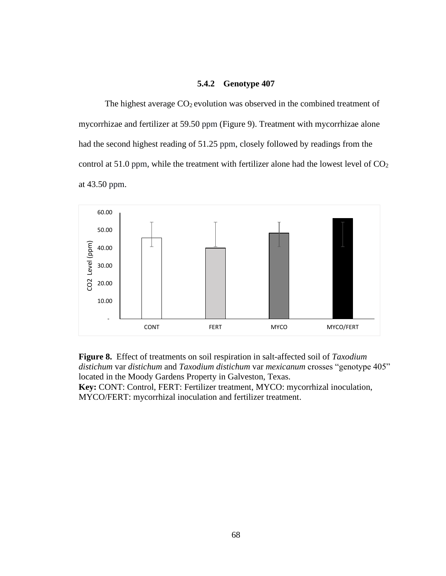#### **5.4.2 Genotype 407**

The highest average  $CO<sub>2</sub>$  evolution was observed in the combined treatment of mycorrhizae and fertilizer at 59.50 ppm (Figure 9). Treatment with mycorrhizae alone had the second highest reading of 51.25 ppm, closely followed by readings from the control at 51.0 ppm, while the treatment with fertilizer alone had the lowest level of  $CO<sub>2</sub>$ at 43.50 ppm.



**Figure 8.** Effect of treatments on soil respiration in salt-affected soil of *Taxodium distichum* var *distichum* and *Taxodium distichum* var *mexicanum* crosses "genotype 405" located in the Moody Gardens Property in Galveston, Texas. **Key:** CONT: Control, FERT: Fertilizer treatment, MYCO: mycorrhizal inoculation, MYCO/FERT: mycorrhizal inoculation and fertilizer treatment.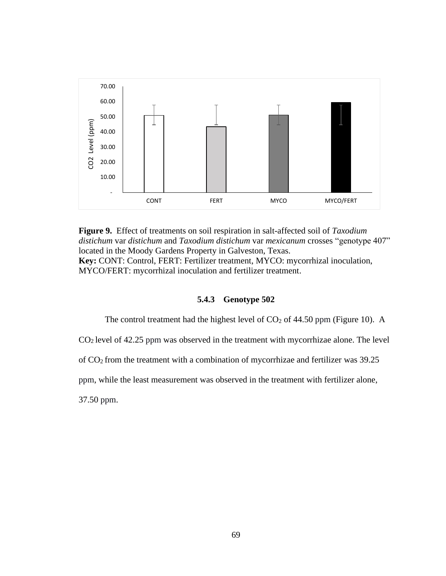

**Figure 9.** Effect of treatments on soil respiration in salt-affected soil of *Taxodium distichum* var *distichum* and *Taxodium distichum* var *mexicanum* crosses "genotype 407" located in the Moody Gardens Property in Galveston, Texas. **Key:** CONT: Control, FERT: Fertilizer treatment, MYCO: mycorrhizal inoculation, MYCO/FERT: mycorrhizal inoculation and fertilizer treatment.

#### **5.4.3 Genotype 502**

The control treatment had the highest level of  $CO<sub>2</sub>$  of 44.50 ppm (Figure 10). A

 $CO<sub>2</sub>$  level of 42.25 ppm was observed in the treatment with mycorrhizae alone. The level

of CO2 from the treatment with a combination of mycorrhizae and fertilizer was 39.25

ppm, while the least measurement was observed in the treatment with fertilizer alone,

37.50 ppm.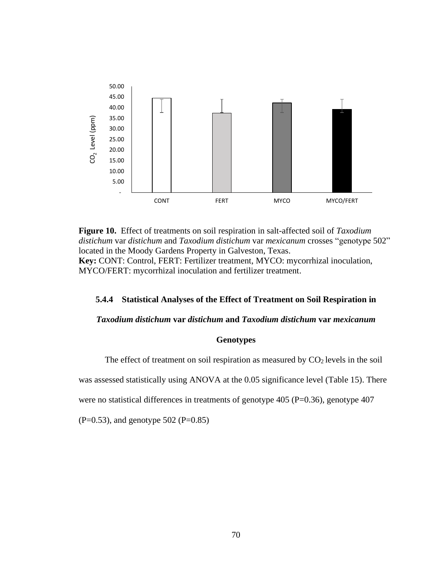

**Figure 10.** Effect of treatments on soil respiration in salt-affected soil of *Taxodium distichum* var *distichum* and *Taxodium distichum* var *mexicanum* crosses "genotype 502" located in the Moody Gardens Property in Galveston, Texas. **Key:** CONT: Control, FERT: Fertilizer treatment, MYCO: mycorrhizal inoculation, MYCO/FERT: mycorrhizal inoculation and fertilizer treatment.

## **5.4.4 Statistical Analyses of the Effect of Treatment on Soil Respiration in**

#### *Taxodium distichum* **var** *distichum* **and** *Taxodium distichum* **var** *mexicanum*

#### **Genotypes**

The effect of treatment on soil respiration as measured by  $CO<sub>2</sub>$  levels in the soil

was assessed statistically using ANOVA at the 0.05 significance level (Table 15). There

were no statistical differences in treatments of genotype  $405$  (P=0.36), genotype  $407$ 

 $(P=0.53)$ , and genotype 502  $(P=0.85)$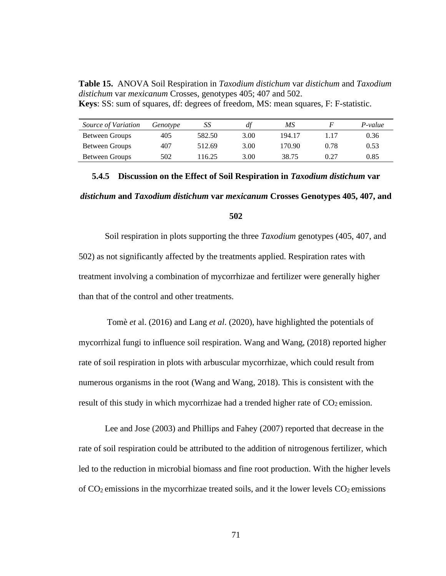**Table 15.** ANOVA Soil Respiration in *Taxodium distichum* var *distichum* and *Taxodium distichum* var *mexicanum* Crosses, genotypes 405; 407 and 502. **Keys**: SS: sum of squares, df: degrees of freedom, MS: mean squares, F: F-statistic.

| Source of Variation | Genotype | SS     | df   | МS     |      | $P-value$ |
|---------------------|----------|--------|------|--------|------|-----------|
| Between Groups      | 405      | 582.50 | 3.00 | 194.17 | 1.17 | 0.36      |
| Between Groups      | 407      | 512.69 | 3.00 | 170.90 | 0.78 | 0.53      |
| Between Groups      | 502      | 116.25 | 3.00 | 38.75  | 0.27 | 0.85      |

# **5.4.5 Discussion on the Effect of Soil Respiration in** *Taxodium distichum* **var**

### *distichum* **and** *Taxodium distichum* **var** *mexicanum* **Crosses Genotypes 405, 407, and**

#### **502**

Soil respiration in plots supporting the three *Taxodium* genotypes (405, 407, and 502) as not significantly affected by the treatments applied. Respiration rates with treatment involving a combination of mycorrhizae and fertilizer were generally higher than that of the control and other treatments.

Tomè *et* al. (2016) and Lang *et al*. (2020), have highlighted the potentials of mycorrhizal fungi to influence soil respiration. Wang and Wang, (2018) reported higher rate of soil respiration in plots with arbuscular mycorrhizae, which could result from numerous organisms in the root (Wang and Wang, 2018). This is consistent with the result of this study in which mycorrhizae had a trended higher rate of  $CO<sub>2</sub>$  emission.

Lee and Jose (2003) and Phillips and Fahey (2007) reported that decrease in the rate of soil respiration could be attributed to the addition of nitrogenous fertilizer, which led to the reduction in microbial biomass and fine root production. With the higher levels of  $CO<sub>2</sub>$  emissions in the mycorrhizae treated soils, and it the lower levels  $CO<sub>2</sub>$  emissions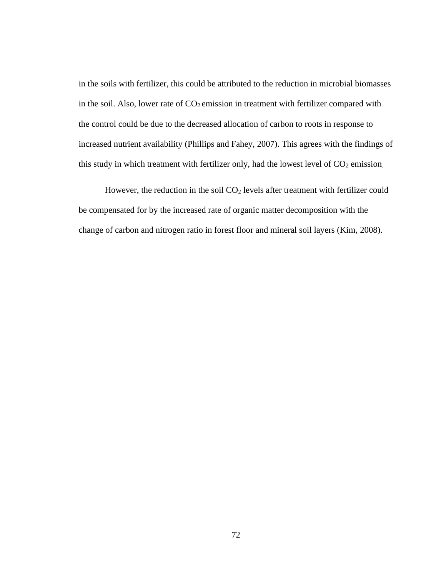in the soils with fertilizer, this could be attributed to the reduction in microbial biomasses in the soil. Also, lower rate of  $CO<sub>2</sub>$  emission in treatment with fertilizer compared with the control could be due to the decreased allocation of carbon to roots in response to increased nutrient availability (Phillips and Fahey, 2007). This agrees with the findings of this study in which treatment with fertilizer only, had the lowest level of  $CO<sub>2</sub>$  emission.

However, the reduction in the soil  $CO<sub>2</sub>$  levels after treatment with fertilizer could be compensated for by the increased rate of organic matter decomposition with the change of carbon and nitrogen ratio in forest floor and mineral soil layers (Kim, 2008).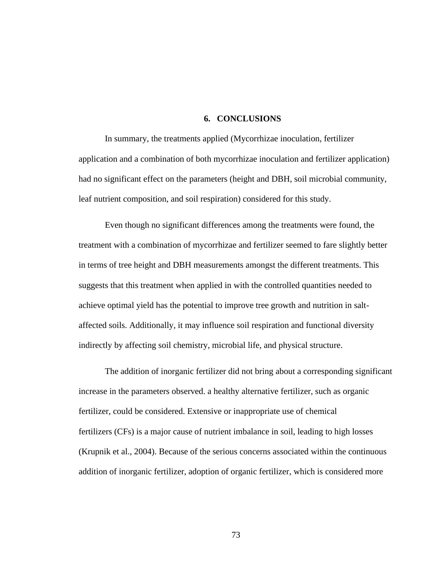#### **6. CONCLUSIONS**

In summary, the treatments applied (Mycorrhizae inoculation, fertilizer application and a combination of both mycorrhizae inoculation and fertilizer application) had no significant effect on the parameters (height and DBH, soil microbial community, leaf nutrient composition, and soil respiration) considered for this study.

Even though no significant differences among the treatments were found, the treatment with a combination of mycorrhizae and fertilizer seemed to fare slightly better in terms of tree height and DBH measurements amongst the different treatments. This suggests that this treatment when applied in with the controlled quantities needed to achieve optimal yield has the potential to improve tree growth and nutrition in saltaffected soils. Additionally, it may influence soil respiration and functional diversity indirectly by affecting soil chemistry, microbial life, and physical structure.

The addition of inorganic fertilizer did not bring about a corresponding significant increase in the parameters observed. a healthy alternative fertilizer, such as organic fertilizer, could be considered. Extensive or inappropriate use of [chemical](https://www.sciencedirect.com/topics/agricultural-and-biological-sciences/chemical-fertilizer)  [fertilizers](https://www.sciencedirect.com/topics/agricultural-and-biological-sciences/chemical-fertilizer) (CFs) is a major cause of nutrient imbalance in soil, leading to high losses (Krupnik et al., 2004). Because of the serious concerns associated within the continuous addition of inorganic fertilizer, adoption of organic fertilizer, which is considered more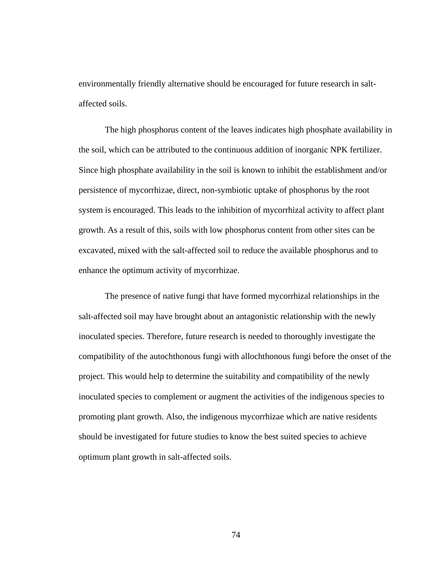environmentally friendly alternative should be encouraged for future research in saltaffected soils.

The high phosphorus content of the leaves indicates high phosphate availability in the soil, which can be attributed to the continuous addition of inorganic NPK fertilizer. Since high phosphate availability in the soil is known to inhibit the establishment and/or persistence of mycorrhizae, direct, non-symbiotic uptake of phosphorus by the root system is encouraged. This leads to the inhibition of mycorrhizal activity to affect plant growth. As a result of this, soils with low phosphorus content from other sites can be excavated, mixed with the salt-affected soil to reduce the available phosphorus and to enhance the optimum activity of mycorrhizae.

The presence of native fungi that have formed mycorrhizal relationships in the salt-affected soil may have brought about an antagonistic relationship with the newly inoculated species. Therefore, future research is needed to thoroughly investigate the compatibility of the autochthonous fungi with allochthonous fungi before the onset of the project. This would help to determine the suitability and compatibility of the newly inoculated species to complement or augment the activities of the indigenous species to promoting plant growth. Also, the indigenous mycorrhizae which are native residents should be investigated for future studies to know the best suited species to achieve optimum plant growth in salt-affected soils.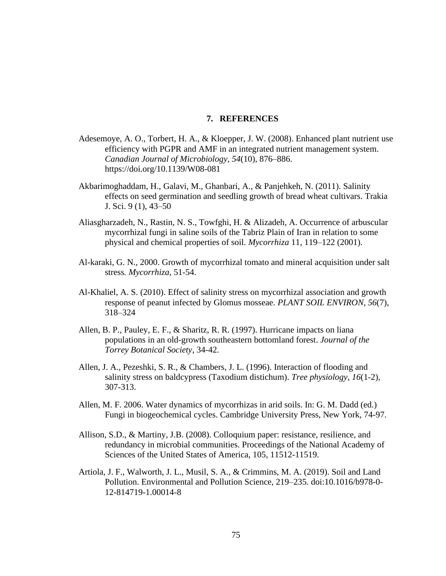#### **7. REFERENCES**

- Adesemoye, A. O., Torbert, H. A., & Kloepper, J. W. (2008). Enhanced plant nutrient use efficiency with PGPR and AMF in an integrated nutrient management system. *Canadian Journal of Microbiology*, *54*(10), 876–886. https://doi.org/10.1139/W08-081
- Akbarimoghaddam, H., Galavi, M., Ghanbari, A., & Panjehkeh, N. (2011). Salinity effects on seed germination and seedling growth of bread wheat cultivars. Trakia J. Sci. 9 (1), 43–50
- Aliasgharzadeh, N., Rastin, N. S., Towfghi, H. & Alizadeh, A. Occurrence of arbuscular mycorrhizal fungi in saline soils of the Tabriz Plain of Iran in relation to some physical and chemical properties of soil. *Mycorrhiza* 11, 119–122 (2001).
- Al-karaki, G. N., 2000. Growth of mycorrhizal tomato and mineral acquisition under salt stress*. Mycorrhiza*, 51-54.
- Al-Khaliel, A. S. (2010). Effect of salinity stress on mycorrhizal association and growth response of peanut infected by Glomus mosseae. *PLANT SOIL ENVIRON*, *56*(7), 318–324
- Allen, B. P., Pauley, E. F., & Sharitz, R. R. (1997). Hurricane impacts on liana populations in an old-growth southeastern bottomland forest. *Journal of the Torrey Botanical Society*, 34-42.
- Allen, J. A., Pezeshki, S. R., & Chambers, J. L. (1996). Interaction of flooding and salinity stress on baldcypress (Taxodium distichum). *Tree physiology*, *16*(1-2), 307-313.
- Allen, M. F. 2006. Water dynamics of mycorrhizas in arid soils. In: G. M. Dadd (ed.) Fungi in biogeochemical cycles. Cambridge University Press, New York, 74-97.
- Allison, S.D., & Martiny, J.B. (2008). Colloquium paper: resistance, resilience, and redundancy in microbial communities. Proceedings of the National Academy of Sciences of the United States of America, 105, 11512-11519.
- Artiola, J. F., Walworth, J. L., Musil, S. A., & Crimmins, M. A. (2019). Soil and Land Pollution. Environmental and Pollution Science, 219–235. doi:10.1016/b978-0- 12-814719-1.00014-8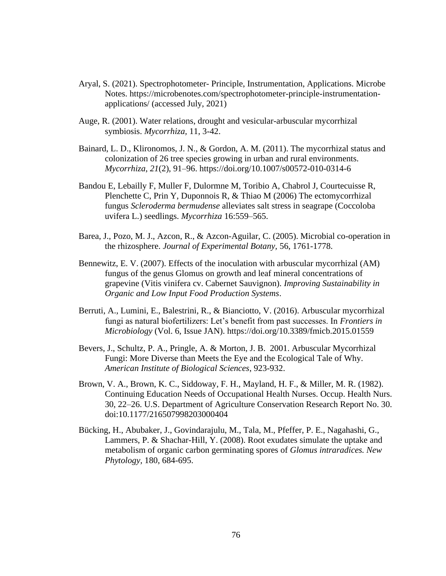- Aryal, S. (2021). Spectrophotometer- Principle, Instrumentation, Applications. Microbe Notes. https://microbenotes.com/spectrophotometer-principle-instrumentationapplications/ (accessed July, 2021)
- Auge, R. (2001). Water relations, drought and vesicular-arbuscular mycorrhizal symbiosis. *Mycorrhiza,* 11, 3-42.
- Bainard, L. D., Klironomos, J. N., & Gordon, A. M. (2011). The mycorrhizal status and colonization of 26 tree species growing in urban and rural environments. *Mycorrhiza*, *21*(2), 91–96. https://doi.org/10.1007/s00572-010-0314-6
- Bandou E, Lebailly F, Muller F, Dulormne M, Toribio A, Chabrol J, Courtecuisse R, Plenchette C, Prin Y, Duponnois R, & Thiao M (2006) The ectomycorrhizal fungus *Scleroderma bermudense* alleviates salt stress in seagrape (Coccoloba uvifera L.) seedlings. *Mycorrhiza* 16:559–565.
- Barea, J., Pozo, M. J., Azcon, R., & Azcon-Aguilar, C. (2005). Microbial co-operation in the rhizosphere. *Journal of Experimental Botany,* 56, 1761-1778.
- Bennewitz, E. V. (2007). Effects of the inoculation with arbuscular mycorrhizal (AM) fungus of the genus Glomus on growth and leaf mineral concentrations of grapevine (Vitis vinifera cv. Cabernet Sauvignon). *Improving Sustainability in Organic and Low Input Food Production Systems*.
- Berruti, A., Lumini, E., Balestrini, R., & Bianciotto, V. (2016). Arbuscular mycorrhizal fungi as natural biofertilizers: Let's benefit from past successes. In *Frontiers in Microbiology* (Vol. 6, Issue JAN). https://doi.org/10.3389/fmicb.2015.01559
- Bevers, J., Schultz, P. A., Pringle, A. & Morton, J. B. 2001. Arbuscular Mycorrhizal Fungi: More Diverse than Meets the Eye and the Ecological Tale of Why. *American Institute of Biological Sciences*, 923-932.
- Brown, V. A., Brown, K. C., Siddoway, F. H., Mayland, H. F., & Miller, M. R. (1982). Continuing Education Needs of Occupational Health Nurses. Occup. Health Nurs. 30, 22–26. U.S. Department of Agriculture Conservation Research Report No. 30. doi:10.1177/216507998203000404
- Bücking, H., Abubaker, J., Govindarajulu, M., Tala, M., Pfeffer, P. E., Nagahashi, G., Lammers, P. & Shachar-Hill, Y. (2008). Root exudates simulate the uptake and metabolism of organic carbon germinating spores of *Glomus intraradices. New Phytology,* 180, 684-695.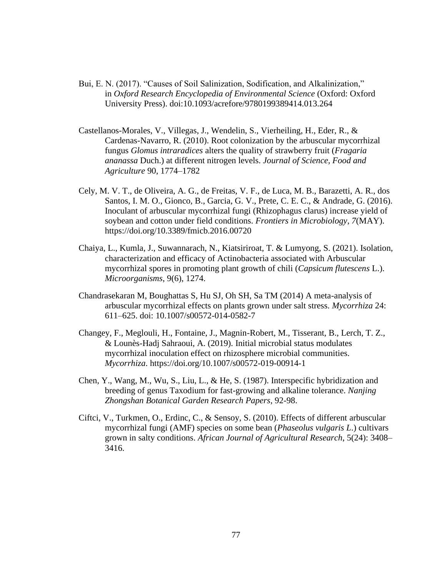- Bui, E. N. (2017). "Causes of Soil Salinization, Sodification, and Alkalinization," in *Oxford Research Encyclopedia of Environmental Science* (Oxford: Oxford University Press). doi:10.1093/acrefore/9780199389414.013.264
- Castellanos-Morales, V., Villegas, J., Wendelin, S., Vierheiling, H., Eder, R., & Cardenas-Navarro, R. (2010). Root colonization by the arbuscular mycorrhizal fungus *Glomus intraradices* alters the quality of strawberry fruit (*Fragaria ananassa* Duch.) at different nitrogen levels. *Journal of Science, Food and Agriculture* 90, 1774–1782
- Cely, M. V. T., de Oliveira, A. G., de Freitas, V. F., de Luca, M. B., Barazetti, A. R., dos Santos, I. M. O., Gionco, B., Garcia, G. V., Prete, C. E. C., & Andrade, G. (2016). Inoculant of arbuscular mycorrhizal fungi (Rhizophagus clarus) increase yield of soybean and cotton under field conditions. *Frontiers in Microbiology*, *7*(MAY). https://doi.org/10.3389/fmicb.2016.00720
- Chaiya, L., Kumla, J., Suwannarach, N., Kiatsiriroat, T. & Lumyong, S. (2021). Isolation, characterization and efficacy of Actinobacteria associated with Arbuscular mycorrhizal spores in promoting plant growth of chili (*Capsicum flutescens* L.). *Microorganisms*, 9(6), 1274.
- Chandrasekaran M, Boughattas S, Hu SJ, Oh SH, Sa TM (2014) A meta-analysis of arbuscular mycorrhizal effects on plants grown under salt stress. *Mycorrhiza* 24: 611–625. doi: 10.1007/s00572-014-0582-7
- Changey, F., Meglouli, H., Fontaine, J., Magnin-Robert, M., Tisserant, B., Lerch, T. Z., & Lounès-Hadj Sahraoui, A. (2019). Initial microbial status modulates mycorrhizal inoculation effect on rhizosphere microbial communities. *Mycorrhiza*. https://doi.org/10.1007/s00572-019-00914-1
- Chen, Y., Wang, M., Wu, S., Liu, L., & He, S. (1987). Interspecific hybridization and breeding of genus Taxodium for fast-growing and alkaline tolerance. *Nanjing Zhongshan Botanical Garden Research Papers*, 92-98.
- Ciftci, V., Turkmen, O., Erdinc, C., & Sensoy, S. (2010). Effects of different arbuscular mycorrhizal fungi (AMF) species on some bean (*Phaseolus vulgaris L*.) cultivars grown in salty conditions. *African Journal of Agricultural Research*, 5(24): 3408– 3416.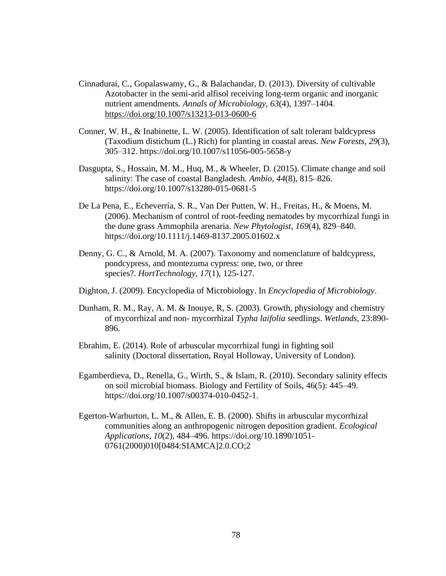- Cinnadurai, C., Gopalaswamy, G., & Balachandar, D. (2013). Diversity of cultivable Azotobacter in the semi-arid alfisol receiving long-term organic and inorganic nutrient amendments. *Annals of Microbiology*, *63*(4), 1397–1404. <https://doi.org/10.1007/s13213-013-0600-6>
- Conner, W. H., & Inabinette, L. W. (2005). Identification of salt tolerant baldcypress (Taxodium distichum (L.) Rich) for planting in coastal areas. *New Forests*, *29*(3), 305–312. https://doi.org/10.1007/s11056-005-5658-y
- Dasgupta, S., Hossain, M. M., Huq, M., & Wheeler, D. (2015). Climate change and soil salinity: The case of coastal Bangladesh. *Ambio*, *44*(8), 815–826. https://doi.org/10.1007/s13280-015-0681-5
- De La Pena, E., Echeverría, S. R., Van Der Putten, W. H., Freitas, H., & Moens, M. (2006). Mechanism of control of root-feeding nematodes by mycorrhizal fungi in the dune grass Ammophila arenaria. *New Phytologist*, *169*(4), 829–840. https://doi.org/10.1111/j.1469-8137.2005.01602.x
- Denny, G. C., & Arnold, M. A. (2007). Taxonomy and nomenclature of baldcypress, pondcypress, and montezuma cypress: one, two, or three species?. *HortTechnology*, *17*(1), 125-127.
- Dighton, J. (2009). Encyclopedia of Microbiology. In *Encyclopedia of Microbiology*.
- Dunham, R. M., Ray, A. M. & Inouye, R, S. (2003). Growth, physiology and chemistry of mycorrhizal and non- mycorrhizal *Typha laifolia* seedlings. *Wetlands,* 23:890- 896.
- Ebrahim, E. (2014). Role of arbuscular mycorrhizal fungi in fighting soil salinity (Doctoral dissertation, Royal Holloway, University of London).
- Egamberdieva, D., Renella, G., Wirth, S., & Islam, R. (2010). Secondary salinity effects on soil microbial biomass. Biology and Fertility of Soils, 46(5): 445–49. https://doi.org/10.1007/s00374-010-0452-1.
- Egerton-Warburton, L. M., & Allen, E. B. (2000). Shifts in arbuscular mycorrhizal communities along an anthropogenic nitrogen deposition gradient. *Ecological Applications*, *10*(2), 484–496. https://doi.org/10.1890/1051- 0761(2000)010[0484:SIAMCA]2.0.CO;2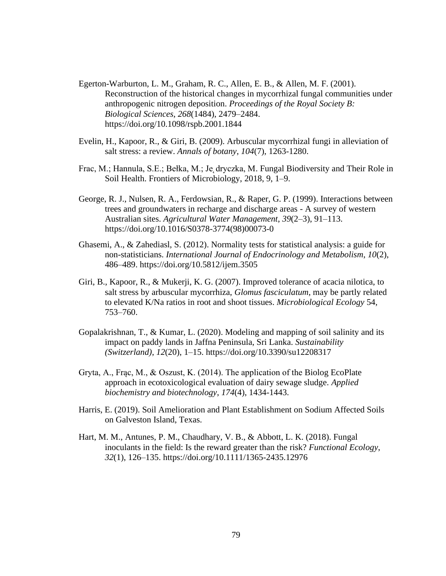- Egerton-Warburton, L. M., Graham, R. C., Allen, E. B., & Allen, M. F. (2001). Reconstruction of the historical changes in mycorrhizal fungal communities under anthropogenic nitrogen deposition. *Proceedings of the Royal Society B: Biological Sciences*, *268*(1484), 2479–2484. https://doi.org/10.1098/rspb.2001.1844
- Evelin, H., Kapoor, R., & Giri, B. (2009). Arbuscular mycorrhizal fungi in alleviation of salt stress: a review. *Annals of botany*, *104*(7), 1263-1280.
- Frac, M.; Hannula, S.E.; Bełka, M.; Je dryczka, M. Fungal Biodiversity and Their Role in Soil Health. Frontiers of Microbiology, 2018, 9, 1–9.
- George, R. J., Nulsen, R. A., Ferdowsian, R., & Raper, G. P. (1999). Interactions between trees and groundwaters in recharge and discharge areas - A survey of western Australian sites. *Agricultural Water Management*, *39*(2–3), 91–113. https://doi.org/10.1016/S0378-3774(98)00073-0
- Ghasemi, A., & Zahediasl, S. (2012). Normality tests for statistical analysis: a guide for non-statisticians. *International Journal of Endocrinology and Metabolism*, *10*(2), 486–489. https://doi.org/10.5812/ijem.3505
- Giri, B., Kapoor, R., & Mukerji, K. G. (2007). Improved tolerance of acacia nilotica, to salt stress by arbuscular mycorrhiza, *Glomus fasciculatum*, may be partly related to elevated K/Na ratios in root and shoot tissues. *Microbiological Ecology* 54, 753–760.
- Gopalakrishnan, T., & Kumar, L. (2020). Modeling and mapping of soil salinity and its impact on paddy lands in Jaffna Peninsula, Sri Lanka. *Sustainability (Switzerland)*, *12*(20), 1–15. https://doi.org/10.3390/su12208317
- Gryta, A., Frąc, M., & Oszust, K. (2014). The application of the Biolog EcoPlate approach in ecotoxicological evaluation of dairy sewage sludge. *Applied biochemistry and biotechnology*, *174*(4), 1434-1443.
- Harris, E. (2019). Soil Amelioration and Plant Establishment on Sodium Affected Soils on Galveston Island, Texas.
- Hart, M. M., Antunes, P. M., Chaudhary, V. B., & Abbott, L. K. (2018). Fungal inoculants in the field: Is the reward greater than the risk? *Functional Ecology*, *32*(1), 126–135. https://doi.org/10.1111/1365-2435.12976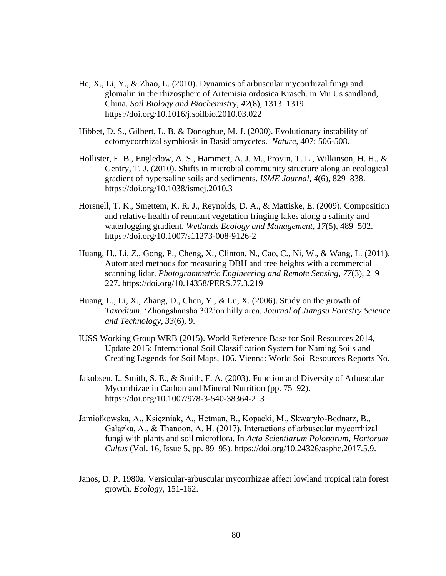- He, X., Li, Y., & Zhao, L. (2010). Dynamics of arbuscular mycorrhizal fungi and glomalin in the rhizosphere of Artemisia ordosica Krasch. in Mu Us sandland, China. *Soil Biology and Biochemistry*, *42*(8), 1313–1319. https://doi.org/10.1016/j.soilbio.2010.03.022
- Hibbet, D. S., Gilbert, L. B. & Donoghue, M. J. (2000). Evolutionary instability of ectomycorrhizal symbiosis in Basidiomycetes. *Nature,* 407: 506-508.
- Hollister, E. B., Engledow, A. S., Hammett, A. J. M., Provin, T. L., Wilkinson, H. H., & Gentry, T. J. (2010). Shifts in microbial community structure along an ecological gradient of hypersaline soils and sediments. *ISME Journal*, *4*(6), 829–838. https://doi.org/10.1038/ismej.2010.3
- Horsnell, T. K., Smettem, K. R. J., Reynolds, D. A., & Mattiske, E. (2009). Composition and relative health of remnant vegetation fringing lakes along a salinity and waterlogging gradient. *Wetlands Ecology and Management*, *17*(5), 489–502. https://doi.org/10.1007/s11273-008-9126-2
- Huang, H., Li, Z., Gong, P., Cheng, X., Clinton, N., Cao, C., Ni, W., & Wang, L. (2011). Automated methods for measuring DBH and tree heights with a commercial scanning lidar. *Photogrammetric Engineering and Remote Sensing*, *77*(3), 219– 227. https://doi.org/10.14358/PERS.77.3.219
- Huang, L., Li, X., Zhang, D., Chen, Y., & Lu, X. (2006). Study on the growth of *Taxodium*. 'Zhongshansha 302'on hilly area. *Journal of Jiangsu Forestry Science and Technology*, *33*(6), 9.
- IUSS Working Group WRB (2015). World Reference Base for Soil Resources 2014, Update 2015: International Soil Classification System for Naming Soils and Creating Legends for Soil Maps, 106. Vienna: World Soil Resources Reports No.
- Jakobsen, I., Smith, S. E., & Smith, F. A. (2003). Function and Diversity of Arbuscular Mycorrhizae in Carbon and Mineral Nutrition (pp. 75–92). https://doi.org/10.1007/978-3-540-38364-2\_3
- Jamiołkowska, A., Księzniak, A., Hetman, B., Kopacki, M., Skwaryło-Bednarz, B., Gałązka, A., & Thanoon, A. H. (2017). Interactions of arbuscular mycorrhizal fungi with plants and soil microflora. In *Acta Scientiarum Polonorum, Hortorum Cultus* (Vol. 16, Issue 5, pp. 89–95). https://doi.org/10.24326/asphc.2017.5.9.
- Janos, D. P. 1980a. Versicular-arbuscular mycorrhizae affect lowland tropical rain forest growth. *Ecology,* 151-162.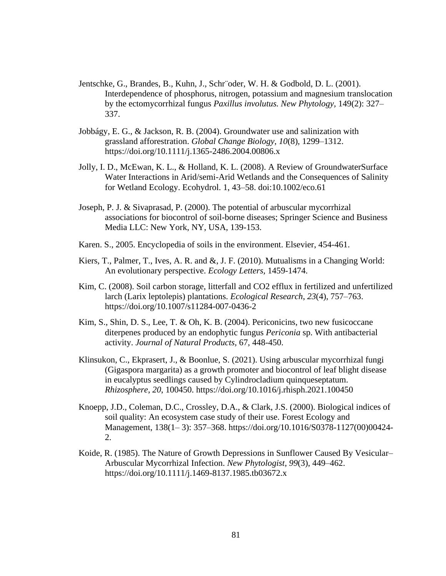- Jentschke, G., Brandes, B., Kuhn, J., Schr¨oder, W. H. & Godbold, D. L. (2001). Interdependence of phosphorus, nitrogen, potassium and magnesium translocation by the ectomycorrhizal fungus *Paxillus involutus. New Phytology,* 149(2): 327– 337.
- Jobbágy, E. G., & Jackson, R. B. (2004). Groundwater use and salinization with grassland afforestration. *Global Change Biology*, *10*(8), 1299–1312. https://doi.org/10.1111/j.1365-2486.2004.00806.x
- Jolly, I. D., McEwan, K. L., & Holland, K. L. (2008). A Review of GroundwaterSurface Water Interactions in Arid/semi-Arid Wetlands and the Consequences of Salinity for Wetland Ecology. Ecohydrol. 1, 43–58. doi:10.1002/eco.61
- Joseph, P. J. & Sivaprasad, P. (2000). The potential of arbuscular mycorrhizal associations for biocontrol of soil-borne diseases; Springer Science and Business Media LLC: New York, NY, USA, 139-153.
- Karen. S., 2005. Encyclopedia of soils in the environment. Elsevier, 454-461.
- Kiers, T., Palmer, T., Ives, A. R. and &, J. F. (2010). Mutualisms in a Changing World: An evolutionary perspective. *Ecology Letters,* 1459-1474.
- Kim, C. (2008). Soil carbon storage, litterfall and CO2 efflux in fertilized and unfertilized larch (Larix leptolepis) plantations. *Ecological Research*, *23*(4), 757–763. https://doi.org/10.1007/s11284-007-0436-2
- Kim, S., Shin, D. S., Lee, T. & Oh, K. B. (2004). Periconicins, two new fusicoccane diterpenes produced by an endophytic fungus *Periconia* sp. With antibacterial activity. *Journal of Natural Products,* 67, 448-450.
- Klinsukon, C., Ekprasert, J., & Boonlue, S. (2021). Using arbuscular mycorrhizal fungi (Gigaspora margarita) as a growth promoter and biocontrol of leaf blight disease in eucalyptus seedlings caused by Cylindrocladium quinqueseptatum. *Rhizosphere*, *20*, 100450. https://doi.org/10.1016/j.rhisph.2021.100450
- Knoepp, J.D., Coleman, D.C., Crossley, D.A., & Clark, J.S. (2000). Biological indices of soil quality: An ecosystem case study of their use. Forest Ecology and Management, 138(1– 3): 357–368. https://doi.org/10.1016/S0378-1127(00)00424- 2.
- Koide, R. (1985). The Nature of Growth Depressions in Sunflower Caused By Vesicular– Arbuscular Mycorrhizal Infection. *New Phytologist*, *99*(3), 449–462. https://doi.org/10.1111/j.1469-8137.1985.tb03672.x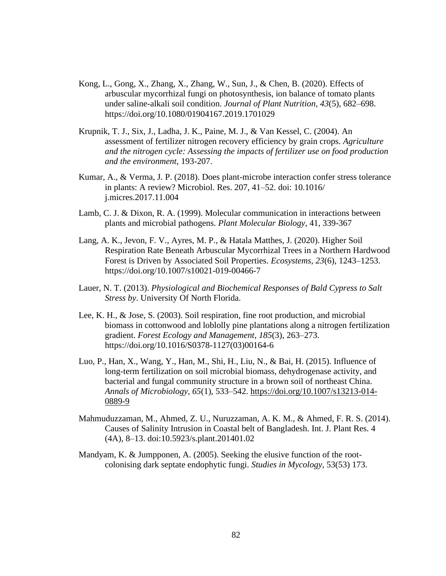- Kong, L., Gong, X., Zhang, X., Zhang, W., Sun, J., & Chen, B. (2020). Effects of arbuscular mycorrhizal fungi on photosynthesis, ion balance of tomato plants under saline-alkali soil condition. *Journal of Plant Nutrition*, *43*(5), 682–698. https://doi.org/10.1080/01904167.2019.1701029
- Krupnik, T. J., Six, J., Ladha, J. K., Paine, M. J., & Van Kessel, C. (2004). An assessment of fertilizer nitrogen recovery efficiency by grain crops. *Agriculture and the nitrogen cycle: Assessing the impacts of fertilizer use on food production and the environment*, 193-207.
- Kumar, A., & Verma, J. P. (2018). Does plant-microbe interaction confer stress tolerance in plants: A review? Microbiol. Res. 207, 41–52. doi: 10.1016/ j.micres.2017.11.004
- Lamb, C. J. & Dixon, R. A. (1999). Molecular communication in interactions between plants and microbial pathogens. *Plant Molecular Biology,* 41, 339-367
- Lang, A. K., Jevon, F. V., Ayres, M. P., & Hatala Matthes, J. (2020). Higher Soil Respiration Rate Beneath Arbuscular Mycorrhizal Trees in a Northern Hardwood Forest is Driven by Associated Soil Properties. *Ecosystems*, *23*(6), 1243–1253. https://doi.org/10.1007/s10021-019-00466-7
- Lauer, N. T. (2013). *Physiological and Biochemical Responses of Bald Cypress to Salt Stress by*. University Of North Florida.
- Lee, K. H., & Jose, S. (2003). Soil respiration, fine root production, and microbial biomass in cottonwood and loblolly pine plantations along a nitrogen fertilization gradient. *Forest Ecology and Management*, *185*(3), 263–273. https://doi.org/10.1016/S0378-1127(03)00164-6
- Luo, P., Han, X., Wang, Y., Han, M., Shi, H., Liu, N., & Bai, H. (2015). Influence of long-term fertilization on soil microbial biomass, dehydrogenase activity, and bacterial and fungal community structure in a brown soil of northeast China. *Annals of Microbiology*, *65*(1), 533–542. [https://doi.org/10.1007/s13213-014-](https://doi.org/10.1007/s13213-014-0889-9) [0889-9](https://doi.org/10.1007/s13213-014-0889-9)
- Mahmuduzzaman, M., Ahmed, Z. U., Nuruzzaman, A. K. M., & Ahmed, F. R. S. (2014). Causes of Salinity Intrusion in Coastal belt of Bangladesh. Int. J. Plant Res. 4 (4A), 8–13. doi:10.5923/s.plant.201401.02
- Mandyam, K. & Jumpponen, A. (2005). Seeking the elusive function of the rootcolonising dark septate endophytic fungi. *Studies in Mycology,* 53(53) 173.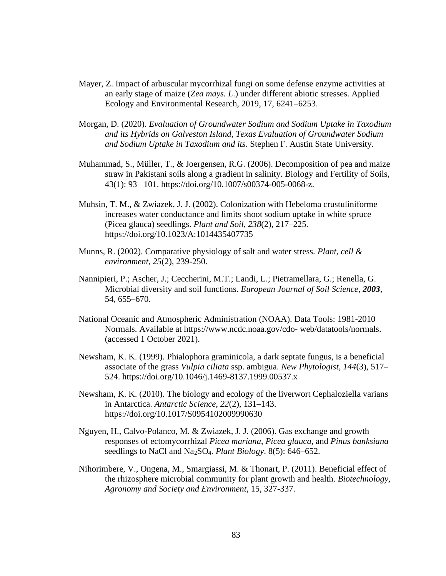- Mayer, Z. Impact of arbuscular mycorrhizal fungi on some defense enzyme activities at an early stage of maize (*Zea mays. L*.) under different abiotic stresses. Applied Ecology and Environmental Research, 2019, 17, 6241–6253.
- Morgan, D. (2020). *Evaluation of Groundwater Sodium and Sodium Uptake in Taxodium and its Hybrids on Galveston Island, Texas Evaluation of Groundwater Sodium and Sodium Uptake in Taxodium and its*. Stephen F. Austin State University.
- Muhammad, S., Müller, T., & Joergensen, R.G. (2006). Decomposition of pea and maize straw in Pakistani soils along a gradient in salinity. Biology and Fertility of Soils, 43(1): 93– 101. https://doi.org/10.1007/s00374-005-0068-z.
- Muhsin, T. M., & Zwiazek, J. J. (2002). Colonization with Hebeloma crustuliniforme increases water conductance and limits shoot sodium uptake in white spruce (Picea glauca) seedlings. *Plant and Soil*, *238*(2), 217–225. https://doi.org/10.1023/A:1014435407735
- Munns, R. (2002). Comparative physiology of salt and water stress. *Plant, cell & environment*, *25*(2), 239-250.
- Nannipieri, P.; Ascher, J.; Ceccherini, M.T.; Landi, L.; Pietramellara, G.; Renella, G. Microbial diversity and soil functions. *European Journal of Soil Science*, *2003,* 54, 655–670.
- National Oceanic and Atmospheric Administration (NOAA). Data Tools: 1981-2010 Normals. Available at https://www.ncdc.noaa.gov/cdo- web/datatools/normals. (accessed 1 October 2021).
- Newsham, K. K. (1999). Phialophora graminicola, a dark septate fungus, is a beneficial associate of the grass *Vulpia ciliata* ssp. ambigua. *New Phytologist*, *144*(3), 517– 524. https://doi.org/10.1046/j.1469-8137.1999.00537.x
- Newsham, K. K. (2010). The biology and ecology of the liverwort Cephaloziella varians in Antarctica. *Antarctic Science*, *22*(2), 131–143. https://doi.org/10.1017/S0954102009990630
- Nguyen, H., Calvo-Polanco, M. & Zwiazek, J. J. (2006). Gas exchange and growth responses of ectomycorrhizal *Picea mariana*, *Picea glauca*, and *Pinus banksiana* seedlings to NaCl and Na2SO4. *Plant Biology*. 8(5): 646–652.
- Nihorimbere, V., Ongena, M., Smargiassi, M. & Thonart, P. (2011). Beneficial effect of the rhizosphere microbial community for plant growth and health. *Biotechnology, Agronomy and Society and Environment,* 15, 327-337.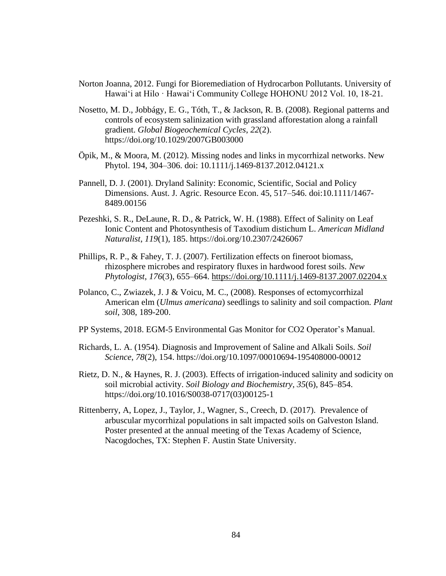- Norton Joanna, 2012. Fungi for Bioremediation of Hydrocarbon Pollutants. University of Hawai'i at Hilo · Hawai'i Community College HOHONU 2012 Vol. 10, 18-21.
- Nosetto, M. D., Jobbágy, E. G., Tóth, T., & Jackson, R. B. (2008). Regional patterns and controls of ecosystem salinization with grassland afforestation along a rainfall gradient. *Global Biogeochemical Cycles*, *22*(2). https://doi.org/10.1029/2007GB003000
- Öpik, M., & Moora, M. (2012). Missing nodes and links in mycorrhizal networks. New Phytol. 194, 304–306. doi: 10.1111/j.1469-8137.2012.04121.x
- Pannell, D. J. (2001). Dryland Salinity: Economic, Scientific, Social and Policy Dimensions. Aust. J. Agric. Resource Econ. 45, 517–546. doi:10.1111/1467- 8489.00156
- Pezeshki, S. R., DeLaune, R. D., & Patrick, W. H. (1988). Effect of Salinity on Leaf Ionic Content and Photosynthesis of Taxodium distichum L. *American Midland Naturalist*, *119*(1), 185. https://doi.org/10.2307/2426067
- Phillips, R. P., & Fahey, T. J. (2007). Fertilization effects on fineroot biomass, rhizosphere microbes and respiratory fluxes in hardwood forest soils. *New Phytologist*, *176*(3), 655–664.<https://doi.org/10.1111/j.1469-8137.2007.02204.x>
- Polanco, C., Zwiazek, J. J & Voicu, M. C., (2008). Responses of ectomycorrhizal American elm (*Ulmus americana*) seedlings to salinity and soil compaction*. Plant soil*, 308, 189-200.
- PP Systems, 2018. EGM-5 Environmental Gas Monitor for CO2 Operator's Manual.
- Richards, L. A. (1954). Diagnosis and Improvement of Saline and Alkali Soils. *Soil Science*, *78*(2), 154. https://doi.org/10.1097/00010694-195408000-00012
- Rietz, D. N., & Haynes, R. J. (2003). Effects of irrigation-induced salinity and sodicity on soil microbial activity. *Soil Biology and Biochemistry*, *35*(6), 845–854. https://doi.org/10.1016/S0038-0717(03)00125-1
- Rittenberry, A, Lopez, J., Taylor, J., Wagner, S., Creech, D. (2017). Prevalence of arbuscular mycorrhizal populations in salt impacted soils on Galveston Island. Poster presented at the annual meeting of the Texas Academy of Science, Nacogdoches, TX: Stephen F. Austin State University.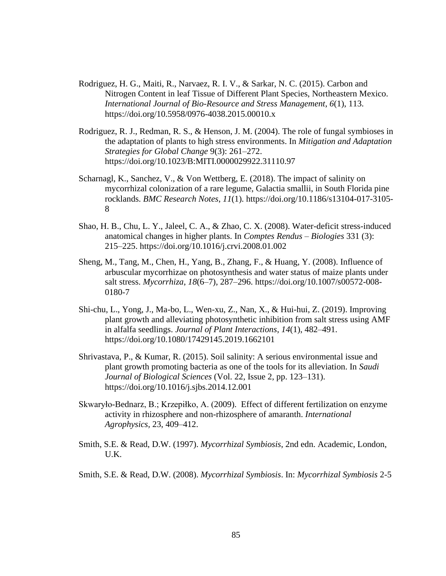- Rodriguez, H. G., Maiti, R., Narvaez, R. I. V., & Sarkar, N. C. (2015). Carbon and Nitrogen Content in leaf Tissue of Different Plant Species, Northeastern Mexico. *International Journal of Bio-Resource and Stress Management*, *6*(1), 113. https://doi.org/10.5958/0976-4038.2015.00010.x
- Rodriguez, R. J., Redman, R. S., & Henson, J. M. (2004). The role of fungal symbioses in the adaptation of plants to high stress environments. In *Mitigation and Adaptation Strategies for Global Change* 9(3): 261–272. https://doi.org/10.1023/B:MITI.0000029922.31110.97
- Scharnagl, K., Sanchez, V., & Von Wettberg, E. (2018). The impact of salinity on mycorrhizal colonization of a rare legume, Galactia smallii, in South Florida pine rocklands. *BMC Research Notes*, *11*(1). https://doi.org/10.1186/s13104-017-3105- 8
- Shao, H. B., Chu, L. Y., Jaleel, C. A., & Zhao, C. X. (2008). Water-deficit stress-induced anatomical changes in higher plants. In *Comptes Rendus – Biologies* 331 (3): 215–225. https://doi.org/10.1016/j.crvi.2008.01.002
- Sheng, M., Tang, M., Chen, H., Yang, B., Zhang, F., & Huang, Y. (2008). Influence of arbuscular mycorrhizae on photosynthesis and water status of maize plants under salt stress. *Mycorrhiza*, *18*(6–7), 287–296. https://doi.org/10.1007/s00572-008- 0180-7
- Shi-chu, L., Yong, J., Ma-bo, L., Wen-xu, Z., Nan, X., & Hui-hui, Z. (2019). Improving plant growth and alleviating photosynthetic inhibition from salt stress using AMF in alfalfa seedlings. *Journal of Plant Interactions*, *14*(1), 482–491. https://doi.org/10.1080/17429145.2019.1662101
- Shrivastava, P., & Kumar, R. (2015). Soil salinity: A serious environmental issue and plant growth promoting bacteria as one of the tools for its alleviation. In *Saudi Journal of Biological Sciences* (Vol. 22, Issue 2, pp. 123–131). https://doi.org/10.1016/j.sjbs.2014.12.001
- Skwaryło-Bednarz, B.; Krzepiłko, A. (2009). Effect of different fertilization on enzyme activity in rhizosphere and non-rhizosphere of amaranth. *International Agrophysics,* 23, 409–412.
- Smith, S.E. & Read, D.W. (1997). *Mycorrhizal Symbiosis*, 2nd edn. Academic, London, U.K.
- Smith, S.E. & Read, D.W. (2008). *Mycorrhizal Symbiosis*. In: *Mycorrhizal Symbiosis* 2-5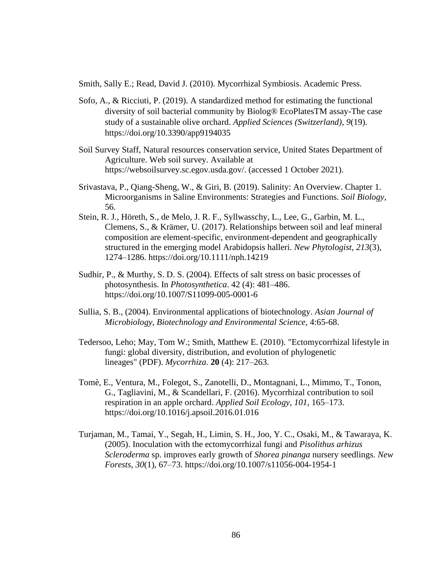Smith, Sally E.; Read, David J. (2010). [Mycorrhizal Symbiosis.](https://books.google.com/books?id=qLciOJaG0C4C) Academic Press.

- Sofo, A., & Ricciuti, P. (2019). A standardized method for estimating the functional diversity of soil bacterial community by Biolog® EcoPlatesTM assay-The case study of a sustainable olive orchard. *Applied Sciences (Switzerland)*, *9*(19). https://doi.org/10.3390/app9194035
- Soil Survey Staff, Natural resources conservation service, United States Department of Agriculture. Web soil survey. Available at https://websoilsurvey.sc.egov.usda.gov/. (accessed 1 October 2021).
- Srivastava, P., Qiang-Sheng, W., & Giri, B. (2019). Salinity: An Overview. Chapter 1. Microorganisms in Saline Environments: Strategies and Functions. *Soil Biology*, 56.
- Stein, R. J., Höreth, S., de Melo, J. R. F., Syllwasschy, L., Lee, G., Garbin, M. L., Clemens, S., & Krämer, U. (2017). Relationships between soil and leaf mineral composition are element-specific, environment-dependent and geographically structured in the emerging model Arabidopsis halleri. *New Phytologist*, *213*(3), 1274–1286. https://doi.org/10.1111/nph.14219
- Sudhir, P., & Murthy, S. D. S. (2004). Effects of salt stress on basic processes of photosynthesis. In *Photosynthetica*. 42 (4): 481–486. https://doi.org/10.1007/S11099-005-0001-6
- Sullia, S. B., (2004). Environmental applications of biotechnology. *Asian Journal of Microbiology, Biotechnology and Environmental Science,* 4:65-68.
- Tedersoo, Leho; May, Tom W.; Smith, Matthew E. (2010). ["Ectomycorrhizal lifestyle in](http://lira.pro.br/wordpress/wp-content/uploads/2012/11/tedersoo-et-al-2010.pdf)  [fungi: global diversity, distribution, and evolution of phylogenetic](http://lira.pro.br/wordpress/wp-content/uploads/2012/11/tedersoo-et-al-2010.pdf)  [lineages"](http://lira.pro.br/wordpress/wp-content/uploads/2012/11/tedersoo-et-al-2010.pdf) (PDF). *Mycorrhiza*. **20** (4): 217–263.
- Tomè, E., Ventura, M., Folegot, S., Zanotelli, D., Montagnani, L., Mimmo, T., Tonon, G., Tagliavini, M., & Scandellari, F. (2016). Mycorrhizal contribution to soil respiration in an apple orchard. *Applied Soil Ecology*, *101*, 165–173. https://doi.org/10.1016/j.apsoil.2016.01.016
- Turjaman, M., Tamai, Y., Segah, H., Limin, S. H., Joo, Y. C., Osaki, M., & Tawaraya, K. (2005). Inoculation with the ectomycorrhizal fungi and *Pisolithus arhizus Scleroderma* sp. improves early growth of *Shorea pinanga* nursery seedlings. *New Forests*, *30*(1), 67–73. https://doi.org/10.1007/s11056-004-1954-1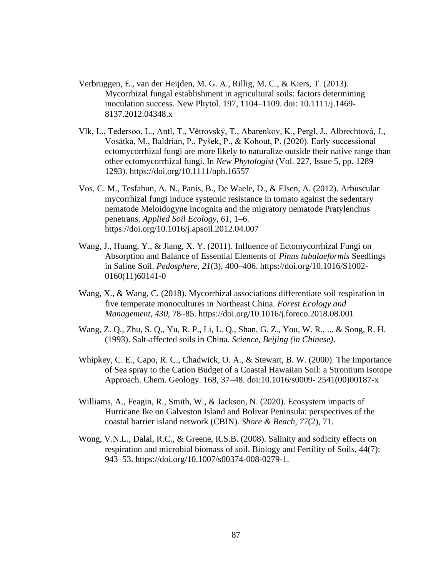- Verbruggen, E., van der Heijden, M. G. A., Rillig, M. C., & Kiers, T. (2013). Mycorrhizal fungal establishment in agricultural soils: factors determining inoculation success. New Phytol. 197, 1104–1109. doi: 10.1111/j.1469- 8137.2012.04348.x
- Vlk, L., Tedersoo, L., Antl, T., Větrovský, T., Abarenkov, K., Pergl, J., Albrechtová, J., Vosátka, M., Baldrian, P., Pyšek, P., & Kohout, P. (2020). Early successional ectomycorrhizal fungi are more likely to naturalize outside their native range than other ectomycorrhizal fungi. In *New Phytologist* (Vol. 227, Issue 5, pp. 1289– 1293). https://doi.org/10.1111/nph.16557
- Vos, C. M., Tesfahun, A. N., Panis, B., De Waele, D., & Elsen, A. (2012). Arbuscular mycorrhizal fungi induce systemic resistance in tomato against the sedentary nematode Meloidogyne incognita and the migratory nematode Pratylenchus penetrans. *Applied Soil Ecology*, *61*, 1–6. https://doi.org/10.1016/j.apsoil.2012.04.007
- Wang, J., Huang, Y., & Jiang, X. Y. (2011). Influence of Ectomycorrhizal Fungi on Absorption and Balance of Essential Elements of *Pinus tabulaeformis* Seedlings in Saline Soil. *Pedosphere*, *21*(3), 400–406. https://doi.org/10.1016/S1002- 0160(11)60141-0
- Wang, X., & Wang, C. (2018). Mycorrhizal associations differentiate soil respiration in five temperate monocultures in Northeast China. *Forest Ecology and Management*, *430*, 78–85. https://doi.org/10.1016/j.foreco.2018.08.001
- Wang, Z. Q., Zhu, S. Q., Yu, R. P., Li, L. Q., Shan, G. Z., You, W. R., ... & Song, R. H. (1993). Salt-affected soils in China. *Science, Beijing (in Chinese)*.
- Whipkey, C. E., Capo, R. C., Chadwick, O. A., & Stewart, B. W. (2000). The Importance of Sea spray to the Cation Budget of a Coastal Hawaiian Soil: a Strontium Isotope Approach. Chem. Geology. 168, 37–48. doi:10.1016/s0009- 2541(00)00187-x
- Williams, A., Feagin, R., Smith, W., & Jackson, N. (2020). Ecosystem impacts of Hurricane Ike on Galveston Island and Bolivar Peninsula: perspectives of the coastal barrier island network (CBIN). *Shore & Beach*, *77*(2), 71.
- Wong, V.N.L., Dalal, R.C., & Greene, R.S.B. (2008). Salinity and sodicity effects on respiration and microbial biomass of soil. Biology and Fertility of Soils, 44(7): 943–53. https://doi.org/10.1007/s00374-008-0279-1.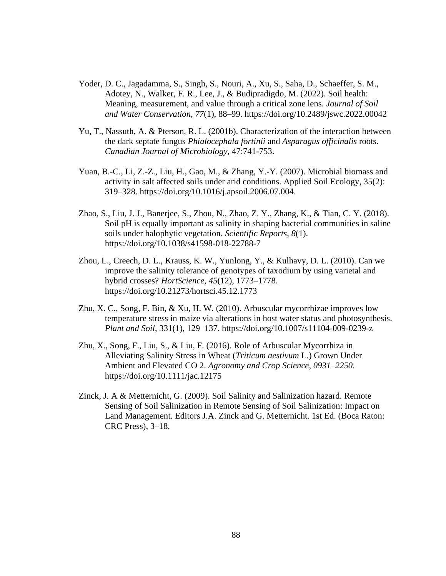- Yoder, D. C., Jagadamma, S., Singh, S., Nouri, A., Xu, S., Saha, D., Schaeffer, S. M., Adotey, N., Walker, F. R., Lee, J., & Budipradigdo, M. (2022). Soil health: Meaning, measurement, and value through a critical zone lens. *Journal of Soil and Water Conservation*, *77*(1), 88–99. https://doi.org/10.2489/jswc.2022.00042
- Yu, T., Nassuth, A. & Pterson, R. L. (2001b). Characterization of the interaction between the dark septate fungus *Phialocephala fortinii* and *Asparagus officinalis* roots. *Canadian Journal of Microbiology,* 47:741-753.
- Yuan, B.-C., Li, Z.-Z., Liu, H., Gao, M., & Zhang, Y.-Y. (2007). Microbial biomass and activity in salt affected soils under arid conditions. Applied Soil Ecology, 35(2): 319–328. https://doi.org/10.1016/j.apsoil.2006.07.004.
- Zhao, S., Liu, J. J., Banerjee, S., Zhou, N., Zhao, Z. Y., Zhang, K., & Tian, C. Y. (2018). Soil pH is equally important as salinity in shaping bacterial communities in saline soils under halophytic vegetation. *Scientific Reports*, *8*(1). https://doi.org/10.1038/s41598-018-22788-7
- Zhou, L., Creech, D. L., Krauss, K. W., Yunlong, Y., & Kulhavy, D. L. (2010). Can we improve the salinity tolerance of genotypes of taxodium by using varietal and hybrid crosses? *HortScience*, *45*(12), 1773–1778. https://doi.org/10.21273/hortsci.45.12.1773
- Zhu, X. C., Song, F. Bin, & Xu, H. W. (2010). Arbuscular mycorrhizae improves low temperature stress in maize via alterations in host water status and photosynthesis. *Plant and Soil*, 331(1), 129–137. https://doi.org/10.1007/s11104-009-0239-z
- Zhu, X., Song, F., Liu, S., & Liu, F. (2016). Role of Arbuscular Mycorrhiza in Alleviating Salinity Stress in Wheat (*Triticum aestivum* L.) Grown Under Ambient and Elevated CO 2. *Agronomy and Crop Science*, *0931*–*2250*. https://doi.org/10.1111/jac.12175
- Zinck, J. A & Metternicht, G. (2009). Soil Salinity and Salinization hazard. Remote Sensing of Soil Salinization in Remote Sensing of Soil Salinization: Impact on Land Management. Editors J.A. Zinck and G. Metternicht. 1st Ed. (Boca Raton: CRC Press), 3–18.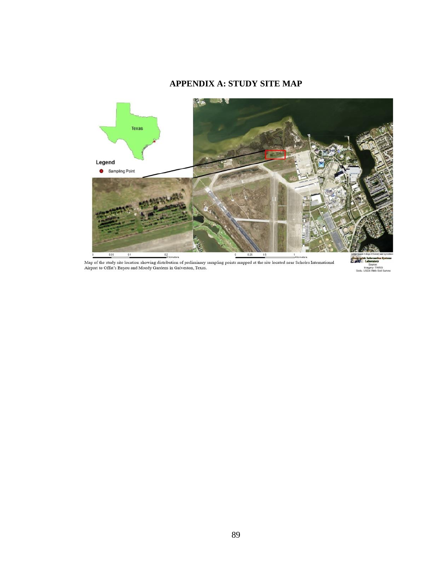## **APPENDIX A: STUDY SITE MAP**



Map of the study site location showing distribution of preliminary sampling points mapped at the site located near Scholes International<br>Airport to Offat's Bayou and Moody Gardens in Galveston, Texas.